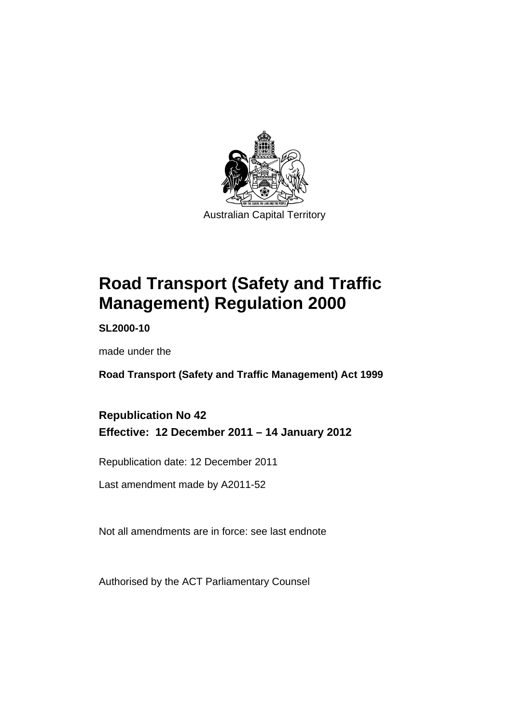

# **Road Transport (Safety and Traffic Management) Regulation 2000**

**SL2000-10** 

made under the

**Road Transport (Safety and Traffic Management) Act 1999** 

# **Republication No 42 Effective: 12 December 2011 – 14 January 2012**

Republication date: 12 December 2011

Last amendment made by A2011-52

Not all amendments are in force: see last endnote

Authorised by the ACT Parliamentary Counsel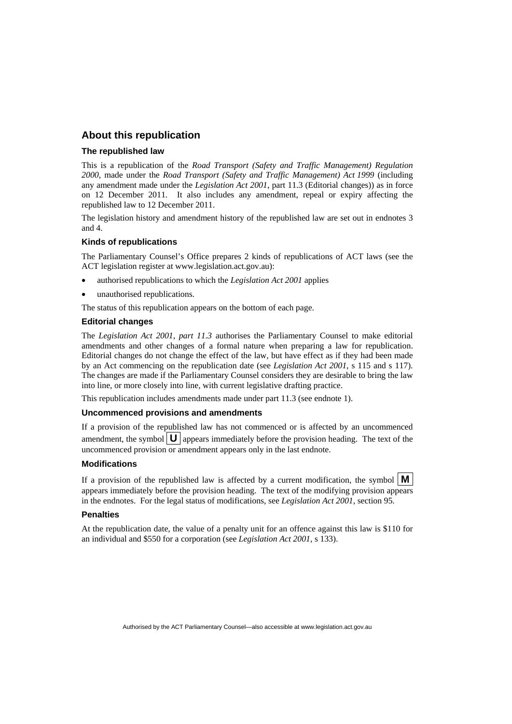#### **About this republication**

#### **The republished law**

This is a republication of the *Road Transport (Safety and Traffic Management) Regulation 2000*, made under the *Road Transport (Safety and Traffic Management) Act 1999* (including any amendment made under the *Legislation Act 2001*, part 11.3 (Editorial changes)) as in force on 12 December 2011*.* It also includes any amendment, repeal or expiry affecting the republished law to 12 December 2011.

The legislation history and amendment history of the republished law are set out in endnotes 3 and 4.

#### **Kinds of republications**

The Parliamentary Counsel's Office prepares 2 kinds of republications of ACT laws (see the ACT legislation register at www.legislation.act.gov.au):

- authorised republications to which the *Legislation Act 2001* applies
- unauthorised republications.

The status of this republication appears on the bottom of each page.

#### **Editorial changes**

The *Legislation Act 2001, part 11.3* authorises the Parliamentary Counsel to make editorial amendments and other changes of a formal nature when preparing a law for republication. Editorial changes do not change the effect of the law, but have effect as if they had been made by an Act commencing on the republication date (see *Legislation Act 2001*, s 115 and s 117). The changes are made if the Parliamentary Counsel considers they are desirable to bring the law into line, or more closely into line, with current legislative drafting practice.

This republication includes amendments made under part 11.3 (see endnote 1).

#### **Uncommenced provisions and amendments**

If a provision of the republished law has not commenced or is affected by an uncommenced amendment, the symbol  $\mathbf{U}$  appears immediately before the provision heading. The text of the uncommenced provision or amendment appears only in the last endnote.

#### **Modifications**

If a provision of the republished law is affected by a current modification, the symbol  $\mathbf{M}$ appears immediately before the provision heading. The text of the modifying provision appears in the endnotes. For the legal status of modifications, see *Legislation Act 2001*, section 95.

#### **Penalties**

At the republication date, the value of a penalty unit for an offence against this law is \$110 for an individual and \$550 for a corporation (see *Legislation Act 2001*, s 133).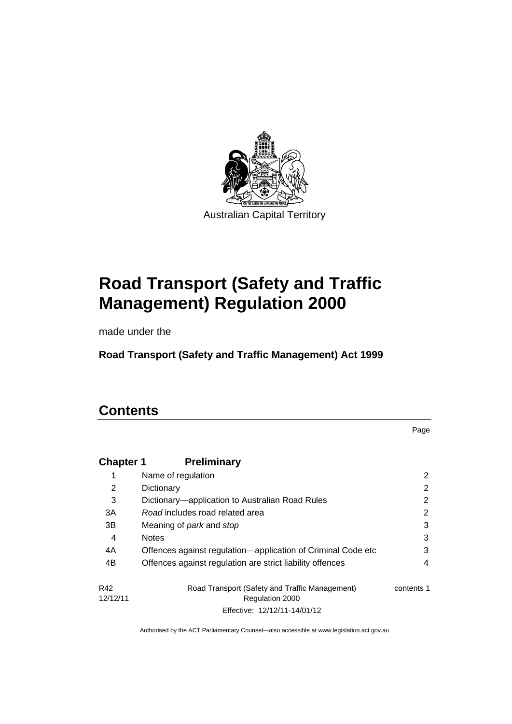

# **Road Transport (Safety and Traffic Management) Regulation 2000**

made under the

**Road Transport (Safety and Traffic Management) Act 1999** 

# **Contents**

Page

| <b>Chapter 1</b> | <b>Preliminary</b>                                                |            |
|------------------|-------------------------------------------------------------------|------------|
| 1                | Name of regulation                                                | 2          |
| 2                | Dictionary                                                        | 2          |
| 3                | Dictionary—application to Australian Road Rules                   | 2          |
| 3A               | Road includes road related area                                   | 2          |
| 3B               | Meaning of <i>park</i> and <i>stop</i>                            | 3          |
| 4                | <b>Notes</b>                                                      | 3          |
| 4A               | Offences against regulation-application of Criminal Code etc      | 3          |
| 4B               | Offences against regulation are strict liability offences         | 4          |
| R42<br>12/12/11  | Road Transport (Safety and Traffic Management)<br>Regulation 2000 | contents 1 |
|                  | Effective: 12/12/11-14/01/12                                      |            |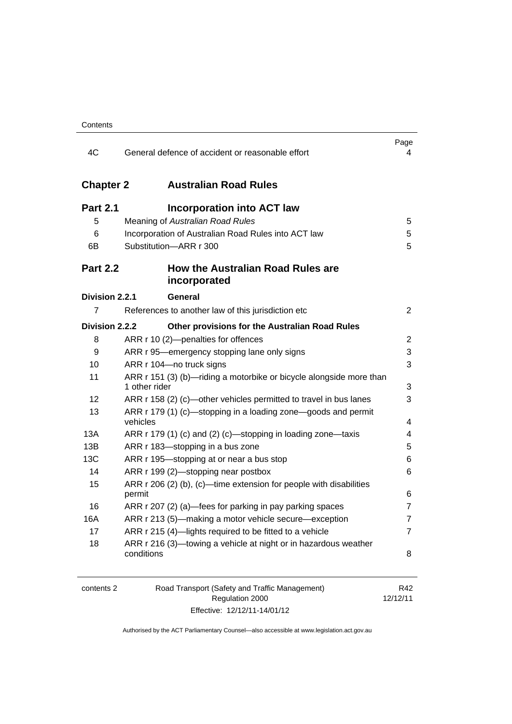| 4C               | General defence of accident or reasonable effort                                     | Page<br>4      |
|------------------|--------------------------------------------------------------------------------------|----------------|
| <b>Chapter 2</b> | <b>Australian Road Rules</b>                                                         |                |
| <b>Part 2.1</b>  | <b>Incorporation into ACT law</b>                                                    |                |
| 5                | Meaning of Australian Road Rules                                                     | 5              |
| 6                | Incorporation of Australian Road Rules into ACT law                                  | 5              |
| 6B               | Substitution-ARR r 300                                                               | 5              |
| <b>Part 2.2</b>  | How the Australian Road Rules are<br>incorporated                                    |                |
| Division 2.2.1   | General                                                                              |                |
| $\overline{7}$   | References to another law of this jurisdiction etc                                   | $\overline{2}$ |
| Division 2.2.2   | Other provisions for the Australian Road Rules                                       |                |
| 8                | ARR r 10 (2)-penalties for offences                                                  | $\overline{2}$ |
| 9                | ARR r 95—emergency stopping lane only signs                                          | 3              |
| 10               | ARR r 104-no truck signs                                                             | 3              |
| 11               | ARR r 151 (3) (b)—riding a motorbike or bicycle alongside more than<br>1 other rider | 3              |
| 12               | ARR r 158 (2) (c)—other vehicles permitted to travel in bus lanes                    | 3              |
| 13               | ARR r 179 (1) (c)—stopping in a loading zone—goods and permit<br>vehicles            | 4              |
| 13A              | ARR r 179 (1) (c) and (2) (c)—stopping in loading zone—taxis                         | 4              |
| 13B              | ARR r 183-stopping in a bus zone                                                     | 5              |
| 13C              | ARR r 195-stopping at or near a bus stop                                             | 6              |
| 14               | ARR r 199 (2)—stopping near postbox                                                  | 6              |
| 15               | ARR r 206 (2) (b), (c)—time extension for people with disabilities<br>permit         | 6              |
| 16               | ARR r 207 (2) (a)—fees for parking in pay parking spaces                             | 7              |
| <b>16A</b>       | ARR r 213 (5)—making a motor vehicle secure—exception                                | 7              |
| 17               | ARR r 215 (4)-lights required to be fitted to a vehicle                              | $\overline{7}$ |
| 18               | ARR r 216 (3)-towing a vehicle at night or in hazardous weather<br>conditions        | 8              |

| contents 2 | Road Transport (Safety and Traffic Management) | R42      |
|------------|------------------------------------------------|----------|
|            | Regulation 2000                                | 12/12/11 |
|            | Effective: 12/12/11-14/01/12                   |          |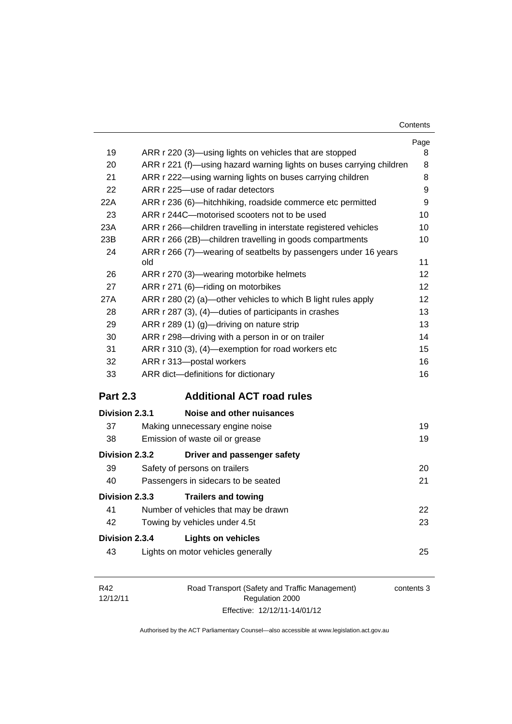| Contents |
|----------|
|----------|

|                       |                                                                                               | Page |
|-----------------------|-----------------------------------------------------------------------------------------------|------|
| 19                    | ARR r 220 (3)—using lights on vehicles that are stopped                                       | 8    |
| 20                    | ARR r 221 (f)—using hazard warning lights on buses carrying children                          | 8    |
| 21                    | ARR r 222—using warning lights on buses carrying children<br>ARR r 225-use of radar detectors | 8    |
| 22                    |                                                                                               | 9    |
| 22A                   | ARR r 236 (6)-hitchhiking, roadside commerce etc permitted                                    | 9    |
| 23                    | ARR r 244C—motorised scooters not to be used                                                  | 10   |
| 23A                   | ARR r 266-children travelling in interstate registered vehicles                               | 10   |
| 23B                   | ARR r 266 (2B)—children travelling in goods compartments                                      | 10   |
| 24                    | ARR r 266 (7)—wearing of seatbelts by passengers under 16 years<br>old                        | 11   |
| 26                    | ARR r 270 (3)—wearing motorbike helmets                                                       | 12   |
| 27                    | ARR r 271 (6)-riding on motorbikes                                                            | 12   |
| 27A                   | ARR r 280 (2) (a)—other vehicles to which B light rules apply                                 | 12   |
| 28                    | ARR r 287 (3), (4)-duties of participants in crashes                                          | 13   |
| 29                    | ARR r 289 (1) (g)—driving on nature strip                                                     | 13   |
| 30                    | ARR r 298-driving with a person in or on trailer                                              | 14   |
| 31                    | ARR r 310 (3), (4)-exemption for road workers etc                                             | 15   |
| 32                    | ARR r 313-postal workers                                                                      | 16   |
| 33                    | ARR dict-definitions for dictionary                                                           | 16   |
| <b>Part 2.3</b>       | <b>Additional ACT road rules</b>                                                              |      |
| <b>Division 2.3.1</b> | Noise and other nuisances                                                                     |      |
| 37                    | Making unnecessary engine noise                                                               | 19   |
| 38                    | Emission of waste oil or grease                                                               | 19   |
| Division 2.3.2        | Driver and passenger safety                                                                   |      |
| 39                    | Safety of persons on trailers                                                                 | 20   |
| 40                    | Passengers in sidecars to be seated                                                           | 21   |
| Division 2.3.3        | <b>Trailers and towing</b>                                                                    |      |
| 41                    | Number of vehicles that may be drawn                                                          | 22   |
| 42                    | Towing by vehicles under 4.5t                                                                 | 23   |
| Division 2.3.4        | <b>Lights on vehicles</b>                                                                     |      |
| 43                    | Lights on motor vehicles generally                                                            | 25   |
|                       |                                                                                               |      |

| R42      | Road Transport (Safety and Traffic Management) | contents 3 |
|----------|------------------------------------------------|------------|
| 12/12/11 | Regulation 2000                                |            |
|          | Effective: 12/12/11-14/01/12                   |            |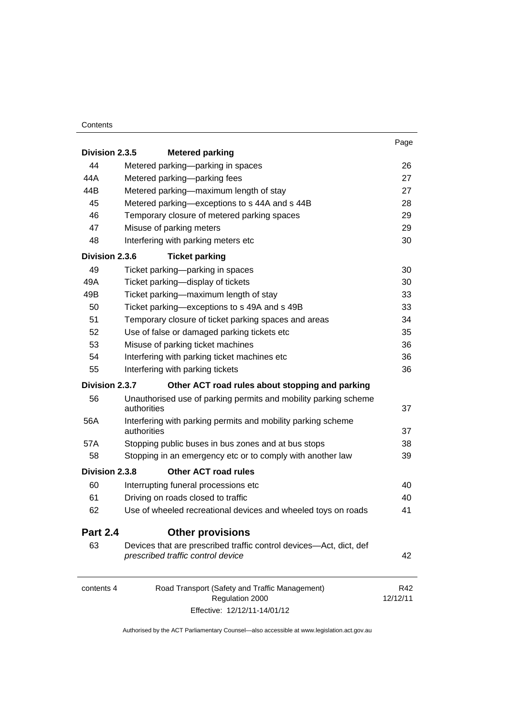#### **Contents**

|                 |                                                                                                         | Page            |
|-----------------|---------------------------------------------------------------------------------------------------------|-----------------|
| Division 2.3.5  | <b>Metered parking</b>                                                                                  |                 |
| 44              | Metered parking-parking in spaces                                                                       | 26              |
| 44A             | Metered parking-parking fees                                                                            | 27              |
| 44B             | Metered parking-maximum length of stay                                                                  | 27              |
| 45              | Metered parking-exceptions to s 44A and s 44B                                                           | 28              |
| 46              | Temporary closure of metered parking spaces                                                             | 29              |
| 47              | Misuse of parking meters                                                                                | 29              |
| 48              | Interfering with parking meters etc                                                                     | 30              |
| Division 2.3.6  | <b>Ticket parking</b>                                                                                   |                 |
| 49              | Ticket parking-parking in spaces                                                                        | 30              |
| 49A             | Ticket parking-display of tickets                                                                       | 30              |
| 49B             | Ticket parking-maximum length of stay                                                                   | 33              |
| 50              | Ticket parking-exceptions to s 49A and s 49B                                                            | 33              |
| 51              | Temporary closure of ticket parking spaces and areas                                                    | 34              |
| 52              | Use of false or damaged parking tickets etc                                                             | 35              |
| 53              | Misuse of parking ticket machines                                                                       | 36              |
| 54              | Interfering with parking ticket machines etc                                                            | 36              |
| 55              | Interfering with parking tickets                                                                        | 36              |
| Division 2.3.7  | Other ACT road rules about stopping and parking                                                         |                 |
| 56              | Unauthorised use of parking permits and mobility parking scheme<br>authorities                          | 37              |
| 56A             | Interfering with parking permits and mobility parking scheme<br>authorities                             | 37              |
| 57A             | Stopping public buses in bus zones and at bus stops                                                     | 38              |
| 58              | Stopping in an emergency etc or to comply with another law                                              | 39              |
| Division 2.3.8  | <b>Other ACT road rules</b>                                                                             |                 |
| 60              | Interrupting funeral processions etc                                                                    | 40              |
| 61              | Driving on roads closed to traffic                                                                      | 40              |
| 62              | Use of wheeled recreational devices and wheeled toys on roads                                           | 41              |
| <b>Part 2.4</b> | <b>Other provisions</b>                                                                                 |                 |
| 63              | Devices that are prescribed traffic control devices—Act, dict, def<br>prescribed traffic control device | 42              |
| contents 4      | Road Transport (Safety and Traffic Management)<br>Regulation 2000                                       | R42<br>12/12/11 |

Effective: 12/12/11-14/01/12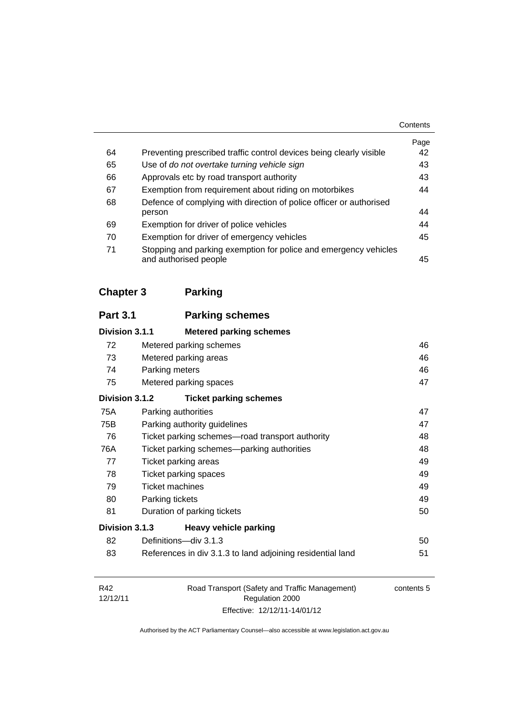|    |                                                                                           | Contents   |
|----|-------------------------------------------------------------------------------------------|------------|
| 64 | Preventing prescribed traffic control devices being clearly visible                       | Page<br>42 |
| 65 | Use of do not overtake turning vehicle sign                                               | 43         |
| 66 | Approvals etc by road transport authority                                                 | 43         |
| 67 | Exemption from requirement about riding on motorbikes                                     | 44         |
| 68 | Defence of complying with direction of police officer or authorised<br>person             | 44         |
| 69 | Exemption for driver of police vehicles                                                   | 44         |
| 70 | Exemption for driver of emergency vehicles                                                | 45         |
| 71 | Stopping and parking exemption for police and emergency vehicles<br>and authorised people | 45         |

**[Chapter 3](#page-64-0) Parking**

| <b>Parking schemes</b>                                     |                                                    |
|------------------------------------------------------------|----------------------------------------------------|
| <b>Metered parking schemes</b>                             |                                                    |
| Metered parking schemes                                    | 46                                                 |
| Metered parking areas                                      | 46                                                 |
| Parking meters                                             | 46                                                 |
| Metered parking spaces                                     | 47                                                 |
| <b>Ticket parking schemes</b>                              |                                                    |
| Parking authorities                                        | 47                                                 |
| Parking authority guidelines                               | 47                                                 |
| Ticket parking schemes-road transport authority            | 48                                                 |
| Ticket parking schemes—parking authorities                 | 48                                                 |
| Ticket parking areas                                       | 49                                                 |
| Ticket parking spaces                                      | 49                                                 |
| <b>Ticket machines</b>                                     | 49                                                 |
| Parking tickets                                            | 49                                                 |
| Duration of parking tickets                                | 50                                                 |
| <b>Heavy vehicle parking</b>                               |                                                    |
| Definitions-div 3.1.3                                      | 50                                                 |
| References in div 3.1.3 to land adjoining residential land | 51                                                 |
|                                                            | Division 3.1.1<br>Division 3.1.2<br>Division 3.1.3 |

| R42      | Road Transport (Safety and Traffic Management) | contents 5 |
|----------|------------------------------------------------|------------|
| 12/12/11 | Regulation 2000                                |            |
|          | Effective: 12/12/11-14/01/12                   |            |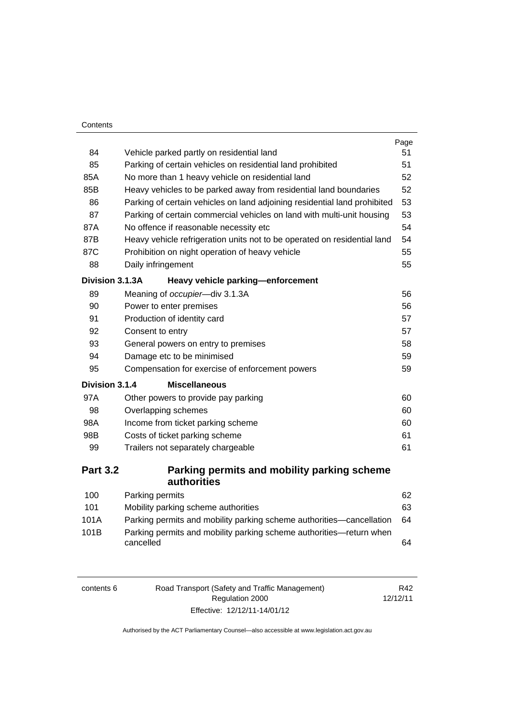| Contents        |                                                                                  |      |
|-----------------|----------------------------------------------------------------------------------|------|
|                 |                                                                                  | Page |
| 84              | Vehicle parked partly on residential land                                        | 51   |
| 85              | Parking of certain vehicles on residential land prohibited                       | 51   |
| 85A             | No more than 1 heavy vehicle on residential land                                 | 52   |
| 85B             | Heavy vehicles to be parked away from residential land boundaries                | 52   |
| 86              | Parking of certain vehicles on land adjoining residential land prohibited        | 53   |
| 87              | Parking of certain commercial vehicles on land with multi-unit housing           | 53   |
| 87A             | No offence if reasonable necessity etc                                           | 54   |
| 87B             | Heavy vehicle refrigeration units not to be operated on residential land         | 54   |
| 87C             | Prohibition on night operation of heavy vehicle                                  | 55   |
| 88              | Daily infringement                                                               | 55   |
| Division 3.1.3A | Heavy vehicle parking-enforcement                                                |      |
| 89              | Meaning of occupier-div 3.1.3A                                                   | 56   |
| 90              | Power to enter premises                                                          | 56   |
| 91              | Production of identity card                                                      | 57   |
| 92              | Consent to entry                                                                 | 57   |
| 93              | General powers on entry to premises                                              | 58   |
| 94              | Damage etc to be minimised                                                       | 59   |
| 95              | Compensation for exercise of enforcement powers                                  | 59   |
| Division 3.1.4  | <b>Miscellaneous</b>                                                             |      |
| 97A             | Other powers to provide pay parking                                              | 60   |
| 98              | Overlapping schemes                                                              | 60   |
| 98A             | Income from ticket parking scheme                                                | 60   |
| 98B             | Costs of ticket parking scheme                                                   | 61   |
| 99              | Trailers not separately chargeable                                               | 61   |
| <b>Part 3.2</b> | Parking permits and mobility parking scheme                                      |      |
|                 | authorities                                                                      |      |
| 100             | Parking permits                                                                  | 62   |
| 101             | Mobility parking scheme authorities                                              | 63   |
| 101A            | Parking permits and mobility parking scheme authorities—cancellation             | 64   |
| 101B            | Parking permits and mobility parking scheme authorities-return when<br>cancelled | 64   |
|                 |                                                                                  |      |

| contents 6 | Road Transport (Safety and Traffic Management) | R42      |
|------------|------------------------------------------------|----------|
|            | Regulation 2000                                | 12/12/11 |
|            | Effective: 12/12/11-14/01/12                   |          |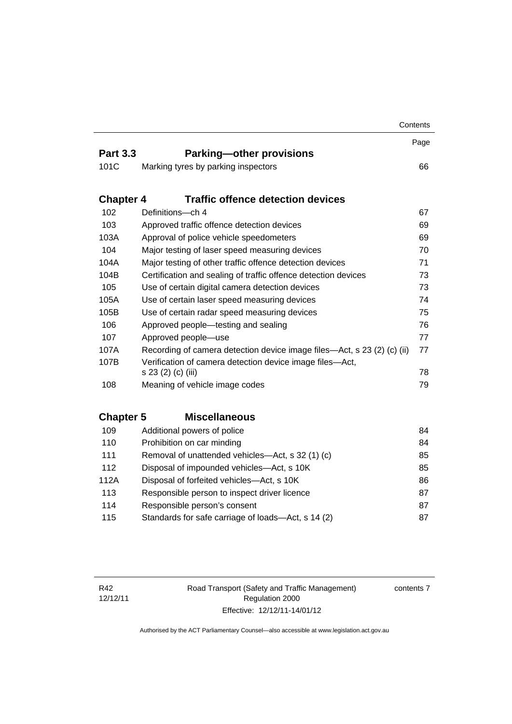|                  |                                                                         | Contents |
|------------------|-------------------------------------------------------------------------|----------|
|                  |                                                                         | Page     |
| <b>Part 3.3</b>  | <b>Parking-other provisions</b>                                         |          |
| 101C             | Marking tyres by parking inspectors                                     | 66       |
| <b>Chapter 4</b> | <b>Traffic offence detection devices</b>                                |          |
| 102              | Definitions-ch 4                                                        | 67       |
| 103              | Approved traffic offence detection devices                              | 69       |
| 103A             | Approval of police vehicle speedometers                                 | 69       |
| 104              | Major testing of laser speed measuring devices                          | 70       |
| 104A             | Major testing of other traffic offence detection devices                | 71       |
| 104B             | Certification and sealing of traffic offence detection devices          | 73       |
| 105              | Use of certain digital camera detection devices                         | 73       |
| 105A             | Use of certain laser speed measuring devices                            | 74       |
| 105B             | Use of certain radar speed measuring devices                            | 75       |
| 106              | Approved people-testing and sealing<br>76                               |          |
| 107              | Approved people-use                                                     | 77       |
| 107A             | Recording of camera detection device image files—Act, s 23 (2) (c) (ii) | 77       |
| 107B             | Verification of camera detection device image files-Act,                |          |
|                  | s 23 (2) (c) (iii)                                                      | 78       |
| 108              | Meaning of vehicle image codes                                          | 79       |
| <b>Chapter 5</b> | <b>Miscellaneous</b>                                                    |          |
| 109              | Additional powers of police                                             | 84       |
| 110              | Prohibition on car minding                                              | 84       |
| 111              | Removal of unattended vehicles—Act, s 32 (1) (c)                        | 85       |
| 112              | Disposal of impounded vehicles-Act, s 10K                               | 85       |
| 112A             | Disposal of forfeited vehicles-Act, s 10K                               | 86       |
| 113              | Responsible person to inspect driver licence                            | 87       |
| 114              | Responsible person's consent                                            | 87       |
| 115              | Standards for safe carriage of loads-Act, s 14 (2)                      | 87       |

contents 7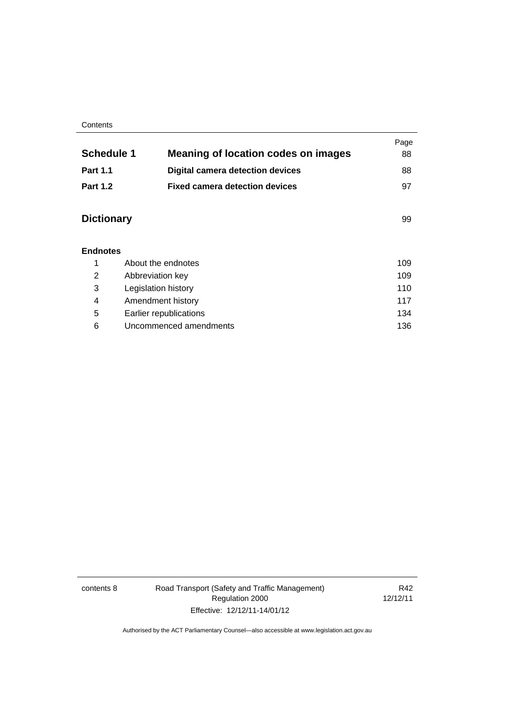#### **Contents**

|                   |                                            | Page |
|-------------------|--------------------------------------------|------|
| <b>Schedule 1</b> | <b>Meaning of location codes on images</b> | 88   |
| <b>Part 1.1</b>   | <b>Digital camera detection devices</b>    | 88   |
| <b>Part 1.2</b>   | <b>Fixed camera detection devices</b>      | 97   |
|                   |                                            |      |
| <b>Dictionary</b> |                                            | 99   |
|                   |                                            |      |
| <b>Endnotes</b>   |                                            |      |
| 1                 | About the endnotes                         | 109  |
| 2                 | Abbreviation key                           | 109  |
| 3                 | Legislation history                        |      |
| 4                 | Amendment history<br>117                   |      |
| 5                 | 134<br>Earlier republications              |      |
| 6                 | Uncommenced amendments                     |      |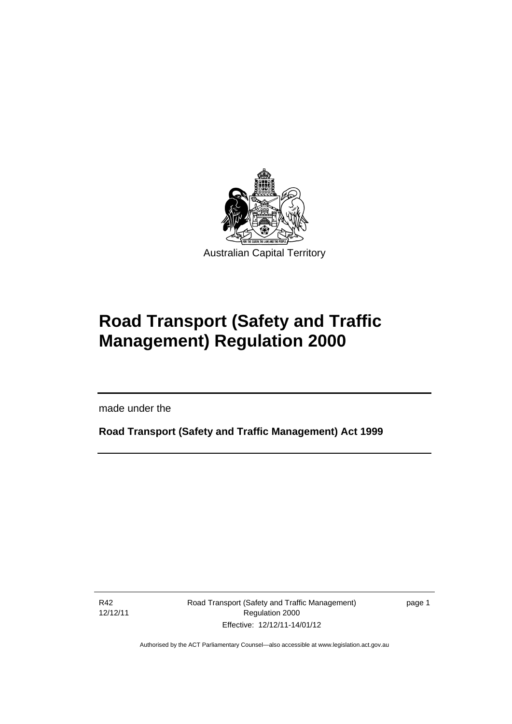

# **Road Transport (Safety and Traffic Management) Regulation 2000**

made under the

**Road Transport (Safety and Traffic Management) Act 1999** 

R42 12/12/11

l

Road Transport (Safety and Traffic Management) Regulation 2000 Effective: 12/12/11-14/01/12

page 1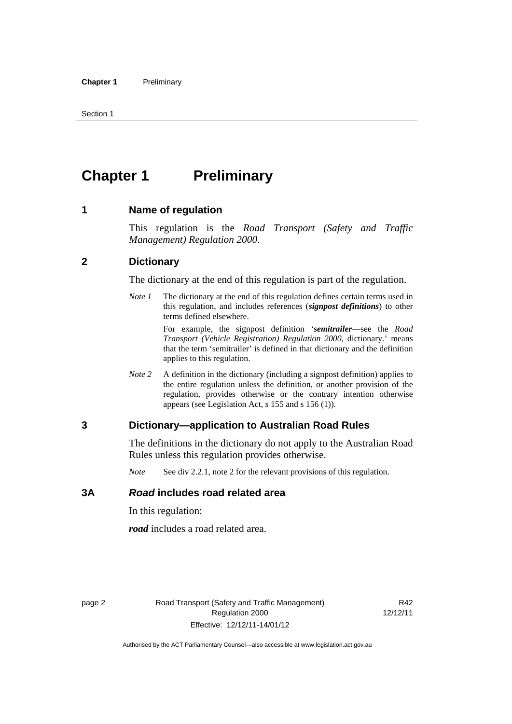# <span id="page-11-0"></span>**Chapter 1** Preliminary

#### <span id="page-11-1"></span>**1 Name of regulation**

This regulation is the *Road Transport (Safety and Traffic Management) Regulation 2000*.

#### <span id="page-11-2"></span>**2 Dictionary**

The dictionary at the end of this regulation is part of the regulation.

*Note 1* The dictionary at the end of this regulation defines certain terms used in this regulation, and includes references (*signpost definitions*) to other terms defined elsewhere.

> For example, the signpost definition '*semitrailer*—see the *Road Transport (Vehicle Registration) Regulation 2000*, dictionary.' means that the term 'semitrailer' is defined in that dictionary and the definition applies to this regulation.

*Note 2* A definition in the dictionary (including a signpost definition) applies to the entire regulation unless the definition, or another provision of the regulation, provides otherwise or the contrary intention otherwise appears (see Legislation Act, s 155 and s 156 (1)).

#### <span id="page-11-3"></span>**3 Dictionary—application to Australian Road Rules**

The definitions in the dictionary do not apply to the Australian Road Rules unless this regulation provides otherwise.

*Note* See div 2.2.1, note 2 for the relevant provisions of this regulation.

#### <span id="page-11-4"></span>**3A** *Road* **includes road related area**

In this regulation:

*road* includes a road related area.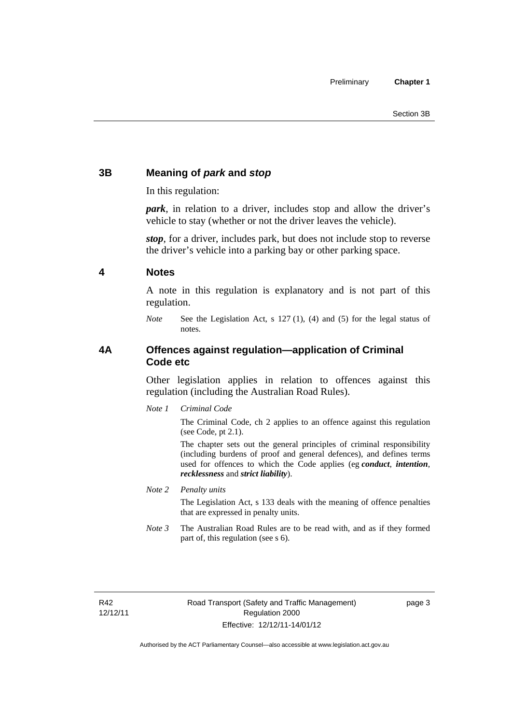## <span id="page-12-0"></span>**3B Meaning of** *park* **and** *stop*

In this regulation:

*park*, in relation to a driver, includes stop and allow the driver's vehicle to stay (whether or not the driver leaves the vehicle).

*stop*, for a driver, includes park, but does not include stop to reverse the driver's vehicle into a parking bay or other parking space.

#### <span id="page-12-1"></span>**4 Notes**

A note in this regulation is explanatory and is not part of this regulation.

*Note* See the Legislation Act, s 127 (1), (4) and (5) for the legal status of notes.

#### <span id="page-12-2"></span>**4A Offences against regulation—application of Criminal Code etc**

Other legislation applies in relation to offences against this regulation (including the Australian Road Rules).

*Note 1 Criminal Code*

The Criminal Code, ch 2 applies to an offence against this regulation (see Code, pt 2.1).

The chapter sets out the general principles of criminal responsibility (including burdens of proof and general defences), and defines terms used for offences to which the Code applies (eg *conduct*, *intention*, *recklessness* and *strict liability*).

*Note 2 Penalty units* 

The Legislation Act, s 133 deals with the meaning of offence penalties that are expressed in penalty units.

*Note 3* The Australian Road Rules are to be read with, and as if they formed part of, this regulation (see s 6).

R42 12/12/11 page 3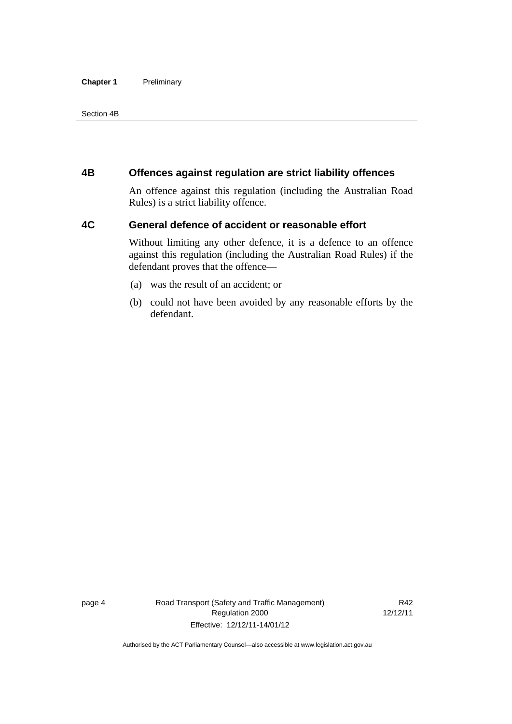#### **Chapter 1** Preliminary

#### Section 4B

#### <span id="page-13-0"></span>**4B Offences against regulation are strict liability offences**

An offence against this regulation (including the Australian Road Rules) is a strict liability offence.

#### <span id="page-13-1"></span>**4C General defence of accident or reasonable effort**

Without limiting any other defence, it is a defence to an offence against this regulation (including the Australian Road Rules) if the defendant proves that the offence—

- (a) was the result of an accident; or
- (b) could not have been avoided by any reasonable efforts by the defendant.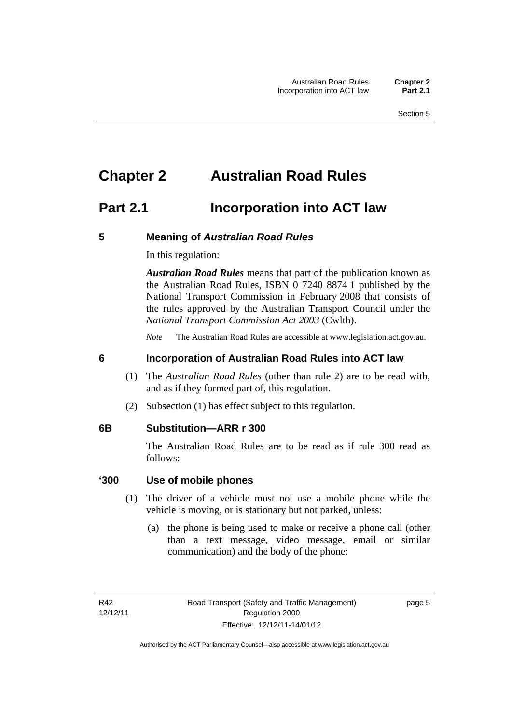# <span id="page-14-0"></span>**Chapter 2 Australian Road Rules**

# <span id="page-14-1"></span>**Part 2.1 Incorporation into ACT law**

#### <span id="page-14-2"></span>**5 Meaning of** *Australian Road Rules*

In this regulation:

*Australian Road Rules* means that part of the publication known as the Australian Road Rules, ISBN 0 7240 8874 1 published by the National Transport Commission in February 2008 that consists of the rules approved by the Australian Transport Council under the *National Transport Commission Act 2003* (Cwlth).

*Note* The Australian Road Rules are accessible at www.legislation.act.gov.au.

#### <span id="page-14-3"></span>**6 Incorporation of Australian Road Rules into ACT law**

- (1) The *Australian Road Rules* (other than rule 2) are to be read with, and as if they formed part of, this regulation.
- (2) Subsection (1) has effect subject to this regulation.

#### <span id="page-14-4"></span>**6B Substitution—ARR r 300**

The Australian Road Rules are to be read as if rule 300 read as follows:

#### **'300 Use of mobile phones**

- (1) The driver of a vehicle must not use a mobile phone while the vehicle is moving, or is stationary but not parked, unless:
	- (a) the phone is being used to make or receive a phone call (other than a text message, video message, email or similar communication) and the body of the phone:

page 5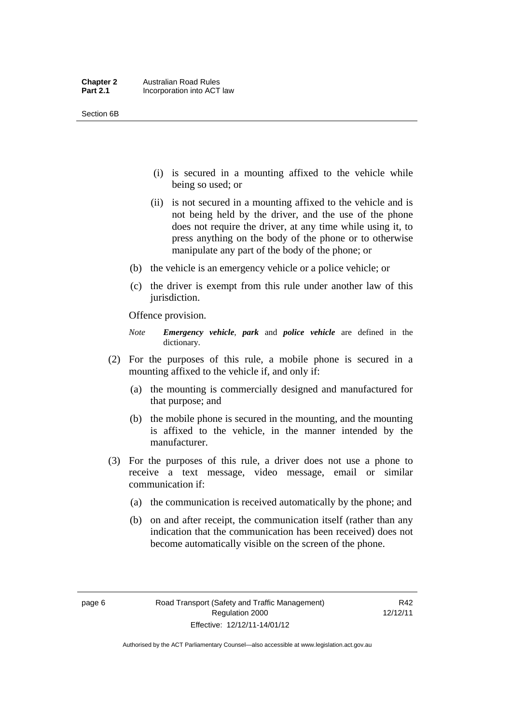- (i) is secured in a mounting affixed to the vehicle while being so used; or
- (ii) is not secured in a mounting affixed to the vehicle and is not being held by the driver, and the use of the phone does not require the driver, at any time while using it, to press anything on the body of the phone or to otherwise manipulate any part of the body of the phone; or
- (b) the vehicle is an emergency vehicle or a police vehicle; or
- (c) the driver is exempt from this rule under another law of this jurisdiction.

Offence provision.

- *Note Emergency vehicle*, *park* and *police vehicle* are defined in the dictionary.
- (2) For the purposes of this rule, a mobile phone is secured in a mounting affixed to the vehicle if, and only if:
	- (a) the mounting is commercially designed and manufactured for that purpose; and
	- (b) the mobile phone is secured in the mounting, and the mounting is affixed to the vehicle, in the manner intended by the manufacturer.
- (3) For the purposes of this rule, a driver does not use a phone to receive a text message, video message, email or similar communication if:
	- (a) the communication is received automatically by the phone; and
	- (b) on and after receipt, the communication itself (rather than any indication that the communication has been received) does not become automatically visible on the screen of the phone.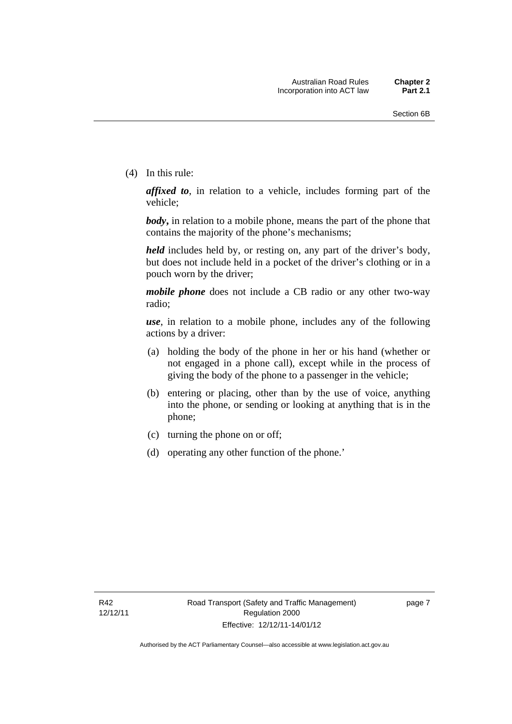(4) In this rule:

*affixed to*, in relation to a vehicle, includes forming part of the vehicle;

*body***,** in relation to a mobile phone, means the part of the phone that contains the majority of the phone's mechanisms;

*held* includes held by, or resting on, any part of the driver's body, but does not include held in a pocket of the driver's clothing or in a pouch worn by the driver;

*mobile phone* does not include a CB radio or any other two-way radio;

*use*, in relation to a mobile phone, includes any of the following actions by a driver:

- (a) holding the body of the phone in her or his hand (whether or not engaged in a phone call), except while in the process of giving the body of the phone to a passenger in the vehicle;
- (b) entering or placing, other than by the use of voice, anything into the phone, or sending or looking at anything that is in the phone;
- (c) turning the phone on or off;
- (d) operating any other function of the phone.'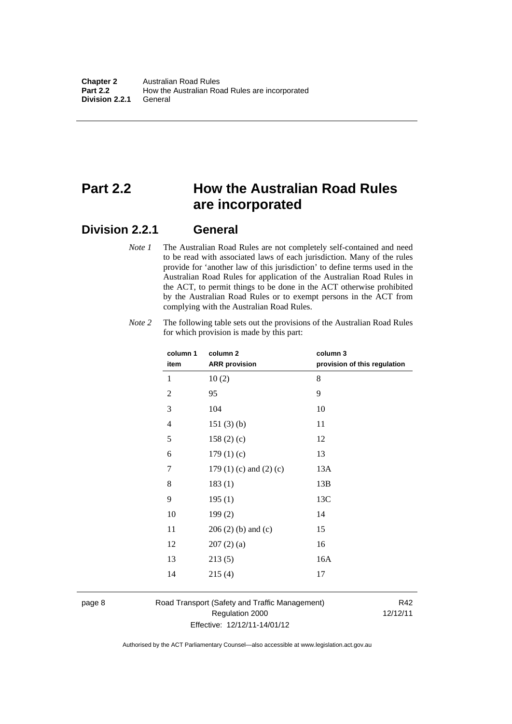# <span id="page-17-0"></span>**Part 2.2 How the Australian Road Rules are incorporated**

#### <span id="page-17-1"></span>**Division 2.2.1 General**

*Note 1* The Australian Road Rules are not completely self-contained and need to be read with associated laws of each jurisdiction. Many of the rules provide for 'another law of this jurisdiction' to define terms used in the Australian Road Rules for application of the Australian Road Rules in the ACT, to permit things to be done in the ACT otherwise prohibited by the Australian Road Rules or to exempt persons in the ACT from complying with the Australian Road Rules.

| Note 2 | The following table sets out the provisions of the Australian Road Rules |
|--------|--------------------------------------------------------------------------|
|        | for which provision is made by this part:                                |

| column 1<br>item | column <sub>2</sub><br><b>ARR</b> provision | column 3<br>provision of this regulation |
|------------------|---------------------------------------------|------------------------------------------|
| 1                | 10(2)                                       | 8                                        |
| $\overline{2}$   | 95                                          | 9                                        |
| 3                | 104                                         | 10                                       |
| 4                | 151(3)(b)                                   | 11                                       |
| 5                | 158(2)(c)                                   | 12                                       |
| 6                | 179(1)(c)                                   | 13                                       |
| 7                | 179 $(1)$ $(c)$ and $(2)$ $(c)$             | 13A                                      |
| 8                | 183(1)                                      | 13B                                      |
| 9                | 195(1)                                      | 13C                                      |
| 10               | 199(2)                                      | 14                                       |
| 11               | $206(2)$ (b) and (c)                        | 15                                       |
| 12               | 207(2)(a)                                   | 16                                       |
| 13               | 213(5)                                      | 16A                                      |
| 14               | 215(4)                                      | 17                                       |

page 8 Road Transport (Safety and Traffic Management) Regulation 2000 Effective: 12/12/11-14/01/12

R42 12/12/11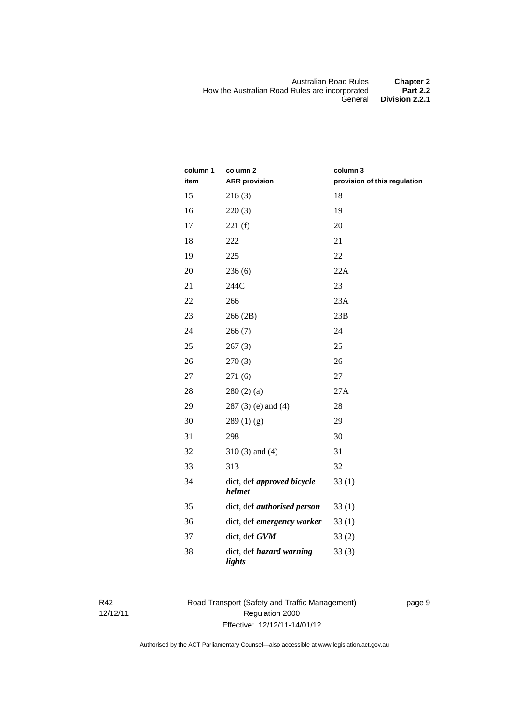| column 1<br>item | column <sub>2</sub>                  | column 3                     |
|------------------|--------------------------------------|------------------------------|
|                  | <b>ARR</b> provision                 | provision of this regulation |
| 15               | 216(3)                               | 18                           |
| 16               | 220(3)                               | 19                           |
| 17               | 221(f)                               | 20                           |
| 18               | 222                                  | 21                           |
| 19               | 225                                  | 22                           |
| 20               | 236(6)                               | 22A                          |
| 21               | 244C                                 | 23                           |
| 22               | 266                                  | 23A                          |
| 23               | 266 (2B)                             | 23B                          |
| 24               | 266(7)                               | 24                           |
| 25               | 267(3)                               | 25                           |
| 26               | 270(3)                               | 26                           |
| 27               | 271(6)                               | 27                           |
| 28               | 280(2)(a)                            | 27A                          |
| 29               | $287(3)$ (e) and (4)                 | 28                           |
| 30               | 289(1)(g)                            | 29                           |
| 31               | 298                                  | 30                           |
| 32               | $310(3)$ and $(4)$                   | 31                           |
| 33               | 313                                  | 32                           |
| 34               | dict, def approved bicycle<br>helmet | 33(1)                        |
| 35               | dict, def <i>authorised</i> person   | 33(1)                        |
| 36               | dict, def emergency worker           | 33(1)                        |
| 37               | dict, def GVM                        | 33(2)                        |
| 38               | dict, def hazard warning<br>lights   | 33(3)                        |

R42 12/12/11 Road Transport (Safety and Traffic Management) Regulation 2000 Effective: 12/12/11-14/01/12

page 9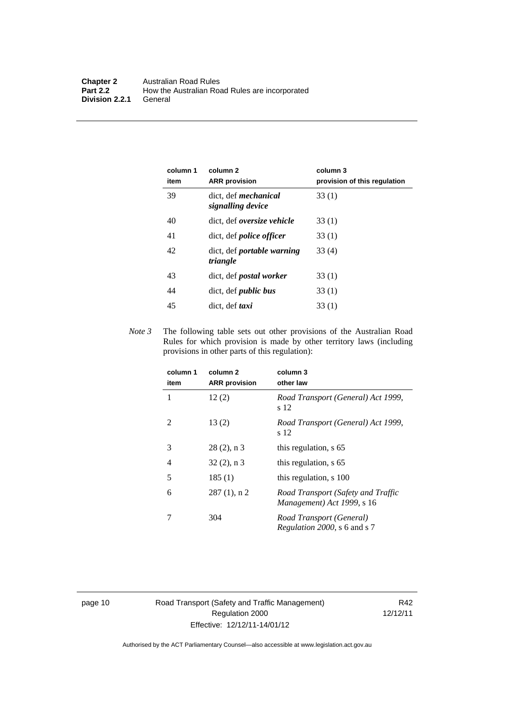| column 1<br>item | column 2<br><b>ARR</b> provision                 | column 3<br>provision of this regulation |
|------------------|--------------------------------------------------|------------------------------------------|
| 39               | dict, def <i>mechanical</i><br>signalling device | 33(1)                                    |
| 40               | dict, def <i>oversize</i> vehicle                | 33(1)                                    |
| 41               | dict, def <i>police officer</i>                  | 33(1)                                    |
| 42               | dict, def <i>portable</i> warning<br>triangle    | 33 (4)                                   |
| 43               | dict, def <i>postal</i> worker                   | 33(1)                                    |
| 44               | dict, def <i>public</i> bus                      | 33(1)                                    |
| 45               | dict, def taxi                                   | 33(1)                                    |

*Note 3* The following table sets out other provisions of the Australian Road Rules for which provision is made by other territory laws (including provisions in other parts of this regulation):

| column 1<br>item | column 2<br><b>ARR</b> provision | column 3<br>other law                                            |
|------------------|----------------------------------|------------------------------------------------------------------|
| 1                | 12(2)                            | Road Transport (General) Act 1999,<br>s 12                       |
| 2                | 13(2)                            | Road Transport (General) Act 1999,<br>s 12                       |
| 3                | $28(2)$ , n 3                    | this regulation, s 65                                            |
| 4                | $32(2)$ , n 3                    | this regulation, s 65                                            |
| 5                | 185(1)                           | this regulation, s 100                                           |
| 6                | $287(1)$ , n 2                   | Road Transport (Safety and Traffic<br>Management) Act 1999, s 16 |
|                  | 304                              | Road Transport (General)<br>Regulation 2000, s 6 and s 7         |

page 10 Road Transport (Safety and Traffic Management) Regulation 2000 Effective: 12/12/11-14/01/12

R42 12/12/11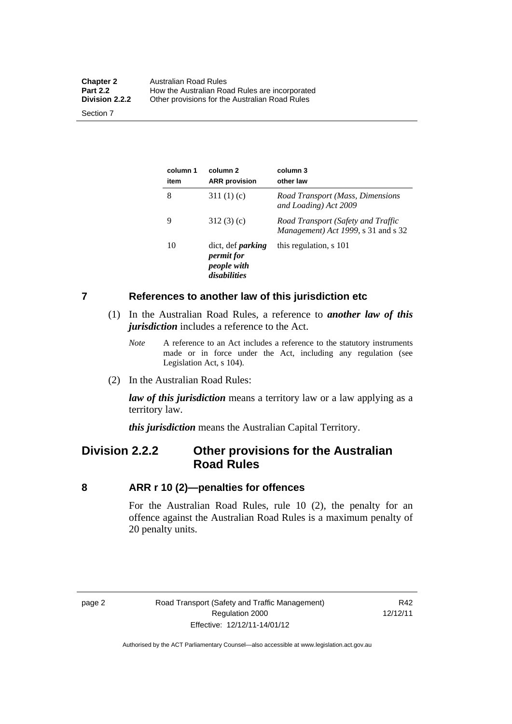| Australian Road Rules                          |
|------------------------------------------------|
| How the Australian Road Rules are incorporated |
| Other provisions for the Australian Road Rules |
|                                                |

Section 7

| column 1<br>item | column 2<br><b>ARR</b> provision                                             | column 3<br>other law                                                     |
|------------------|------------------------------------------------------------------------------|---------------------------------------------------------------------------|
| 8                | 311 $(1)(c)$                                                                 | Road Transport (Mass, Dimensions<br>and Loading) Act 2009                 |
| 9                | 312(3)(c)                                                                    | Road Transport (Safety and Traffic<br>Management) Act 1999, s 31 and s 32 |
| 10               | dict, def <i>parking</i><br><i>permit for</i><br>people with<br>disabilities | this regulation, s 101                                                    |

#### <span id="page-20-0"></span>**7 References to another law of this jurisdiction etc**

- (1) In the Australian Road Rules, a reference to *another law of this jurisdiction* includes a reference to the Act.
	- *Note* A reference to an Act includes a reference to the statutory instruments made or in force under the Act, including any regulation (see Legislation Act, s 104).
- (2) In the Australian Road Rules:

*law of this jurisdiction* means a territory law or a law applying as a territory law.

*this jurisdiction* means the Australian Capital Territory.

# <span id="page-20-1"></span>**Division 2.2.2 Other provisions for the Australian Road Rules**

#### <span id="page-20-2"></span>**8 ARR r 10 (2)—penalties for offences**

For the Australian Road Rules, rule 10 (2), the penalty for an offence against the Australian Road Rules is a maximum penalty of 20 penalty units.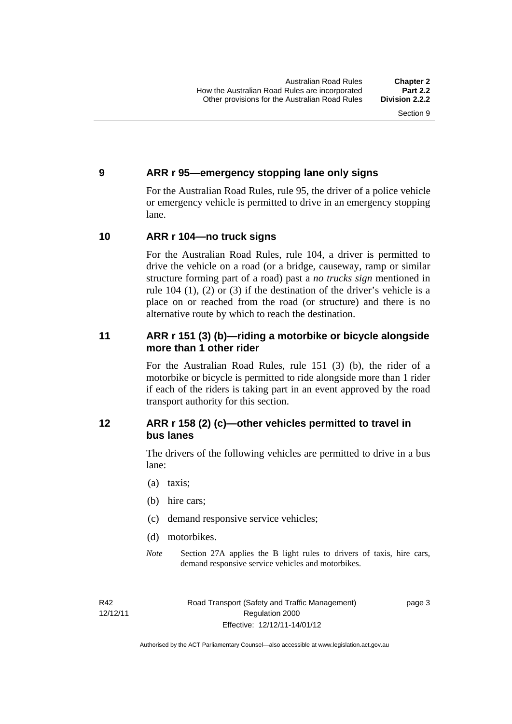#### <span id="page-21-0"></span>**9 ARR r 95—emergency stopping lane only signs**

For the Australian Road Rules, rule 95, the driver of a police vehicle or emergency vehicle is permitted to drive in an emergency stopping lane.

#### <span id="page-21-1"></span>**10 ARR r 104—no truck signs**

For the Australian Road Rules, rule 104, a driver is permitted to drive the vehicle on a road (or a bridge, causeway, ramp or similar structure forming part of a road) past a *no trucks sign* mentioned in rule 104 (1), (2) or (3) if the destination of the driver's vehicle is a place on or reached from the road (or structure) and there is no alternative route by which to reach the destination.

#### <span id="page-21-2"></span>**11 ARR r 151 (3) (b)—riding a motorbike or bicycle alongside more than 1 other rider**

For the Australian Road Rules, rule 151 (3) (b), the rider of a motorbike or bicycle is permitted to ride alongside more than 1 rider if each of the riders is taking part in an event approved by the road transport authority for this section.

## <span id="page-21-3"></span>**12 ARR r 158 (2) (c)—other vehicles permitted to travel in bus lanes**

The drivers of the following vehicles are permitted to drive in a bus lane:

- (a) taxis;
- (b) hire cars;
- (c) demand responsive service vehicles;
- (d) motorbikes.
- *Note* Section 27A applies the B light rules to drivers of taxis, hire cars, demand responsive service vehicles and motorbikes.

R42 12/12/11 Road Transport (Safety and Traffic Management) Regulation 2000 Effective: 12/12/11-14/01/12

page 3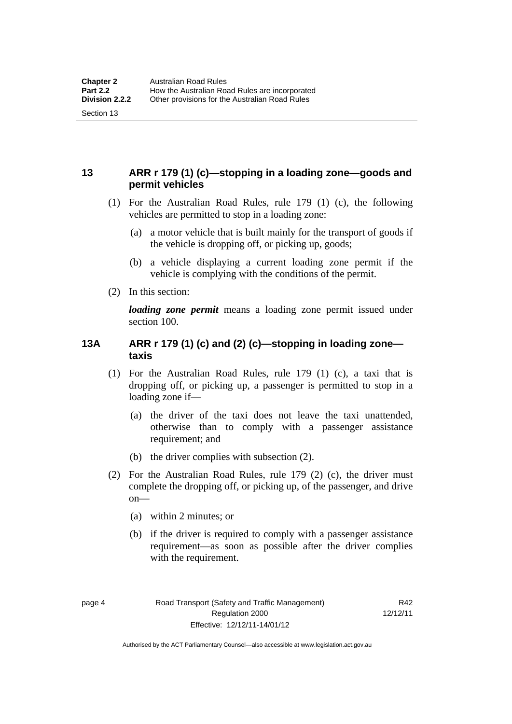#### <span id="page-22-0"></span>**13 ARR r 179 (1) (c)—stopping in a loading zone—goods and permit vehicles**

- (1) For the Australian Road Rules, rule 179 (1) (c), the following vehicles are permitted to stop in a loading zone:
	- (a) a motor vehicle that is built mainly for the transport of goods if the vehicle is dropping off, or picking up, goods;
	- (b) a vehicle displaying a current loading zone permit if the vehicle is complying with the conditions of the permit.
- (2) In this section:

Section 13

*loading zone permit* means a loading zone permit issued under section 100.

### <span id="page-22-1"></span>**13A ARR r 179 (1) (c) and (2) (c)—stopping in loading zone taxis**

- (1) For the Australian Road Rules, rule 179 (1) (c), a taxi that is dropping off, or picking up, a passenger is permitted to stop in a loading zone if—
	- (a) the driver of the taxi does not leave the taxi unattended, otherwise than to comply with a passenger assistance requirement; and
	- (b) the driver complies with subsection (2).
- (2) For the Australian Road Rules, rule 179 (2) (c), the driver must complete the dropping off, or picking up, of the passenger, and drive on—
	- (a) within 2 minutes; or
	- (b) if the driver is required to comply with a passenger assistance requirement—as soon as possible after the driver complies with the requirement.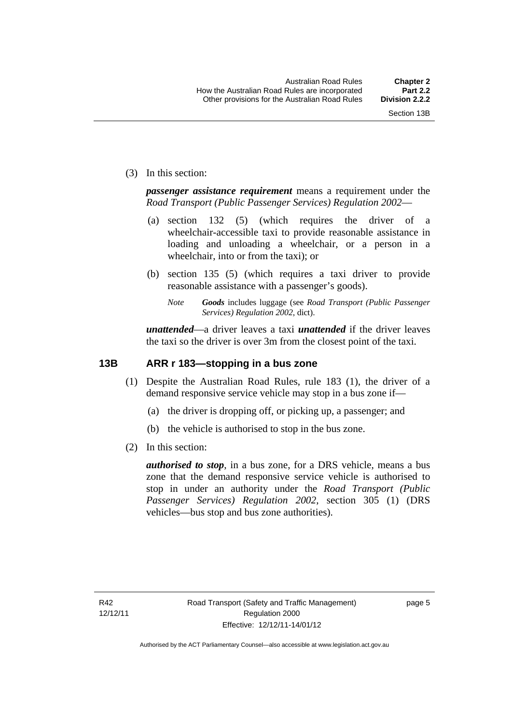(3) In this section:

*passenger assistance requirement* means a requirement under the *Road Transport (Public Passenger Services) Regulation 2002*—

- (a) section 132 (5) (which requires the driver of a wheelchair-accessible taxi to provide reasonable assistance in loading and unloading a wheelchair, or a person in a wheelchair, into or from the taxi); or
- (b) section 135 (5) (which requires a taxi driver to provide reasonable assistance with a passenger's goods).
	- *Note Goods* includes luggage (see *Road Transport (Public Passenger Services) Regulation 2002*, dict).

*unattended*—a driver leaves a taxi *unattended* if the driver leaves the taxi so the driver is over 3m from the closest point of the taxi.

#### <span id="page-23-0"></span>**13B ARR r 183—stopping in a bus zone**

- (1) Despite the Australian Road Rules, rule 183 (1), the driver of a demand responsive service vehicle may stop in a bus zone if—
	- (a) the driver is dropping off, or picking up, a passenger; and
	- (b) the vehicle is authorised to stop in the bus zone.
- (2) In this section:

*authorised to stop*, in a bus zone, for a DRS vehicle, means a bus zone that the demand responsive service vehicle is authorised to stop in under an authority under the *Road Transport (Public Passenger Services) Regulation 2002*, section 305 (1) (DRS vehicles—bus stop and bus zone authorities).

page 5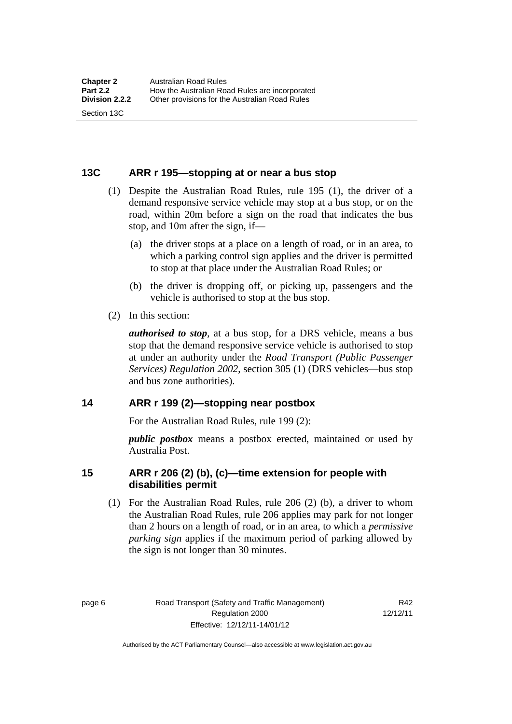#### <span id="page-24-0"></span>**13C ARR r 195—stopping at or near a bus stop**

- (1) Despite the Australian Road Rules, rule 195 (1), the driver of a demand responsive service vehicle may stop at a bus stop, or on the road, within 20m before a sign on the road that indicates the bus stop, and 10m after the sign, if—
	- (a) the driver stops at a place on a length of road, or in an area, to which a parking control sign applies and the driver is permitted to stop at that place under the Australian Road Rules; or
	- (b) the driver is dropping off, or picking up, passengers and the vehicle is authorised to stop at the bus stop.
- (2) In this section:

Section 13C

*authorised to stop*, at a bus stop, for a DRS vehicle, means a bus stop that the demand responsive service vehicle is authorised to stop at under an authority under the *Road Transport (Public Passenger Services) Regulation 2002*, section 305 (1) (DRS vehicles—bus stop and bus zone authorities).

#### <span id="page-24-1"></span>**14 ARR r 199 (2)—stopping near postbox**

For the Australian Road Rules, rule 199 (2):

*public postbox* means a postbox erected, maintained or used by Australia Post.

#### <span id="page-24-2"></span>**15 ARR r 206 (2) (b), (c)—time extension for people with disabilities permit**

 (1) For the Australian Road Rules, rule 206 (2) (b), a driver to whom the Australian Road Rules, rule 206 applies may park for not longer than 2 hours on a length of road, or in an area, to which a *permissive parking sign* applies if the maximum period of parking allowed by the sign is not longer than 30 minutes.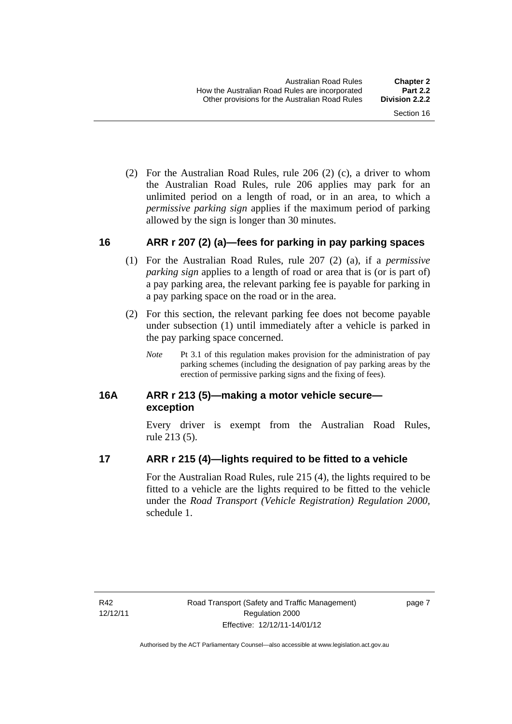(2) For the Australian Road Rules, rule 206 (2) (c), a driver to whom the Australian Road Rules, rule 206 applies may park for an unlimited period on a length of road, or in an area, to which a *permissive parking sign* applies if the maximum period of parking allowed by the sign is longer than 30 minutes.

#### <span id="page-25-0"></span>**16 ARR r 207 (2) (a)—fees for parking in pay parking spaces**

- (1) For the Australian Road Rules, rule 207 (2) (a), if a *permissive parking sign* applies to a length of road or area that is (or is part of) a pay parking area, the relevant parking fee is payable for parking in a pay parking space on the road or in the area.
- (2) For this section, the relevant parking fee does not become payable under subsection (1) until immediately after a vehicle is parked in the pay parking space concerned.
	- *Note* Pt 3.1 of this regulation makes provision for the administration of pay parking schemes (including the designation of pay parking areas by the erection of permissive parking signs and the fixing of fees).

#### <span id="page-25-1"></span>**16A ARR r 213 (5)—making a motor vehicle secure exception**

Every driver is exempt from the Australian Road Rules, rule 213 (5).

## <span id="page-25-2"></span>**17 ARR r 215 (4)—lights required to be fitted to a vehicle**

For the Australian Road Rules, rule 215 (4), the lights required to be fitted to a vehicle are the lights required to be fitted to the vehicle under the *Road Transport (Vehicle Registration) Regulation 2000,*  schedule 1.

page 7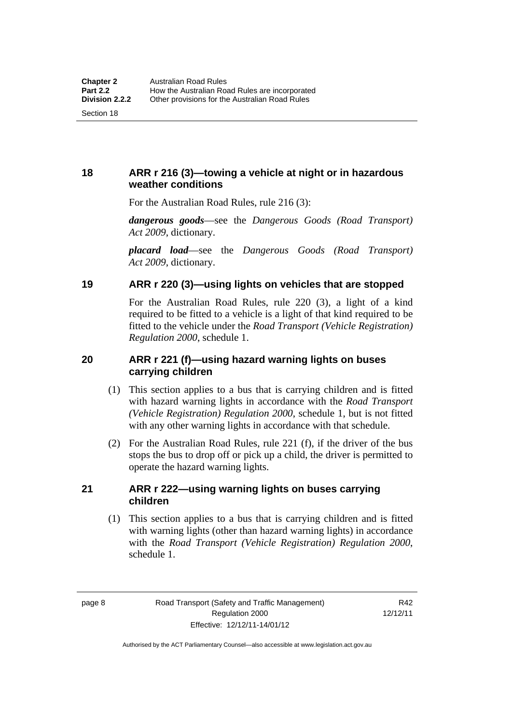Section 18

<span id="page-26-0"></span>**18 ARR r 216 (3)—towing a vehicle at night or in hazardous weather conditions** 

For the Australian Road Rules, rule 216 (3):

*dangerous goods*—see the *Dangerous Goods (Road Transport) Act 2009*, dictionary.

*placard load*—see the *Dangerous Goods (Road Transport) Act 2009*, dictionary.

#### <span id="page-26-1"></span>**19 ARR r 220 (3)—using lights on vehicles that are stopped**

For the Australian Road Rules, rule 220 (3), a light of a kind required to be fitted to a vehicle is a light of that kind required to be fitted to the vehicle under the *Road Transport (Vehicle Registration) Regulation 2000*, schedule 1.

#### <span id="page-26-2"></span>**20 ARR r 221 (f)—using hazard warning lights on buses carrying children**

- (1) This section applies to a bus that is carrying children and is fitted with hazard warning lights in accordance with the *Road Transport (Vehicle Registration) Regulation 2000*, schedule 1, but is not fitted with any other warning lights in accordance with that schedule.
- (2) For the Australian Road Rules, rule 221 (f), if the driver of the bus stops the bus to drop off or pick up a child, the driver is permitted to operate the hazard warning lights.

#### <span id="page-26-3"></span>**21 ARR r 222—using warning lights on buses carrying children**

(1) This section applies to a bus that is carrying children and is fitted with warning lights (other than hazard warning lights) in accordance with the *Road Transport (Vehicle Registration) Regulation 2000*, schedule 1.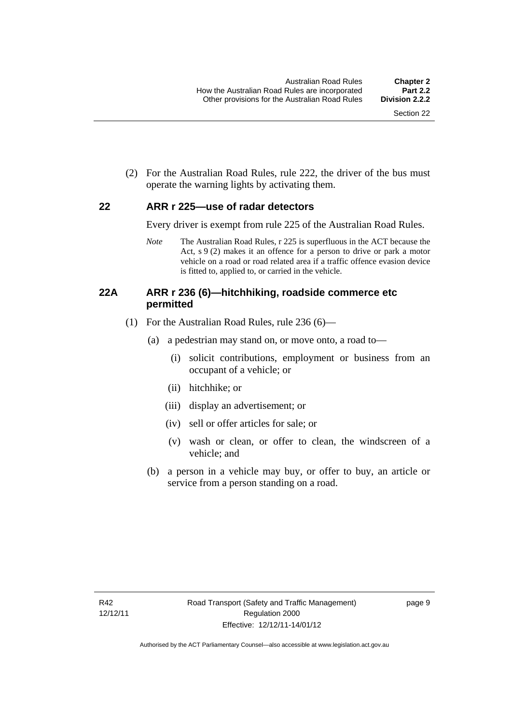(2) For the Australian Road Rules, rule 222, the driver of the bus must operate the warning lights by activating them.

#### <span id="page-27-0"></span>**22 ARR r 225—use of radar detectors**

Every driver is exempt from rule 225 of the Australian Road Rules.

*Note* The Australian Road Rules, r 225 is superfluous in the ACT because the Act, s 9 (2) makes it an offence for a person to drive or park a motor vehicle on a road or road related area if a traffic offence evasion device is fitted to, applied to, or carried in the vehicle.

#### <span id="page-27-1"></span>**22A ARR r 236 (6)—hitchhiking, roadside commerce etc permitted**

- (1) For the Australian Road Rules, rule 236 (6)—
	- (a) a pedestrian may stand on, or move onto, a road to—
		- (i) solicit contributions, employment or business from an occupant of a vehicle; or
		- (ii) hitchhike; or
		- (iii) display an advertisement; or
		- (iv) sell or offer articles for sale; or
		- (v) wash or clean, or offer to clean, the windscreen of a vehicle; and
	- (b) a person in a vehicle may buy, or offer to buy, an article or service from a person standing on a road.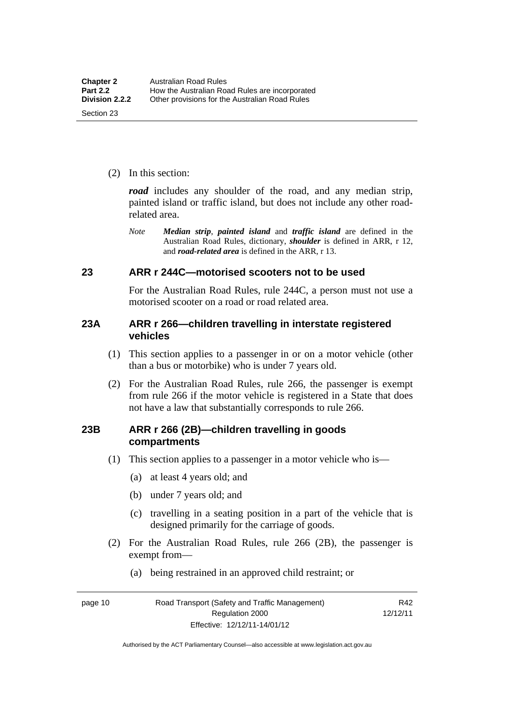(2) In this section:

*road* includes any shoulder of the road, and any median strip, painted island or traffic island, but does not include any other roadrelated area.

*Note Median strip*, *painted island* and *traffic island* are defined in the Australian Road Rules, dictionary, *shoulder* is defined in ARR, r 12, and *road-related area* is defined in the ARR, r 13.

#### <span id="page-28-0"></span>**23 ARR r 244C—motorised scooters not to be used**

For the Australian Road Rules, rule 244C, a person must not use a motorised scooter on a road or road related area.

#### <span id="page-28-1"></span>**23A ARR r 266—children travelling in interstate registered vehicles**

- (1) This section applies to a passenger in or on a motor vehicle (other than a bus or motorbike) who is under 7 years old.
- (2) For the Australian Road Rules, rule 266, the passenger is exempt from rule 266 if the motor vehicle is registered in a State that does not have a law that substantially corresponds to rule 266.

#### <span id="page-28-2"></span>**23B ARR r 266 (2B)—children travelling in goods compartments**

- (1) This section applies to a passenger in a motor vehicle who is—
	- (a) at least 4 years old; and
	- (b) under 7 years old; and
	- (c) travelling in a seating position in a part of the vehicle that is designed primarily for the carriage of goods.
- (2) For the Australian Road Rules, rule 266 (2B), the passenger is exempt from—
	- (a) being restrained in an approved child restraint; or

page 10 Road Transport (Safety and Traffic Management) Regulation 2000 Effective: 12/12/11-14/01/12

R42 12/12/11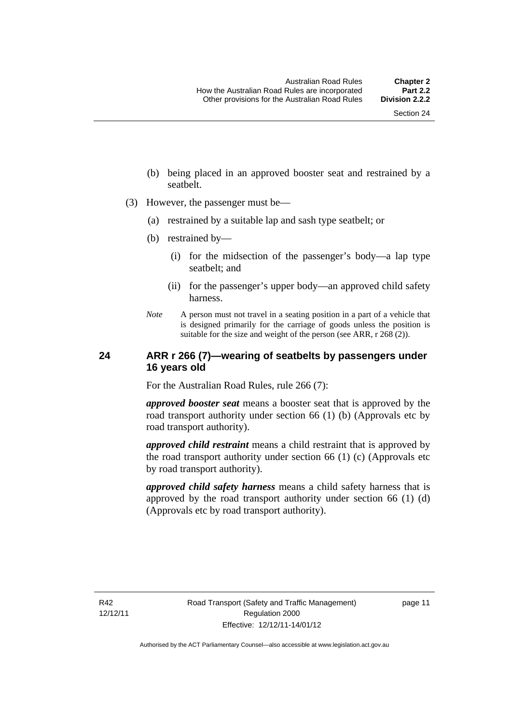- (b) being placed in an approved booster seat and restrained by a seatbelt.
- (3) However, the passenger must be—
	- (a) restrained by a suitable lap and sash type seatbelt; or
	- (b) restrained by—
		- (i) for the midsection of the passenger's body—a lap type seatbelt; and
		- (ii) for the passenger's upper body—an approved child safety harness.
	- *Note* A person must not travel in a seating position in a part of a vehicle that is designed primarily for the carriage of goods unless the position is suitable for the size and weight of the person (see ARR, r 268 (2)).

#### <span id="page-29-0"></span>**24 ARR r 266 (7)—wearing of seatbelts by passengers under 16 years old**

For the Australian Road Rules, rule 266 (7):

*approved booster seat* means a booster seat that is approved by the road transport authority under section 66 (1) (b) (Approvals etc by road transport authority).

*approved child restraint* means a child restraint that is approved by the road transport authority under section 66 (1) (c) (Approvals etc by road transport authority).

*approved child safety harness* means a child safety harness that is approved by the road transport authority under section 66 (1) (d) (Approvals etc by road transport authority).

R42 12/12/11 page 11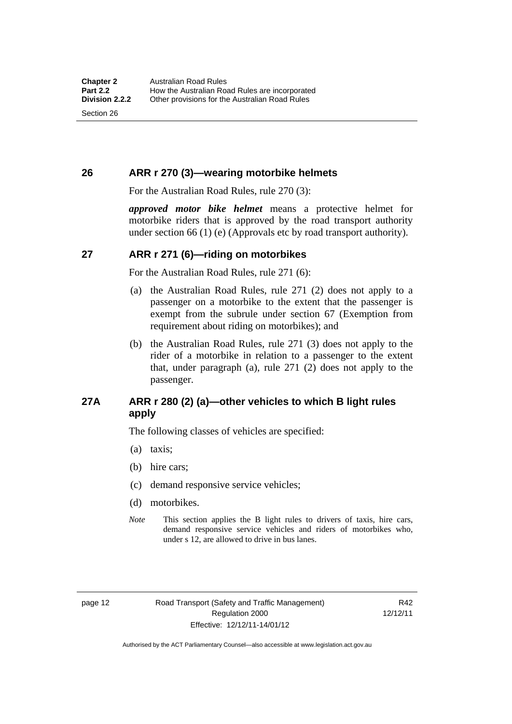Section 26

## <span id="page-30-0"></span>**26 ARR r 270 (3)—wearing motorbike helmets**

For the Australian Road Rules, rule 270 (3):

*approved motor bike helmet* means a protective helmet for motorbike riders that is approved by the road transport authority under section 66 (1) (e) (Approvals etc by road transport authority).

## <span id="page-30-1"></span>**27 ARR r 271 (6)—riding on motorbikes**

For the Australian Road Rules, rule 271 (6):

- (a) the Australian Road Rules, rule 271 (2) does not apply to a passenger on a motorbike to the extent that the passenger is exempt from the subrule under section 67 (Exemption from requirement about riding on motorbikes); and
- (b) the Australian Road Rules, rule 271 (3) does not apply to the rider of a motorbike in relation to a passenger to the extent that, under paragraph (a), rule 271 (2) does not apply to the passenger.

# <span id="page-30-2"></span>**27A ARR r 280 (2) (a)—other vehicles to which B light rules apply**

The following classes of vehicles are specified:

- (a) taxis;
- (b) hire cars;
- (c) demand responsive service vehicles;
- (d) motorbikes.
- *Note* This section applies the B light rules to drivers of taxis, hire cars, demand responsive service vehicles and riders of motorbikes who, under s 12, are allowed to drive in bus lanes.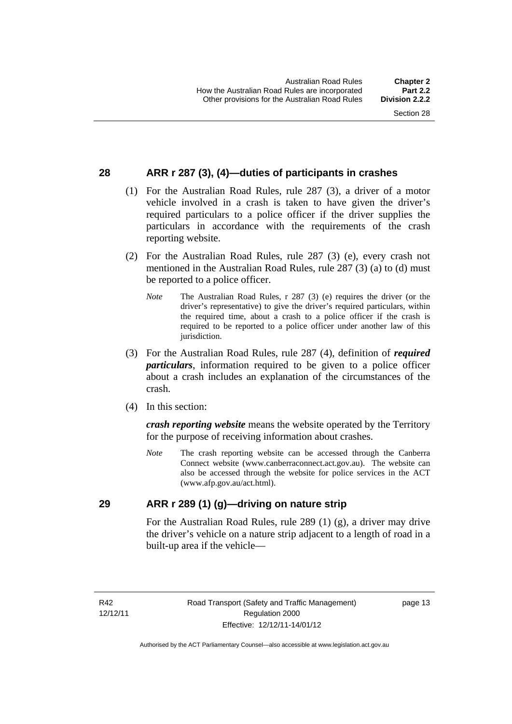## <span id="page-31-0"></span>**28 ARR r 287 (3), (4)—duties of participants in crashes**

- (1) For the Australian Road Rules, rule 287 (3), a driver of a motor vehicle involved in a crash is taken to have given the driver's required particulars to a police officer if the driver supplies the particulars in accordance with the requirements of the crash reporting website.
- (2) For the Australian Road Rules, rule 287 (3) (e), every crash not mentioned in the Australian Road Rules, rule 287 (3) (a) to (d) must be reported to a police officer.
	- *Note* The Australian Road Rules, r 287 (3) (e) requires the driver (or the driver's representative) to give the driver's required particulars, within the required time, about a crash to a police officer if the crash is required to be reported to a police officer under another law of this jurisdiction.
- (3) For the Australian Road Rules, rule 287 (4), definition of *required particulars*, information required to be given to a police officer about a crash includes an explanation of the circumstances of the crash.
- (4) In this section:

*crash reporting website* means the website operated by the Territory for the purpose of receiving information about crashes.

*Note* The crash reporting website can be accessed through the Canberra Connect website (www.canberraconnect.act.gov.au). The website can also be accessed through the website for police services in the ACT (www.afp.gov.au/act.html).

#### <span id="page-31-1"></span>**29 ARR r 289 (1) (g)—driving on nature strip**

For the Australian Road Rules, rule 289 (1) (g), a driver may drive the driver's vehicle on a nature strip adjacent to a length of road in a built-up area if the vehicle—

R42 12/12/11 page 13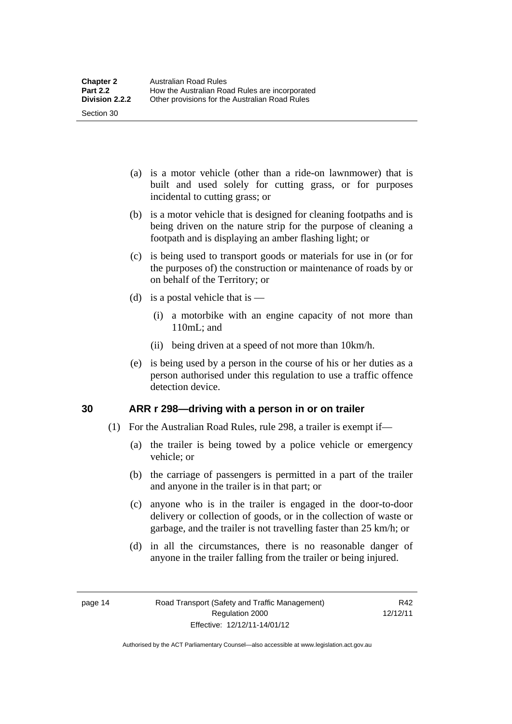- (a) is a motor vehicle (other than a ride-on lawnmower) that is built and used solely for cutting grass, or for purposes incidental to cutting grass; or
- (b) is a motor vehicle that is designed for cleaning footpaths and is being driven on the nature strip for the purpose of cleaning a footpath and is displaying an amber flashing light; or
- (c) is being used to transport goods or materials for use in (or for the purposes of) the construction or maintenance of roads by or on behalf of the Territory; or
- (d) is a postal vehicle that is
	- (i) a motorbike with an engine capacity of not more than 110mL; and
	- (ii) being driven at a speed of not more than 10km/h.
- (e) is being used by a person in the course of his or her duties as a person authorised under this regulation to use a traffic offence detection device.

## <span id="page-32-0"></span>**30 ARR r 298—driving with a person in or on trailer**

- (1) For the Australian Road Rules, rule 298, a trailer is exempt if—
	- (a) the trailer is being towed by a police vehicle or emergency vehicle; or
	- (b) the carriage of passengers is permitted in a part of the trailer and anyone in the trailer is in that part; or
	- (c) anyone who is in the trailer is engaged in the door-to-door delivery or collection of goods, or in the collection of waste or garbage, and the trailer is not travelling faster than 25 km/h; or
	- (d) in all the circumstances, there is no reasonable danger of anyone in the trailer falling from the trailer or being injured.

Section 30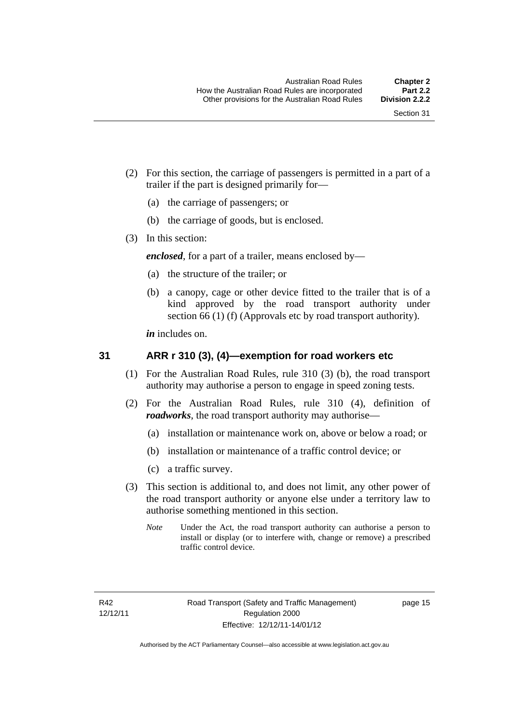- (2) For this section, the carriage of passengers is permitted in a part of a trailer if the part is designed primarily for—
	- (a) the carriage of passengers; or
	- (b) the carriage of goods, but is enclosed.
- (3) In this section:

*enclosed*, for a part of a trailer, means enclosed by—

- (a) the structure of the trailer; or
- (b) a canopy, cage or other device fitted to the trailer that is of a kind approved by the road transport authority under section 66 (1) (f) (Approvals etc by road transport authority).

*in* includes on.

#### <span id="page-33-0"></span>**31 ARR r 310 (3), (4)—exemption for road workers etc**

- (1) For the Australian Road Rules, rule 310 (3) (b), the road transport authority may authorise a person to engage in speed zoning tests.
- (2) For the Australian Road Rules, rule 310 (4), definition of *roadworks*, the road transport authority may authorise—
	- (a) installation or maintenance work on, above or below a road; or
	- (b) installation or maintenance of a traffic control device; or
	- (c) a traffic survey.
- (3) This section is additional to, and does not limit, any other power of the road transport authority or anyone else under a territory law to authorise something mentioned in this section.
	- *Note* Under the Act, the road transport authority can authorise a person to install or display (or to interfere with, change or remove) a prescribed traffic control device.

page 15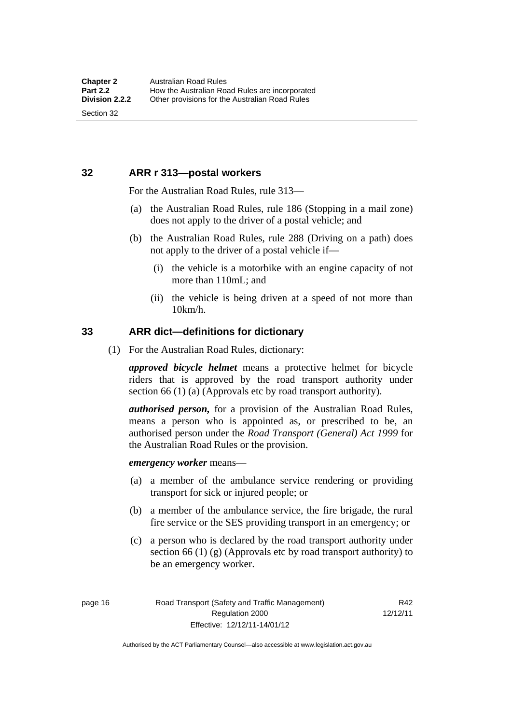### <span id="page-34-0"></span>**32 ARR r 313—postal workers**

For the Australian Road Rules, rule 313—

- (a) the Australian Road Rules, rule 186 (Stopping in a mail zone) does not apply to the driver of a postal vehicle; and
- (b) the Australian Road Rules, rule 288 (Driving on a path) does not apply to the driver of a postal vehicle if—
	- (i) the vehicle is a motorbike with an engine capacity of not more than 110mL; and
	- (ii) the vehicle is being driven at a speed of not more than 10km/h.

#### <span id="page-34-1"></span>**33 ARR dict—definitions for dictionary**

(1) For the Australian Road Rules, dictionary:

*approved bicycle helmet* means a protective helmet for bicycle riders that is approved by the road transport authority under section 66 (1) (a) (Approvals etc by road transport authority).

*authorised person,* for a provision of the Australian Road Rules, means a person who is appointed as, or prescribed to be, an authorised person under the *Road Transport (General) Act 1999* for the Australian Road Rules or the provision.

*emergency worker* means—

- (a) a member of the ambulance service rendering or providing transport for sick or injured people; or
- (b) a member of the ambulance service, the fire brigade, the rural fire service or the SES providing transport in an emergency; or
- (c) a person who is declared by the road transport authority under section 66 (1) (g) (Approvals etc by road transport authority) to be an emergency worker.

page 16 Road Transport (Safety and Traffic Management) Regulation 2000 Effective: 12/12/11-14/01/12

R42 12/12/11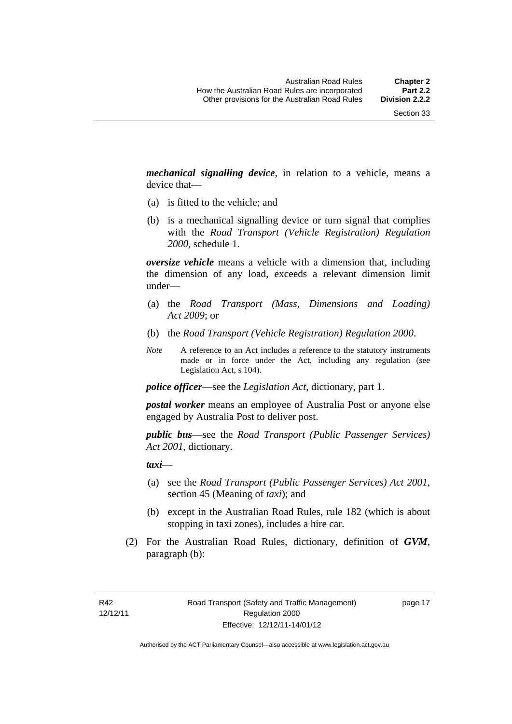*mechanical signalling device*, in relation to a vehicle, means a device that—

- (a) is fitted to the vehicle; and
- (b) is a mechanical signalling device or turn signal that complies with the *Road Transport (Vehicle Registration) Regulation 2000*, schedule 1.

*oversize vehicle* means a vehicle with a dimension that, including the dimension of any load, exceeds a relevant dimension limit under—

- (a) the *Road Transport (Mass, Dimensions and Loading) Act 2009*; or
- (b) the *Road Transport (Vehicle Registration) Regulation 2000*.
- *Note* A reference to an Act includes a reference to the statutory instruments made or in force under the Act, including any regulation (see Legislation Act, s 104).

*police officer*—see the *Legislation Act*, dictionary, part 1.

*postal worker* means an employee of Australia Post or anyone else engaged by Australia Post to deliver post.

*public bus*—see the *Road Transport (Public Passenger Services) Act 2001*, dictionary.

*taxi*—

- (a) see the *Road Transport (Public Passenger Services) Act 2001*, section 45 (Meaning of *taxi*); and
- (b) except in the Australian Road Rules, rule 182 (which is about stopping in taxi zones), includes a hire car.
- (2) For the Australian Road Rules, dictionary, definition of *GVM*, paragraph (b):

page 17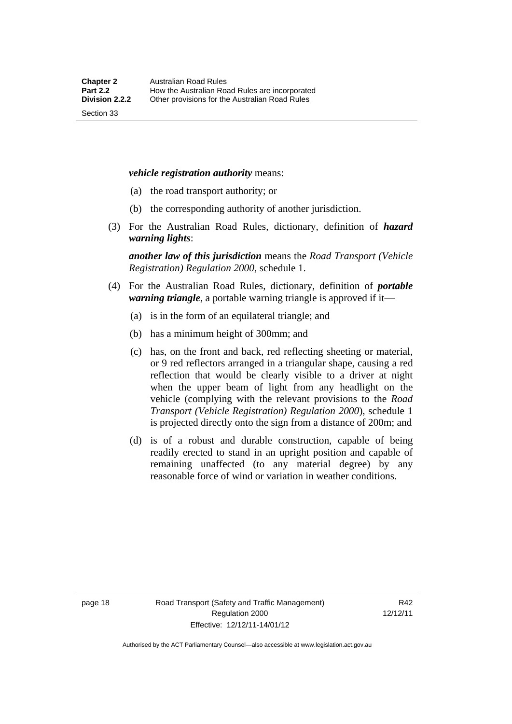#### *vehicle registration authority* means:

- (a) the road transport authority; or
- (b) the corresponding authority of another jurisdiction.
- (3) For the Australian Road Rules, dictionary, definition of *hazard warning lights*:

*another law of this jurisdiction* means the *Road Transport (Vehicle Registration) Regulation 2000*, schedule 1.

- (4) For the Australian Road Rules, dictionary, definition of *portable warning triangle*, a portable warning triangle is approved if it—
	- (a) is in the form of an equilateral triangle; and
	- (b) has a minimum height of 300mm; and
	- (c) has, on the front and back, red reflecting sheeting or material, or 9 red reflectors arranged in a triangular shape, causing a red reflection that would be clearly visible to a driver at night when the upper beam of light from any headlight on the vehicle (complying with the relevant provisions to the *Road Transport (Vehicle Registration) Regulation 2000*), schedule 1 is projected directly onto the sign from a distance of 200m; and
	- (d) is of a robust and durable construction, capable of being readily erected to stand in an upright position and capable of remaining unaffected (to any material degree) by any reasonable force of wind or variation in weather conditions.

Section 33

page 18 Road Transport (Safety and Traffic Management) Regulation 2000 Effective: 12/12/11-14/01/12

R42 12/12/11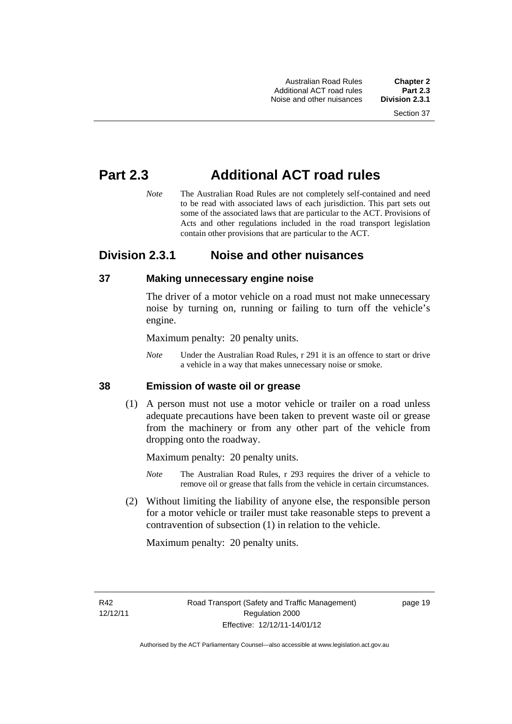Australian Road Rules **Chapter 2** Additional ACT road rules **Part 2.3** Noise and other nuisances

# **Part 2.3 Additional ACT road rules**

*Note* The Australian Road Rules are not completely self-contained and need to be read with associated laws of each jurisdiction. This part sets out some of the associated laws that are particular to the ACT. Provisions of Acts and other regulations included in the road transport legislation contain other provisions that are particular to the ACT.

# **Division 2.3.1 Noise and other nuisances**

#### **37 Making unnecessary engine noise**

The driver of a motor vehicle on a road must not make unnecessary noise by turning on, running or failing to turn off the vehicle's engine.

Maximum penalty: 20 penalty units.

*Note* Under the Australian Road Rules, r 291 it is an offence to start or drive a vehicle in a way that makes unnecessary noise or smoke.

#### **38 Emission of waste oil or grease**

 (1) A person must not use a motor vehicle or trailer on a road unless adequate precautions have been taken to prevent waste oil or grease from the machinery or from any other part of the vehicle from dropping onto the roadway.

Maximum penalty: 20 penalty units.

- *Note* The Australian Road Rules, r 293 requires the driver of a vehicle to remove oil or grease that falls from the vehicle in certain circumstances.
- (2) Without limiting the liability of anyone else, the responsible person for a motor vehicle or trailer must take reasonable steps to prevent a contravention of subsection (1) in relation to the vehicle.

Maximum penalty: 20 penalty units.

R42 12/12/11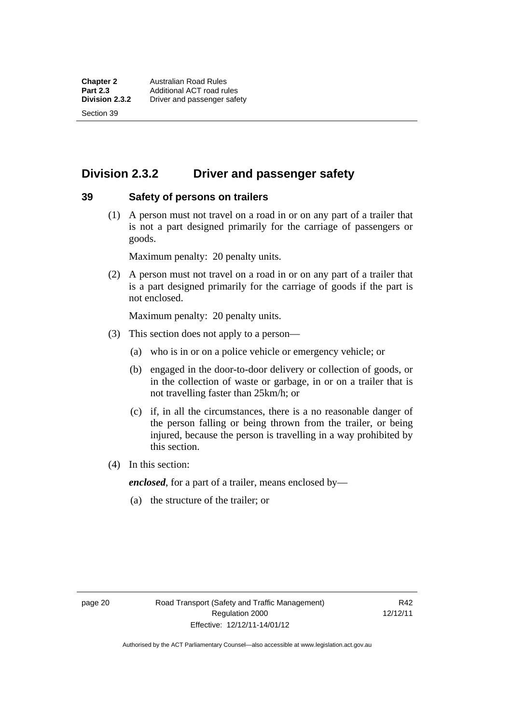# **Division 2.3.2 Driver and passenger safety**

#### **39 Safety of persons on trailers**

 (1) A person must not travel on a road in or on any part of a trailer that is not a part designed primarily for the carriage of passengers or goods.

Maximum penalty: 20 penalty units.

 (2) A person must not travel on a road in or on any part of a trailer that is a part designed primarily for the carriage of goods if the part is not enclosed.

Maximum penalty: 20 penalty units.

- (3) This section does not apply to a person—
	- (a) who is in or on a police vehicle or emergency vehicle; or
	- (b) engaged in the door-to-door delivery or collection of goods, or in the collection of waste or garbage, in or on a trailer that is not travelling faster than 25km/h; or
	- (c) if, in all the circumstances, there is a no reasonable danger of the person falling or being thrown from the trailer, or being injured, because the person is travelling in a way prohibited by this section.
- (4) In this section:

*enclosed*, for a part of a trailer, means enclosed by—

(a) the structure of the trailer; or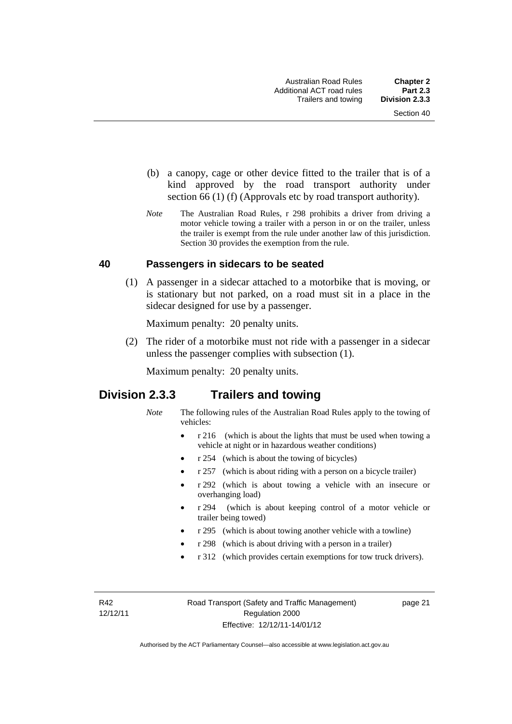- (b) a canopy, cage or other device fitted to the trailer that is of a kind approved by the road transport authority under section 66 (1) (f) (Approvals etc by road transport authority).
- *Note* The Australian Road Rules, r 298 prohibits a driver from driving a motor vehicle towing a trailer with a person in or on the trailer, unless the trailer is exempt from the rule under another law of this jurisdiction. Section 30 provides the exemption from the rule.

#### **40 Passengers in sidecars to be seated**

 (1) A passenger in a sidecar attached to a motorbike that is moving, or is stationary but not parked, on a road must sit in a place in the sidecar designed for use by a passenger.

Maximum penalty: 20 penalty units.

 (2) The rider of a motorbike must not ride with a passenger in a sidecar unless the passenger complies with subsection (1).

Maximum penalty: 20 penalty units.

## **Division 2.3.3 Trailers and towing**

- *Note* The following rules of the Australian Road Rules apply to the towing of vehicles:
	- r 216 (which is about the lights that must be used when towing a vehicle at night or in hazardous weather conditions)
	- r 254 (which is about the towing of bicycles)
	- r 257 (which is about riding with a person on a bicycle trailer)
	- r 292 (which is about towing a vehicle with an insecure or overhanging load)
	- r 294 (which is about keeping control of a motor vehicle or trailer being towed)
	- r 295 (which is about towing another vehicle with a towline)
	- r 298 (which is about driving with a person in a trailer)
	- r 312 (which provides certain exemptions for tow truck drivers).

R42 12/12/11 page 21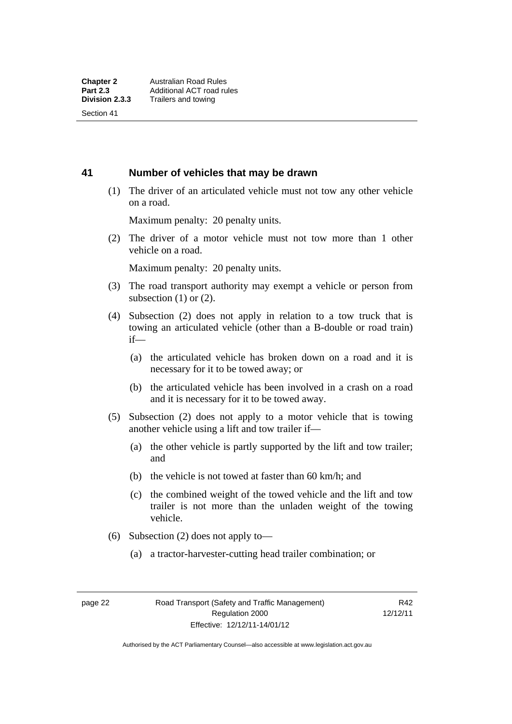#### **41 Number of vehicles that may be drawn**

 (1) The driver of an articulated vehicle must not tow any other vehicle on a road.

Maximum penalty: 20 penalty units.

 (2) The driver of a motor vehicle must not tow more than 1 other vehicle on a road.

Maximum penalty: 20 penalty units.

- (3) The road transport authority may exempt a vehicle or person from subsection  $(1)$  or  $(2)$ .
- (4) Subsection (2) does not apply in relation to a tow truck that is towing an articulated vehicle (other than a B-double or road train) if—
	- (a) the articulated vehicle has broken down on a road and it is necessary for it to be towed away; or
	- (b) the articulated vehicle has been involved in a crash on a road and it is necessary for it to be towed away.
- (5) Subsection (2) does not apply to a motor vehicle that is towing another vehicle using a lift and tow trailer if—
	- (a) the other vehicle is partly supported by the lift and tow trailer; and
	- (b) the vehicle is not towed at faster than 60 km/h; and
	- (c) the combined weight of the towed vehicle and the lift and tow trailer is not more than the unladen weight of the towing vehicle.
- (6) Subsection (2) does not apply to—
	- (a) a tractor-harvester-cutting head trailer combination; or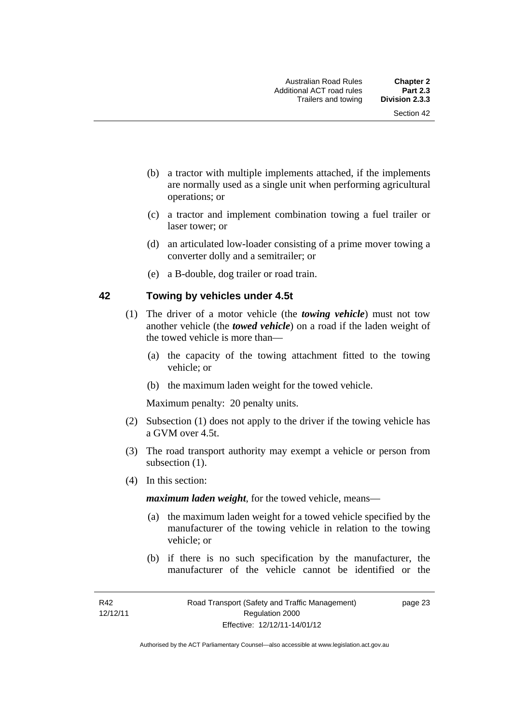- (b) a tractor with multiple implements attached, if the implements are normally used as a single unit when performing agricultural operations; or
- (c) a tractor and implement combination towing a fuel trailer or laser tower; or
- (d) an articulated low-loader consisting of a prime mover towing a converter dolly and a semitrailer; or
- (e) a B-double, dog trailer or road train.

#### **42 Towing by vehicles under 4.5t**

- (1) The driver of a motor vehicle (the *towing vehicle*) must not tow another vehicle (the *towed vehicle*) on a road if the laden weight of the towed vehicle is more than—
	- (a) the capacity of the towing attachment fitted to the towing vehicle; or
	- (b) the maximum laden weight for the towed vehicle.

Maximum penalty: 20 penalty units.

- (2) Subsection (1) does not apply to the driver if the towing vehicle has a GVM over 4.5t.
- (3) The road transport authority may exempt a vehicle or person from subsection  $(1)$ .
- (4) In this section:

*maximum laden weight*, for the towed vehicle, means—

- (a) the maximum laden weight for a towed vehicle specified by the manufacturer of the towing vehicle in relation to the towing vehicle; or
- (b) if there is no such specification by the manufacturer, the manufacturer of the vehicle cannot be identified or the

page 23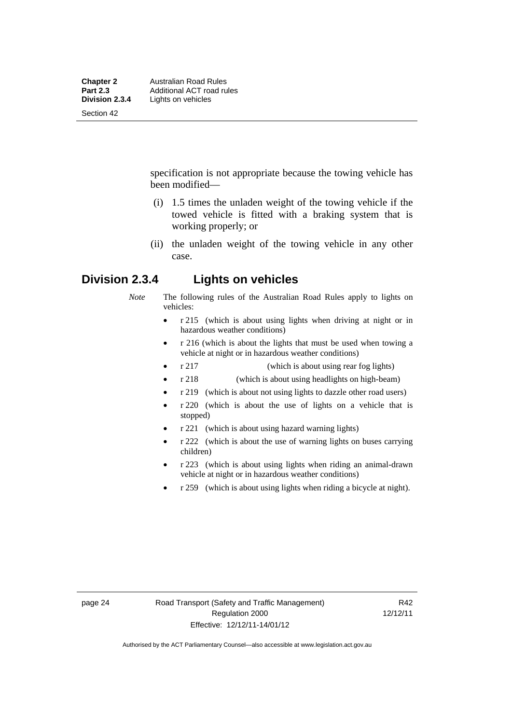specification is not appropriate because the towing vehicle has been modified—

- (i) 1.5 times the unladen weight of the towing vehicle if the towed vehicle is fitted with a braking system that is working properly; or
- (ii) the unladen weight of the towing vehicle in any other case.

## **Division 2.3.4 Lights on vehicles**

- *Note* The following rules of the Australian Road Rules apply to lights on vehicles:
	- r 215 (which is about using lights when driving at night or in hazardous weather conditions)
	- r 216 (which is about the lights that must be used when towing a vehicle at night or in hazardous weather conditions)
	- r 217 (which is about using rear fog lights)
	- r 218 (which is about using headlights on high-beam)
	- r 219 (which is about not using lights to dazzle other road users)
	- r 220 (which is about the use of lights on a vehicle that is stopped)
	- r 221 (which is about using hazard warning lights)
	- r 222 (which is about the use of warning lights on buses carrying children)
	- r 223 (which is about using lights when riding an animal-drawn vehicle at night or in hazardous weather conditions)
	- r 259 (which is about using lights when riding a bicycle at night).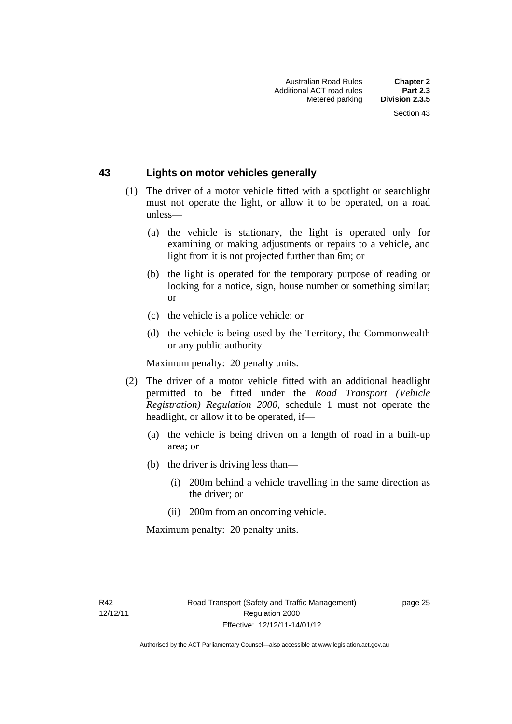#### **43 Lights on motor vehicles generally**

- (1) The driver of a motor vehicle fitted with a spotlight or searchlight must not operate the light, or allow it to be operated, on a road unless—
	- (a) the vehicle is stationary, the light is operated only for examining or making adjustments or repairs to a vehicle, and light from it is not projected further than 6m; or
	- (b) the light is operated for the temporary purpose of reading or looking for a notice, sign, house number or something similar; or
	- (c) the vehicle is a police vehicle; or
	- (d) the vehicle is being used by the Territory, the Commonwealth or any public authority.

Maximum penalty: 20 penalty units.

- (2) The driver of a motor vehicle fitted with an additional headlight permitted to be fitted under the *Road Transport (Vehicle Registration) Regulation 2000*, schedule 1 must not operate the headlight, or allow it to be operated, if—
	- (a) the vehicle is being driven on a length of road in a built-up area; or
	- (b) the driver is driving less than—
		- (i) 200m behind a vehicle travelling in the same direction as the driver; or
		- (ii) 200m from an oncoming vehicle.

Maximum penalty: 20 penalty units.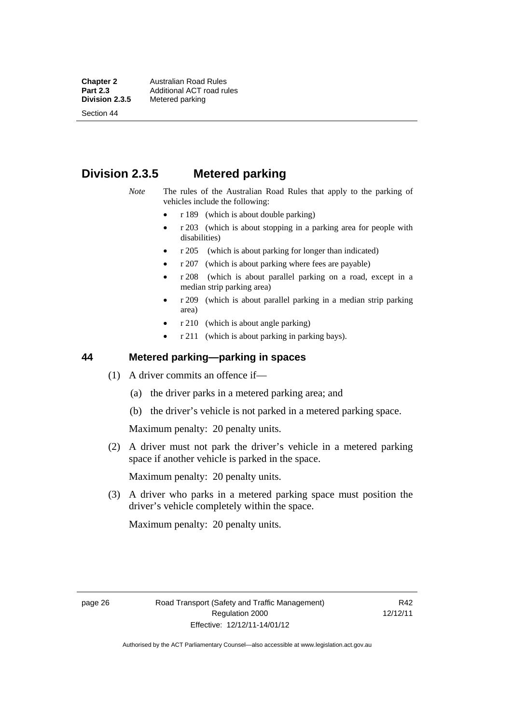**Chapter 2 Australian Road Rules**<br>**Part 2.3 Additional ACT road rules Part 2.3 Additional ACT road rules**<br>**Division 2.3.5** Metered parking

Section 44

# **Metered parking**

**Division 2.3.5 Metered parking** 

- *Note* The rules of the Australian Road Rules that apply to the parking of vehicles include the following:
	- r 189 (which is about double parking)
	- $r$  203 (which is about stopping in a parking area for people with disabilities)
	- r 205 (which is about parking for longer than indicated)
	- r 207 (which is about parking where fees are payable)
	- r 208 (which is about parallel parking on a road, except in a median strip parking area)
	- r 209 (which is about parallel parking in a median strip parking area)
	- r 210 (which is about angle parking)
	- r 211 (which is about parking in parking bays).

#### **44 Metered parking—parking in spaces**

- (1) A driver commits an offence if—
	- (a) the driver parks in a metered parking area; and
	- (b) the driver's vehicle is not parked in a metered parking space.

Maximum penalty: 20 penalty units.

 (2) A driver must not park the driver's vehicle in a metered parking space if another vehicle is parked in the space.

Maximum penalty: 20 penalty units.

 (3) A driver who parks in a metered parking space must position the driver's vehicle completely within the space.

Maximum penalty: 20 penalty units.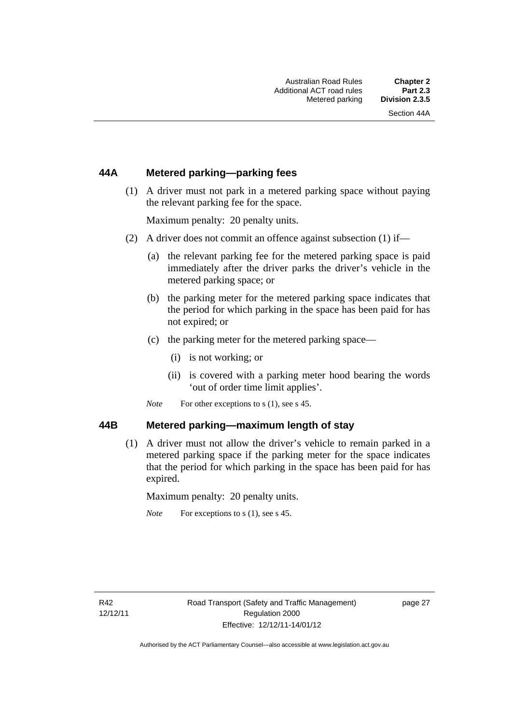#### **44A Metered parking—parking fees**

 (1) A driver must not park in a metered parking space without paying the relevant parking fee for the space.

Maximum penalty: 20 penalty units.

- (2) A driver does not commit an offence against subsection (1) if—
	- (a) the relevant parking fee for the metered parking space is paid immediately after the driver parks the driver's vehicle in the metered parking space; or
	- (b) the parking meter for the metered parking space indicates that the period for which parking in the space has been paid for has not expired; or
	- (c) the parking meter for the metered parking space—
		- (i) is not working; or
		- (ii) is covered with a parking meter hood bearing the words 'out of order time limit applies'.
	- *Note* For other exceptions to s (1), see s 45.

#### **44B Metered parking—maximum length of stay**

 (1) A driver must not allow the driver's vehicle to remain parked in a metered parking space if the parking meter for the space indicates that the period for which parking in the space has been paid for has expired.

Maximum penalty: 20 penalty units.

*Note* For exceptions to s (1), see s 45.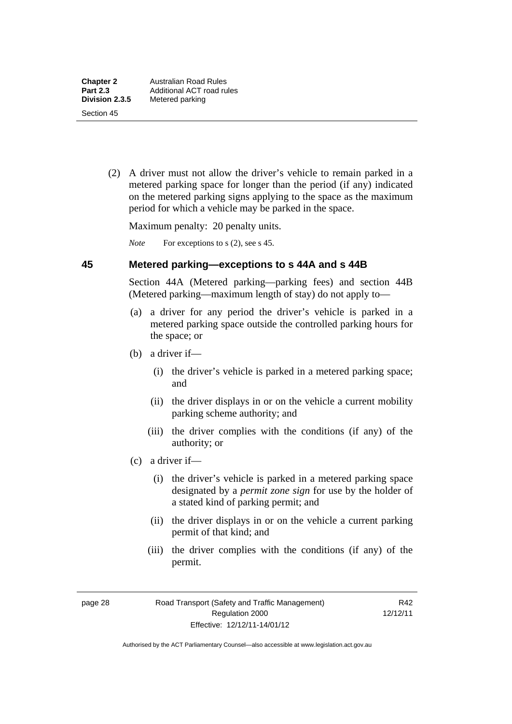(2) A driver must not allow the driver's vehicle to remain parked in a metered parking space for longer than the period (if any) indicated on the metered parking signs applying to the space as the maximum period for which a vehicle may be parked in the space.

Maximum penalty: 20 penalty units.

*Note* For exceptions to s (2), see s 45.

#### **45 Metered parking—exceptions to s 44A and s 44B**

Section 44A (Metered parking—parking fees) and section 44B (Metered parking—maximum length of stay) do not apply to—

- (a) a driver for any period the driver's vehicle is parked in a metered parking space outside the controlled parking hours for the space; or
- (b) a driver if—
	- (i) the driver's vehicle is parked in a metered parking space; and
	- (ii) the driver displays in or on the vehicle a current mobility parking scheme authority; and
	- (iii) the driver complies with the conditions (if any) of the authority; or
- (c) a driver if—
	- (i) the driver's vehicle is parked in a metered parking space designated by a *permit zone sign* for use by the holder of a stated kind of parking permit; and
	- (ii) the driver displays in or on the vehicle a current parking permit of that kind; and
	- (iii) the driver complies with the conditions (if any) of the permit.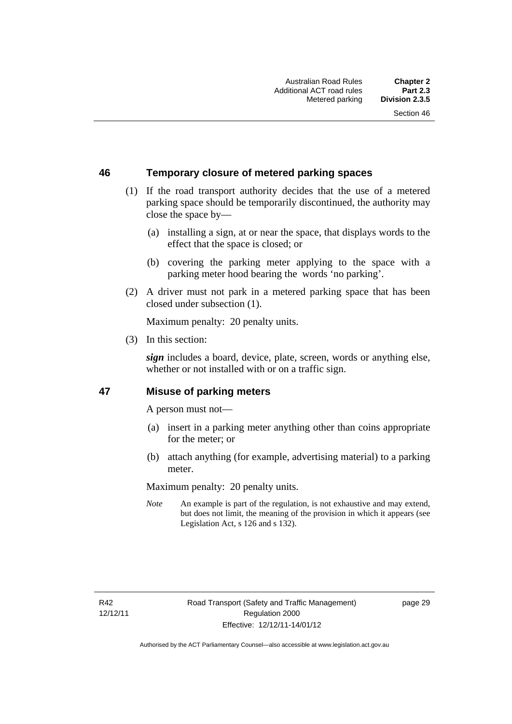#### **46 Temporary closure of metered parking spaces**

- (1) If the road transport authority decides that the use of a metered parking space should be temporarily discontinued, the authority may close the space by—
	- (a) installing a sign, at or near the space, that displays words to the effect that the space is closed; or
	- (b) covering the parking meter applying to the space with a parking meter hood bearing the words 'no parking'.
- (2) A driver must not park in a metered parking space that has been closed under subsection (1).

Maximum penalty: 20 penalty units.

(3) In this section:

*sign* includes a board, device, plate, screen, words or anything else, whether or not installed with or on a traffic sign.

#### **47 Misuse of parking meters**

A person must not—

- (a) insert in a parking meter anything other than coins appropriate for the meter; or
- (b) attach anything (for example, advertising material) to a parking meter.

Maximum penalty: 20 penalty units.

*Note* An example is part of the regulation, is not exhaustive and may extend, but does not limit, the meaning of the provision in which it appears (see Legislation Act, s 126 and s 132).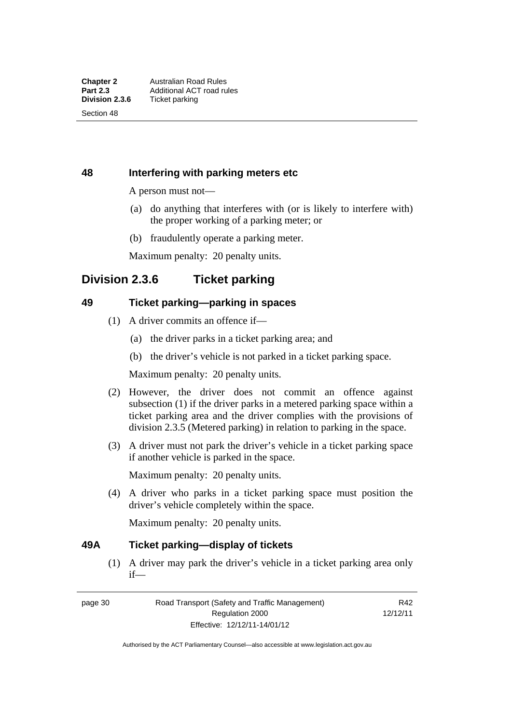## **48 Interfering with parking meters etc**

A person must not—

- (a) do anything that interferes with (or is likely to interfere with) the proper working of a parking meter; or
- (b) fraudulently operate a parking meter.

Maximum penalty: 20 penalty units.

# **Division 2.3.6 Ticket parking**

#### **49 Ticket parking—parking in spaces**

- (1) A driver commits an offence if—
	- (a) the driver parks in a ticket parking area; and
	- (b) the driver's vehicle is not parked in a ticket parking space.

Maximum penalty: 20 penalty units.

- (2) However, the driver does not commit an offence against subsection (1) if the driver parks in a metered parking space within a ticket parking area and the driver complies with the provisions of division 2.3.5 (Metered parking) in relation to parking in the space.
- (3) A driver must not park the driver's vehicle in a ticket parking space if another vehicle is parked in the space.

Maximum penalty: 20 penalty units.

 (4) A driver who parks in a ticket parking space must position the driver's vehicle completely within the space.

Maximum penalty: 20 penalty units.

#### **49A Ticket parking—display of tickets**

(1) A driver may park the driver's vehicle in a ticket parking area only if—

page 30 Road Transport (Safety and Traffic Management) Regulation 2000 Effective: 12/12/11-14/01/12

R42 12/12/11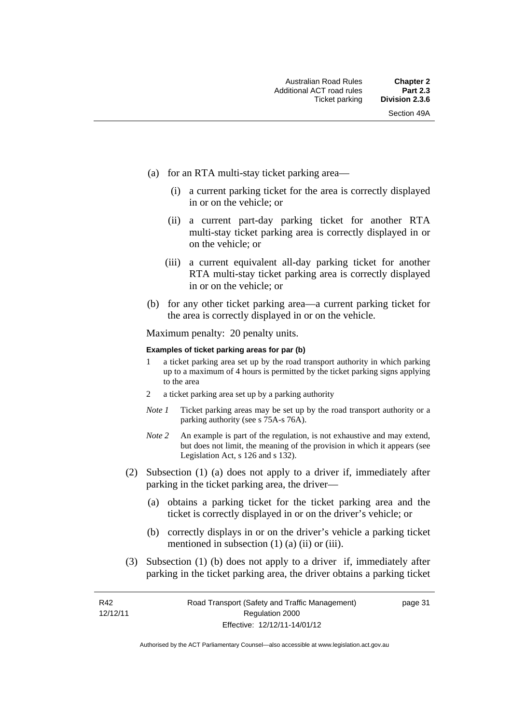- (a) for an RTA multi-stay ticket parking area—
	- (i) a current parking ticket for the area is correctly displayed in or on the vehicle; or
	- (ii) a current part-day parking ticket for another RTA multi-stay ticket parking area is correctly displayed in or on the vehicle; or
	- (iii) a current equivalent all-day parking ticket for another RTA multi-stay ticket parking area is correctly displayed in or on the vehicle; or
- (b) for any other ticket parking area—a current parking ticket for the area is correctly displayed in or on the vehicle.

Maximum penalty: 20 penalty units.

#### **Examples of ticket parking areas for par (b)**

- 1 a ticket parking area set up by the road transport authority in which parking up to a maximum of 4 hours is permitted by the ticket parking signs applying to the area
- 2 a ticket parking area set up by a parking authority
- *Note 1* Ticket parking areas may be set up by the road transport authority or a parking authority (see s 75A-s 76A).
- *Note 2* An example is part of the regulation, is not exhaustive and may extend, but does not limit, the meaning of the provision in which it appears (see Legislation Act, s 126 and s 132).
- (2) Subsection (1) (a) does not apply to a driver if, immediately after parking in the ticket parking area, the driver—
	- (a) obtains a parking ticket for the ticket parking area and the ticket is correctly displayed in or on the driver's vehicle; or
	- (b) correctly displays in or on the driver's vehicle a parking ticket mentioned in subsection  $(1)$   $(a)$   $(ii)$  or  $(iii)$ .
- (3) Subsection (1) (b) does not apply to a driver if, immediately after parking in the ticket parking area, the driver obtains a parking ticket

page 31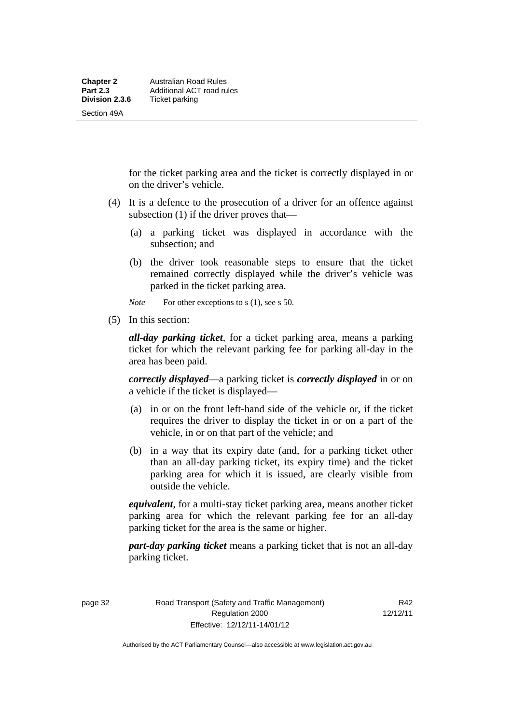for the ticket parking area and the ticket is correctly displayed in or on the driver's vehicle.

- (4) It is a defence to the prosecution of a driver for an offence against subsection (1) if the driver proves that—
	- (a) a parking ticket was displayed in accordance with the subsection; and
	- (b) the driver took reasonable steps to ensure that the ticket remained correctly displayed while the driver's vehicle was parked in the ticket parking area.

*Note* For other exceptions to s (1), see s 50.

(5) In this section:

*all-day parking ticket*, for a ticket parking area, means a parking ticket for which the relevant parking fee for parking all-day in the area has been paid.

*correctly displayed*—a parking ticket is *correctly displayed* in or on a vehicle if the ticket is displayed—

- (a) in or on the front left-hand side of the vehicle or, if the ticket requires the driver to display the ticket in or on a part of the vehicle, in or on that part of the vehicle; and
- (b) in a way that its expiry date (and, for a parking ticket other than an all-day parking ticket, its expiry time) and the ticket parking area for which it is issued, are clearly visible from outside the vehicle.

*equivalent*, for a multi-stay ticket parking area, means another ticket parking area for which the relevant parking fee for an all-day parking ticket for the area is the same or higher.

*part-day parking ticket* means a parking ticket that is not an all-day parking ticket.

page 32 Road Transport (Safety and Traffic Management) Regulation 2000 Effective: 12/12/11-14/01/12

R42 12/12/11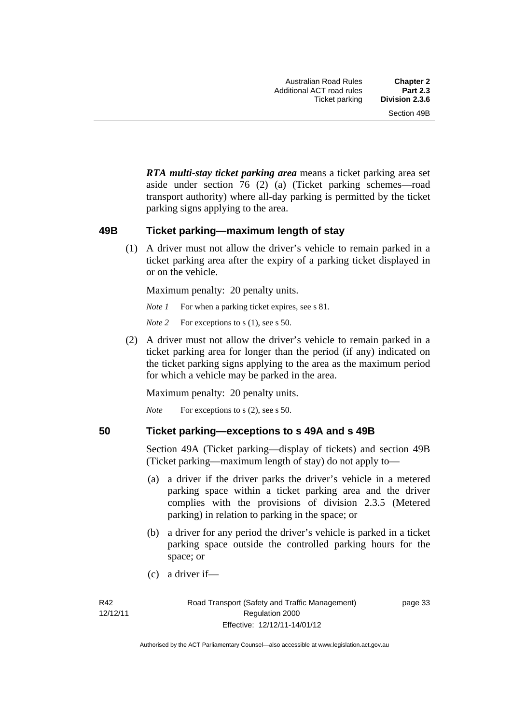*RTA multi-stay ticket parking area* means a ticket parking area set aside under section 76 (2) (a) (Ticket parking schemes—road transport authority) where all-day parking is permitted by the ticket parking signs applying to the area.

#### **49B Ticket parking—maximum length of stay**

(1) A driver must not allow the driver's vehicle to remain parked in a ticket parking area after the expiry of a parking ticket displayed in or on the vehicle.

Maximum penalty: 20 penalty units.

*Note 1* For when a parking ticket expires, see s 81.

*Note* 2 For exceptions to s (1), see s 50.

 (2) A driver must not allow the driver's vehicle to remain parked in a ticket parking area for longer than the period (if any) indicated on the ticket parking signs applying to the area as the maximum period for which a vehicle may be parked in the area.

Maximum penalty: 20 penalty units.

*Note* For exceptions to s (2), see s 50.

#### **50 Ticket parking—exceptions to s 49A and s 49B**

Section 49A (Ticket parking—display of tickets) and section 49B (Ticket parking—maximum length of stay) do not apply to—

- (a) a driver if the driver parks the driver's vehicle in a metered parking space within a ticket parking area and the driver complies with the provisions of division 2.3.5 (Metered parking) in relation to parking in the space; or
- (b) a driver for any period the driver's vehicle is parked in a ticket parking space outside the controlled parking hours for the space; or
- (c) a driver if—

page 33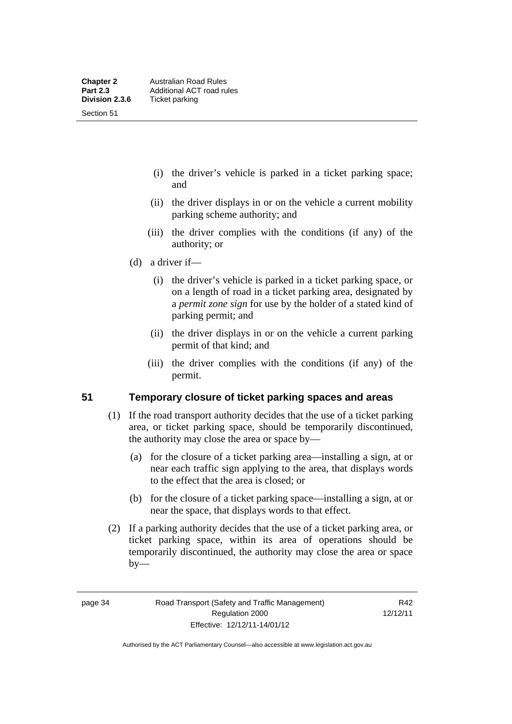- (i) the driver's vehicle is parked in a ticket parking space; and
- (ii) the driver displays in or on the vehicle a current mobility parking scheme authority; and
- (iii) the driver complies with the conditions (if any) of the authority; or
- (d) a driver if—
	- (i) the driver's vehicle is parked in a ticket parking space, or on a length of road in a ticket parking area, designated by a *permit zone sign* for use by the holder of a stated kind of parking permit; and
	- (ii) the driver displays in or on the vehicle a current parking permit of that kind; and
	- (iii) the driver complies with the conditions (if any) of the permit.

#### **51 Temporary closure of ticket parking spaces and areas**

- (1) If the road transport authority decides that the use of a ticket parking area, or ticket parking space, should be temporarily discontinued, the authority may close the area or space by—
	- (a) for the closure of a ticket parking area—installing a sign, at or near each traffic sign applying to the area, that displays words to the effect that the area is closed; or
	- (b) for the closure of a ticket parking space—installing a sign, at or near the space, that displays words to that effect.
- (2) If a parking authority decides that the use of a ticket parking area, or ticket parking space, within its area of operations should be temporarily discontinued, the authority may close the area or space  $by-$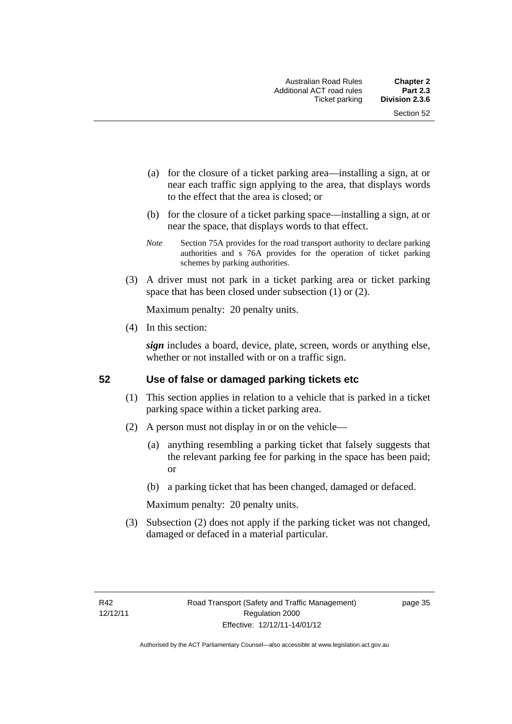- (a) for the closure of a ticket parking area—installing a sign, at or near each traffic sign applying to the area, that displays words to the effect that the area is closed; or
- (b) for the closure of a ticket parking space—installing a sign, at or near the space, that displays words to that effect.
- *Note* Section 75A provides for the road transport authority to declare parking authorities and s 76A provides for the operation of ticket parking schemes by parking authorities.
- (3) A driver must not park in a ticket parking area or ticket parking space that has been closed under subsection (1) or (2).

Maximum penalty: 20 penalty units.

(4) In this section:

*sign* includes a board, device, plate, screen, words or anything else, whether or not installed with or on a traffic sign.

#### **52 Use of false or damaged parking tickets etc**

- (1) This section applies in relation to a vehicle that is parked in a ticket parking space within a ticket parking area.
- (2) A person must not display in or on the vehicle—
	- (a) anything resembling a parking ticket that falsely suggests that the relevant parking fee for parking in the space has been paid; or
	- (b) a parking ticket that has been changed, damaged or defaced.

Maximum penalty: 20 penalty units.

 (3) Subsection (2) does not apply if the parking ticket was not changed, damaged or defaced in a material particular.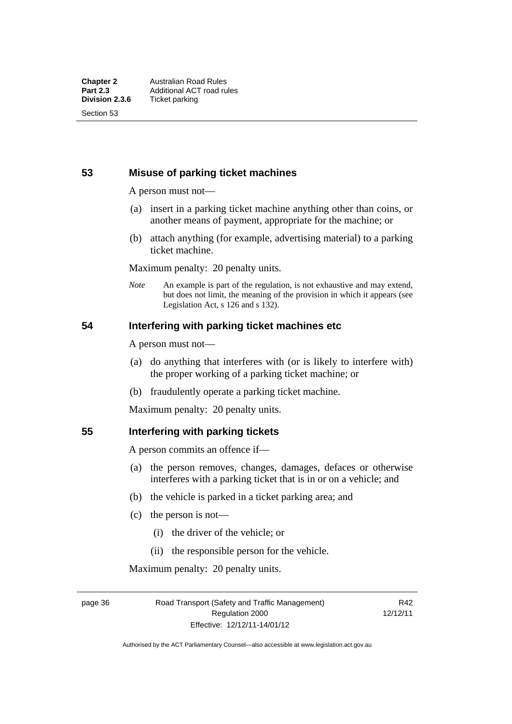## **53 Misuse of parking ticket machines**

A person must not—

- (a) insert in a parking ticket machine anything other than coins, or another means of payment, appropriate for the machine; or
- (b) attach anything (for example, advertising material) to a parking ticket machine.

Maximum penalty: 20 penalty units.

*Note* An example is part of the regulation, is not exhaustive and may extend, but does not limit, the meaning of the provision in which it appears (see Legislation Act, s 126 and s 132).

#### **54 Interfering with parking ticket machines etc**

A person must not—

- (a) do anything that interferes with (or is likely to interfere with) the proper working of a parking ticket machine; or
- (b) fraudulently operate a parking ticket machine.

Maximum penalty: 20 penalty units.

#### **55 Interfering with parking tickets**

A person commits an offence if—

- (a) the person removes, changes, damages, defaces or otherwise interferes with a parking ticket that is in or on a vehicle; and
- (b) the vehicle is parked in a ticket parking area; and
- (c) the person is not—
	- (i) the driver of the vehicle; or
	- (ii) the responsible person for the vehicle.

Maximum penalty: 20 penalty units.

page 36 Road Transport (Safety and Traffic Management) Regulation 2000 Effective: 12/12/11-14/01/12

R42 12/12/11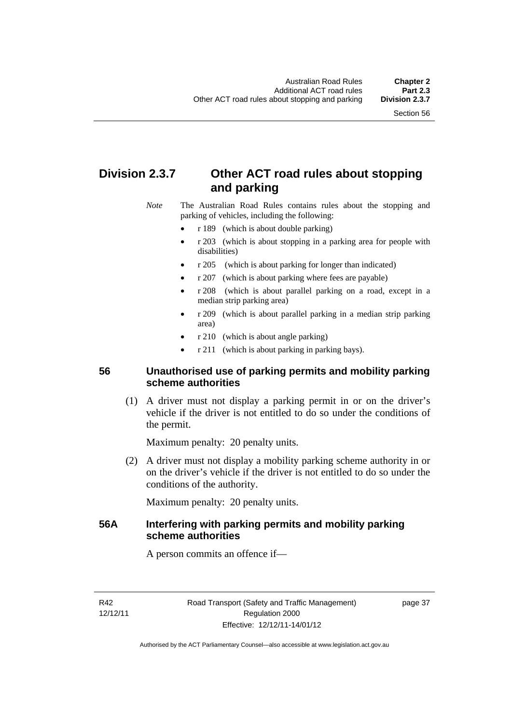# **Division 2.3.7 Other ACT road rules about stopping and parking**

*Note* The Australian Road Rules contains rules about the stopping and parking of vehicles, including the following:

- r 189 (which is about double parking)
- r 203 (which is about stopping in a parking area for people with disabilities)
- r 205 (which is about parking for longer than indicated)
- r 207 (which is about parking where fees are payable)
- r 208 (which is about parallel parking on a road, except in a median strip parking area)
- r 209 (which is about parallel parking in a median strip parking area)
- r 210 (which is about angle parking)
- r 211 (which is about parking in parking bays).

#### **56 Unauthorised use of parking permits and mobility parking scheme authorities**

 (1) A driver must not display a parking permit in or on the driver's vehicle if the driver is not entitled to do so under the conditions of the permit.

Maximum penalty: 20 penalty units.

 (2) A driver must not display a mobility parking scheme authority in or on the driver's vehicle if the driver is not entitled to do so under the conditions of the authority.

Maximum penalty: 20 penalty units.

#### **56A Interfering with parking permits and mobility parking scheme authorities**

A person commits an offence if—

R42 12/12/11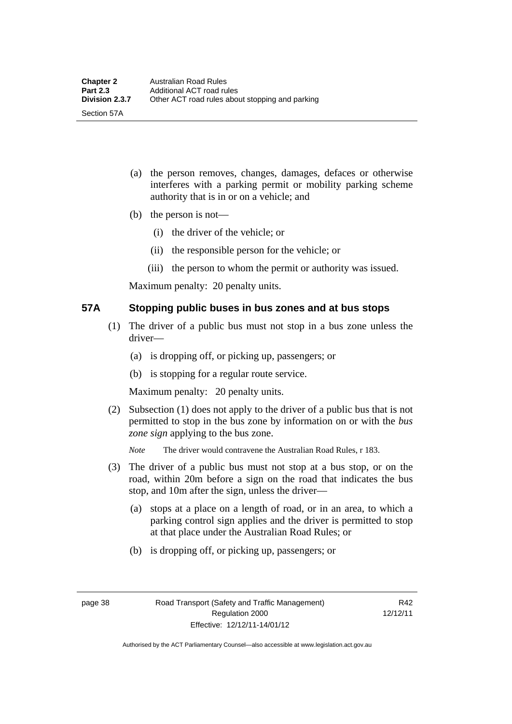- (a) the person removes, changes, damages, defaces or otherwise interferes with a parking permit or mobility parking scheme authority that is in or on a vehicle; and
- (b) the person is not—

Section 57A

- (i) the driver of the vehicle; or
- (ii) the responsible person for the vehicle; or
- (iii) the person to whom the permit or authority was issued.

Maximum penalty: 20 penalty units.

#### **57A Stopping public buses in bus zones and at bus stops**

- (1) The driver of a public bus must not stop in a bus zone unless the driver—
	- (a) is dropping off, or picking up, passengers; or
	- (b) is stopping for a regular route service.

Maximum penalty: 20 penalty units.

- (2) Subsection (1) does not apply to the driver of a public bus that is not permitted to stop in the bus zone by information on or with the *bus zone sign* applying to the bus zone.
	- *Note* The driver would contravene the Australian Road Rules, r 183.
- (3) The driver of a public bus must not stop at a bus stop, or on the road, within 20m before a sign on the road that indicates the bus stop, and 10m after the sign, unless the driver—
	- (a) stops at a place on a length of road, or in an area, to which a parking control sign applies and the driver is permitted to stop at that place under the Australian Road Rules; or
	- (b) is dropping off, or picking up, passengers; or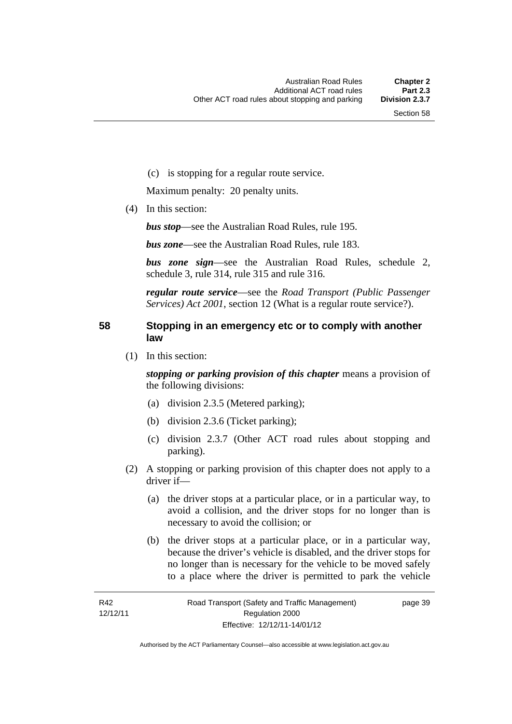(c) is stopping for a regular route service.

Maximum penalty: 20 penalty units.

(4) In this section:

*bus stop*—see the Australian Road Rules, rule 195.

*bus zone*—see the Australian Road Rules, rule 183.

*bus zone sign*—see the Australian Road Rules, schedule 2, schedule 3, rule 314, rule 315 and rule 316.

*regular route service*—see the *Road Transport (Public Passenger Services) Act 2001*, section 12 (What is a regular route service?).

#### **58 Stopping in an emergency etc or to comply with another law**

(1) In this section:

*stopping or parking provision of this chapter* means a provision of the following divisions:

- (a) division 2.3.5 (Metered parking);
- (b) division 2.3.6 (Ticket parking);
- (c) division 2.3.7 (Other ACT road rules about stopping and parking).
- (2) A stopping or parking provision of this chapter does not apply to a driver if—
	- (a) the driver stops at a particular place, or in a particular way, to avoid a collision, and the driver stops for no longer than is necessary to avoid the collision; or
	- (b) the driver stops at a particular place, or in a particular way, because the driver's vehicle is disabled, and the driver stops for no longer than is necessary for the vehicle to be moved safely to a place where the driver is permitted to park the vehicle

page 39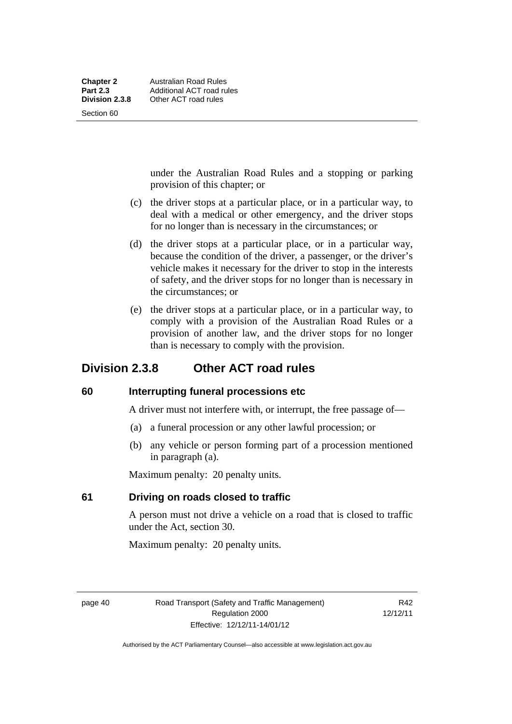under the Australian Road Rules and a stopping or parking provision of this chapter; or

- (c) the driver stops at a particular place, or in a particular way, to deal with a medical or other emergency, and the driver stops for no longer than is necessary in the circumstances; or
- (d) the driver stops at a particular place, or in a particular way, because the condition of the driver, a passenger, or the driver's vehicle makes it necessary for the driver to stop in the interests of safety, and the driver stops for no longer than is necessary in the circumstances; or
- (e) the driver stops at a particular place, or in a particular way, to comply with a provision of the Australian Road Rules or a provision of another law, and the driver stops for no longer than is necessary to comply with the provision.

# **Division 2.3.8 Other ACT road rules**

#### **60 Interrupting funeral processions etc**

A driver must not interfere with, or interrupt, the free passage of—

- (a) a funeral procession or any other lawful procession; or
- (b) any vehicle or person forming part of a procession mentioned in paragraph (a).

Maximum penalty: 20 penalty units.

#### **61 Driving on roads closed to traffic**

A person must not drive a vehicle on a road that is closed to traffic under the Act, section 30.

Maximum penalty: 20 penalty units.

page 40 Road Transport (Safety and Traffic Management) Regulation 2000 Effective: 12/12/11-14/01/12

R<sub>42</sub> 12/12/11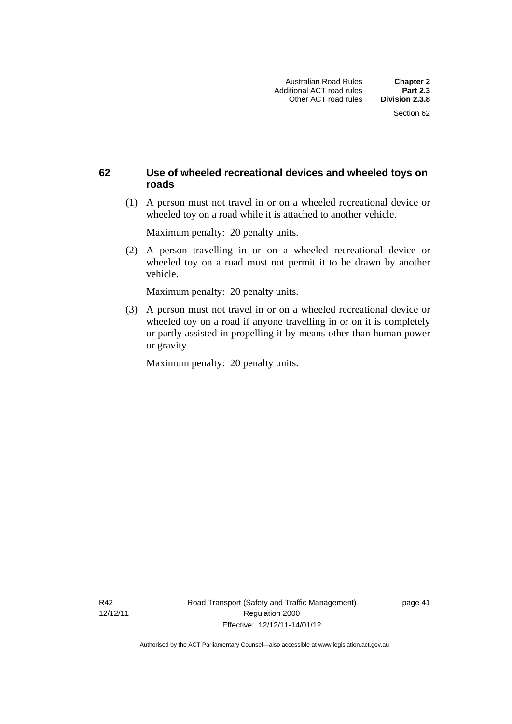#### **62 Use of wheeled recreational devices and wheeled toys on roads**

 (1) A person must not travel in or on a wheeled recreational device or wheeled toy on a road while it is attached to another vehicle.

Maximum penalty: 20 penalty units.

 (2) A person travelling in or on a wheeled recreational device or wheeled toy on a road must not permit it to be drawn by another vehicle.

Maximum penalty: 20 penalty units.

 (3) A person must not travel in or on a wheeled recreational device or wheeled toy on a road if anyone travelling in or on it is completely or partly assisted in propelling it by means other than human power or gravity.

Maximum penalty: 20 penalty units.

R42 12/12/11 page 41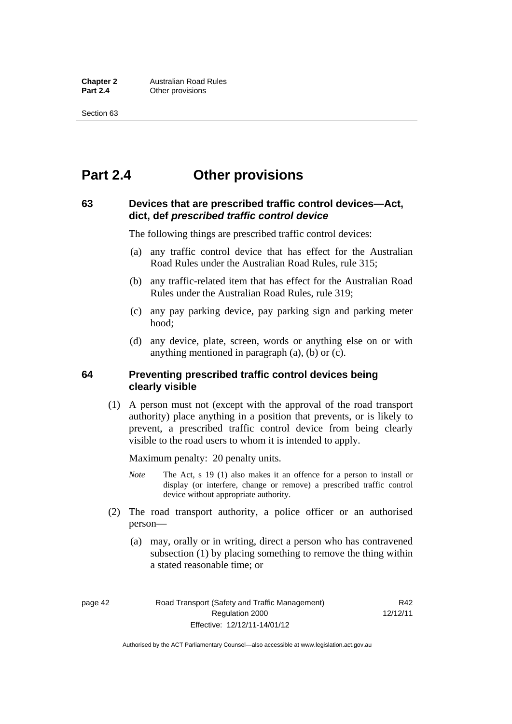# **Part 2.4 Other provisions**

#### **63 Devices that are prescribed traffic control devices—Act, dict, def** *prescribed traffic control device*

The following things are prescribed traffic control devices:

- (a) any traffic control device that has effect for the Australian Road Rules under the Australian Road Rules, rule 315;
- (b) any traffic-related item that has effect for the Australian Road Rules under the Australian Road Rules, rule 319;
- (c) any pay parking device, pay parking sign and parking meter hood;
- (d) any device, plate, screen, words or anything else on or with anything mentioned in paragraph (a), (b) or (c).

#### **64 Preventing prescribed traffic control devices being clearly visible**

 (1) A person must not (except with the approval of the road transport authority) place anything in a position that prevents, or is likely to prevent, a prescribed traffic control device from being clearly visible to the road users to whom it is intended to apply.

Maximum penalty: 20 penalty units.

- *Note* The Act, s 19 (1) also makes it an offence for a person to install or display (or interfere, change or remove) a prescribed traffic control device without appropriate authority.
- (2) The road transport authority, a police officer or an authorised person—
	- (a) may, orally or in writing, direct a person who has contravened subsection (1) by placing something to remove the thing within a stated reasonable time; or

page 42 Road Transport (Safety and Traffic Management) Regulation 2000 Effective: 12/12/11-14/01/12

R<sub>42</sub> 12/12/11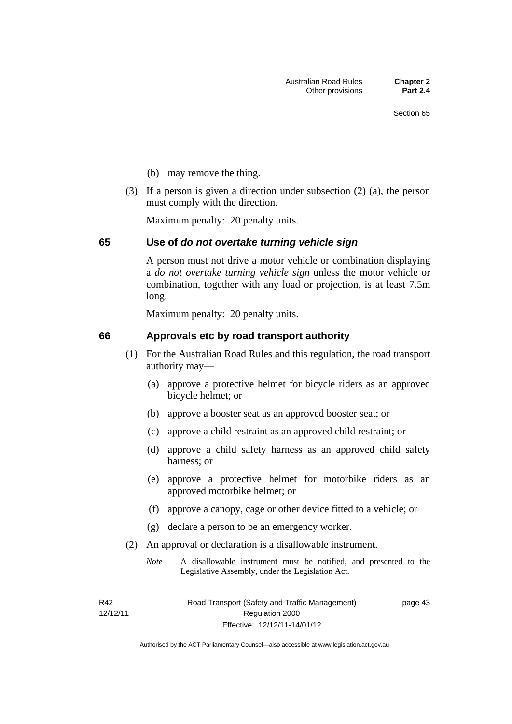- (b) may remove the thing.
- (3) If a person is given a direction under subsection (2) (a), the person must comply with the direction.

Maximum penalty: 20 penalty units.

#### **65 Use of** *do not overtake turning vehicle sign*

A person must not drive a motor vehicle or combination displaying a *do not overtake turning vehicle sign* unless the motor vehicle or combination, together with any load or projection, is at least 7.5m long.

Maximum penalty: 20 penalty units.

#### **66 Approvals etc by road transport authority**

- (1) For the Australian Road Rules and this regulation, the road transport authority may—
	- (a) approve a protective helmet for bicycle riders as an approved bicycle helmet; or
	- (b) approve a booster seat as an approved booster seat; or
	- (c) approve a child restraint as an approved child restraint; or
	- (d) approve a child safety harness as an approved child safety harness; or
	- (e) approve a protective helmet for motorbike riders as an approved motorbike helmet; or
	- (f) approve a canopy, cage or other device fitted to a vehicle; or
	- (g) declare a person to be an emergency worker.
- (2) An approval or declaration is a disallowable instrument.
	- *Note* A disallowable instrument must be notified, and presented to the Legislative Assembly, under the Legislation Act.

R42 12/12/11 page 43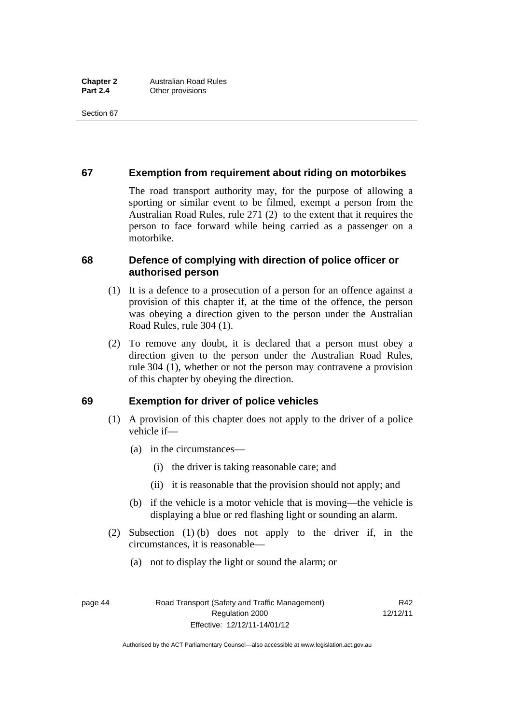#### **67 Exemption from requirement about riding on motorbikes**

The road transport authority may, for the purpose of allowing a sporting or similar event to be filmed, exempt a person from the Australian Road Rules, rule 271 (2) to the extent that it requires the person to face forward while being carried as a passenger on a motorbike.

#### **68 Defence of complying with direction of police officer or authorised person**

- (1) It is a defence to a prosecution of a person for an offence against a provision of this chapter if, at the time of the offence, the person was obeying a direction given to the person under the Australian Road Rules, rule 304 (1).
- (2) To remove any doubt, it is declared that a person must obey a direction given to the person under the Australian Road Rules, rule 304 (1), whether or not the person may contravene a provision of this chapter by obeying the direction.

#### **69 Exemption for driver of police vehicles**

- (1) A provision of this chapter does not apply to the driver of a police vehicle if—
	- (a) in the circumstances—
		- (i) the driver is taking reasonable care; and
		- (ii) it is reasonable that the provision should not apply; and
	- (b) if the vehicle is a motor vehicle that is moving—the vehicle is displaying a blue or red flashing light or sounding an alarm.
- (2) Subsection (1) (b) does not apply to the driver if, in the circumstances, it is reasonable—
	- (a) not to display the light or sound the alarm; or

page 44 Road Transport (Safety and Traffic Management) Regulation 2000 Effective: 12/12/11-14/01/12

R42 12/12/11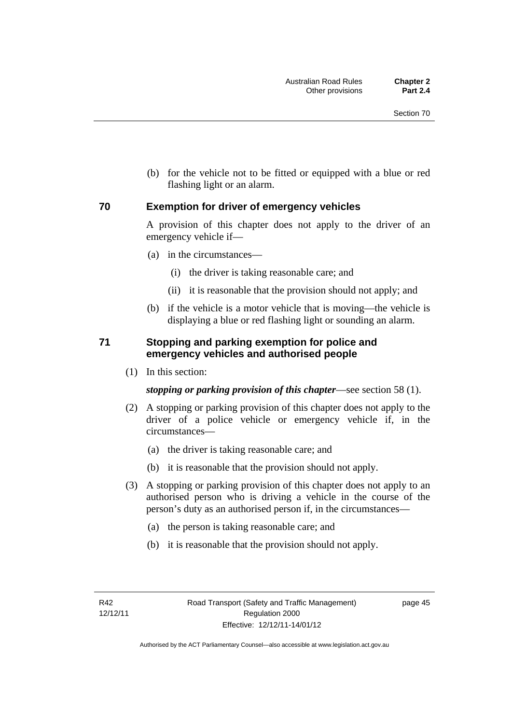(b) for the vehicle not to be fitted or equipped with a blue or red flashing light or an alarm.

#### **70 Exemption for driver of emergency vehicles**

A provision of this chapter does not apply to the driver of an emergency vehicle if—

- (a) in the circumstances—
	- (i) the driver is taking reasonable care; and
	- (ii) it is reasonable that the provision should not apply; and
- (b) if the vehicle is a motor vehicle that is moving—the vehicle is displaying a blue or red flashing light or sounding an alarm.

#### **71 Stopping and parking exemption for police and emergency vehicles and authorised people**

(1) In this section:

*stopping or parking provision of this chapter*—see section 58 (1).

- (2) A stopping or parking provision of this chapter does not apply to the driver of a police vehicle or emergency vehicle if, in the circumstances—
	- (a) the driver is taking reasonable care; and
	- (b) it is reasonable that the provision should not apply.
- (3) A stopping or parking provision of this chapter does not apply to an authorised person who is driving a vehicle in the course of the person's duty as an authorised person if, in the circumstances—
	- (a) the person is taking reasonable care; and
	- (b) it is reasonable that the provision should not apply.

page 45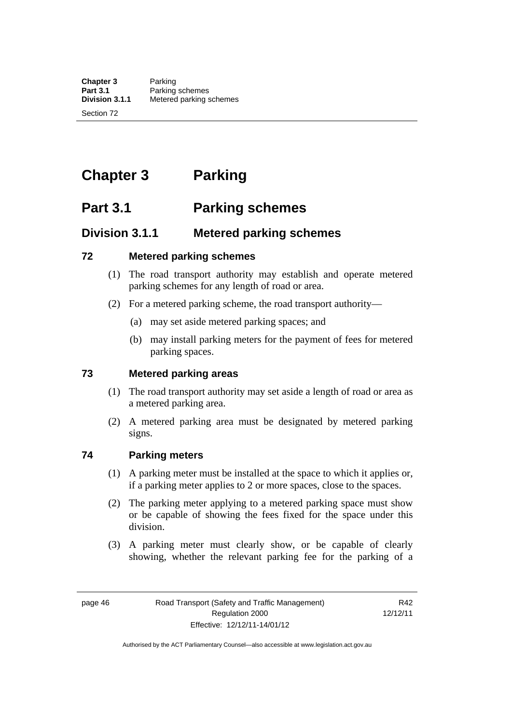# **Chapter 3 Parking**

# **Part 3.1 Parking schemes**

# **Division 3.1.1 Metered parking schemes**

#### **72 Metered parking schemes**

- (1) The road transport authority may establish and operate metered parking schemes for any length of road or area.
- (2) For a metered parking scheme, the road transport authority—
	- (a) may set aside metered parking spaces; and
	- (b) may install parking meters for the payment of fees for metered parking spaces.

#### **73 Metered parking areas**

- (1) The road transport authority may set aside a length of road or area as a metered parking area.
- (2) A metered parking area must be designated by metered parking signs.

#### **74 Parking meters**

- (1) A parking meter must be installed at the space to which it applies or, if a parking meter applies to 2 or more spaces, close to the spaces.
- (2) The parking meter applying to a metered parking space must show or be capable of showing the fees fixed for the space under this division.
- (3) A parking meter must clearly show, or be capable of clearly showing, whether the relevant parking fee for the parking of a

page 46 Road Transport (Safety and Traffic Management) Regulation 2000 Effective: 12/12/11-14/01/12

R42 12/12/11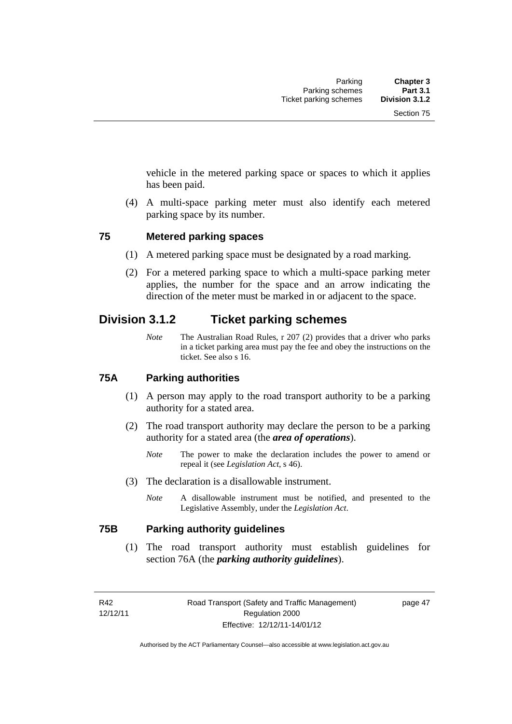vehicle in the metered parking space or spaces to which it applies has been paid.

 (4) A multi-space parking meter must also identify each metered parking space by its number.

#### **75 Metered parking spaces**

- (1) A metered parking space must be designated by a road marking.
- (2) For a metered parking space to which a multi-space parking meter applies, the number for the space and an arrow indicating the direction of the meter must be marked in or adjacent to the space.

## **Division 3.1.2 Ticket parking schemes**

*Note* The Australian Road Rules, r 207 (2) provides that a driver who parks in a ticket parking area must pay the fee and obey the instructions on the ticket. See also s 16.

#### **75A Parking authorities**

- (1) A person may apply to the road transport authority to be a parking authority for a stated area.
- (2) The road transport authority may declare the person to be a parking authority for a stated area (the *area of operations*).
	- *Note* The power to make the declaration includes the power to amend or repeal it (see *Legislation Act*, s 46).
- (3) The declaration is a disallowable instrument.
	- *Note* A disallowable instrument must be notified, and presented to the Legislative Assembly, under the *Legislation Act*.

#### **75B Parking authority guidelines**

 (1) The road transport authority must establish guidelines for section 76A (the *parking authority guidelines*).

R42 12/12/11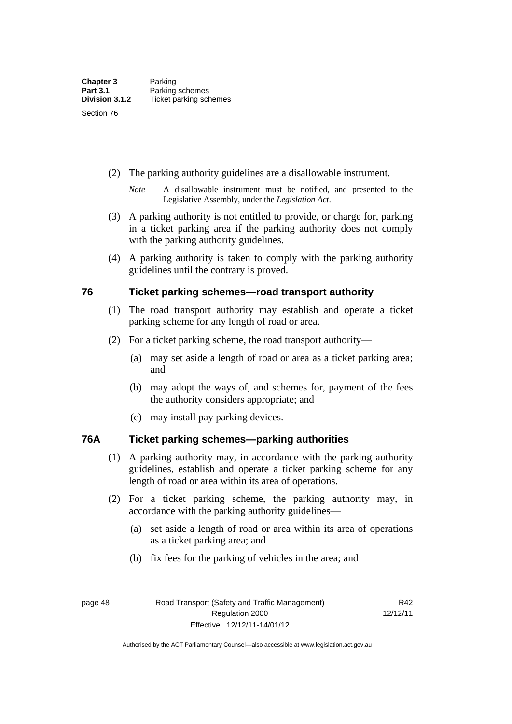- (2) The parking authority guidelines are a disallowable instrument.
	- *Note* A disallowable instrument must be notified, and presented to the Legislative Assembly, under the *Legislation Act*.
- (3) A parking authority is not entitled to provide, or charge for, parking in a ticket parking area if the parking authority does not comply with the parking authority guidelines.
- (4) A parking authority is taken to comply with the parking authority guidelines until the contrary is proved.

#### **76 Ticket parking schemes—road transport authority**

- (1) The road transport authority may establish and operate a ticket parking scheme for any length of road or area.
- (2) For a ticket parking scheme, the road transport authority—
	- (a) may set aside a length of road or area as a ticket parking area; and
	- (b) may adopt the ways of, and schemes for, payment of the fees the authority considers appropriate; and
	- (c) may install pay parking devices.

#### **76A Ticket parking schemes—parking authorities**

- (1) A parking authority may, in accordance with the parking authority guidelines, establish and operate a ticket parking scheme for any length of road or area within its area of operations.
- (2) For a ticket parking scheme, the parking authority may, in accordance with the parking authority guidelines—
	- (a) set aside a length of road or area within its area of operations as a ticket parking area; and
	- (b) fix fees for the parking of vehicles in the area; and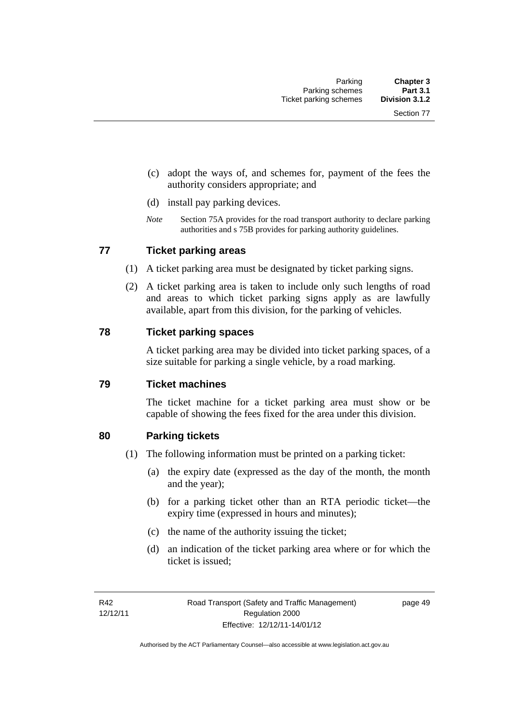- (c) adopt the ways of, and schemes for, payment of the fees the authority considers appropriate; and
- (d) install pay parking devices.
- *Note* Section 75A provides for the road transport authority to declare parking authorities and s 75B provides for parking authority guidelines.

#### **77 Ticket parking areas**

- (1) A ticket parking area must be designated by ticket parking signs.
- (2) A ticket parking area is taken to include only such lengths of road and areas to which ticket parking signs apply as are lawfully available, apart from this division, for the parking of vehicles.

#### **78 Ticket parking spaces**

A ticket parking area may be divided into ticket parking spaces, of a size suitable for parking a single vehicle, by a road marking.

#### **79 Ticket machines**

The ticket machine for a ticket parking area must show or be capable of showing the fees fixed for the area under this division.

#### **80 Parking tickets**

- (1) The following information must be printed on a parking ticket:
	- (a) the expiry date (expressed as the day of the month, the month and the year);
	- (b) for a parking ticket other than an RTA periodic ticket—the expiry time (expressed in hours and minutes);
	- (c) the name of the authority issuing the ticket;
	- (d) an indication of the ticket parking area where or for which the ticket is issued;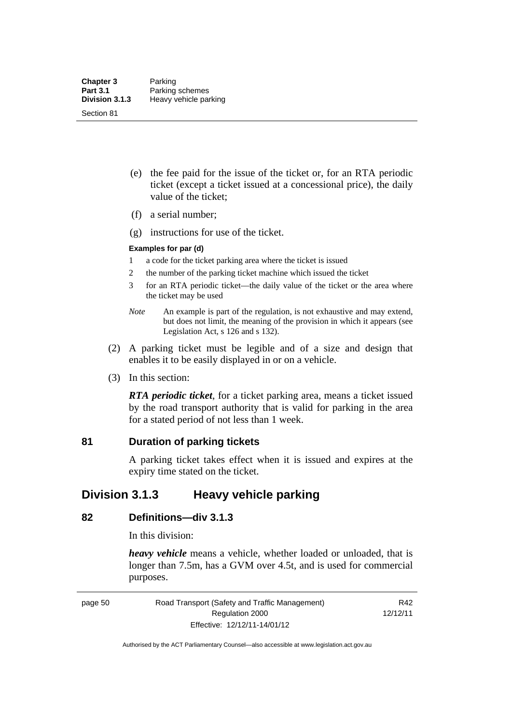- (e) the fee paid for the issue of the ticket or, for an RTA periodic ticket (except a ticket issued at a concessional price), the daily value of the ticket;
- (f) a serial number;
- (g) instructions for use of the ticket.

#### **Examples for par (d)**

- 1 a code for the ticket parking area where the ticket is issued
- 2 the number of the parking ticket machine which issued the ticket
- 3 for an RTA periodic ticket—the daily value of the ticket or the area where the ticket may be used
- *Note* An example is part of the regulation, is not exhaustive and may extend, but does not limit, the meaning of the provision in which it appears (see Legislation Act, s 126 and s 132).
- (2) A parking ticket must be legible and of a size and design that enables it to be easily displayed in or on a vehicle.
- (3) In this section:

*RTA periodic ticket*, for a ticket parking area, means a ticket issued by the road transport authority that is valid for parking in the area for a stated period of not less than 1 week.

#### **81 Duration of parking tickets**

A parking ticket takes effect when it is issued and expires at the expiry time stated on the ticket.

## **Division 3.1.3 Heavy vehicle parking**

#### **82 Definitions—div 3.1.3**

In this division:

*heavy vehicle* means a vehicle, whether loaded or unloaded, that is longer than 7.5m, has a GVM over 4.5t, and is used for commercial purposes.

page 50 Road Transport (Safety and Traffic Management) Regulation 2000 Effective: 12/12/11-14/01/12

R42 12/12/11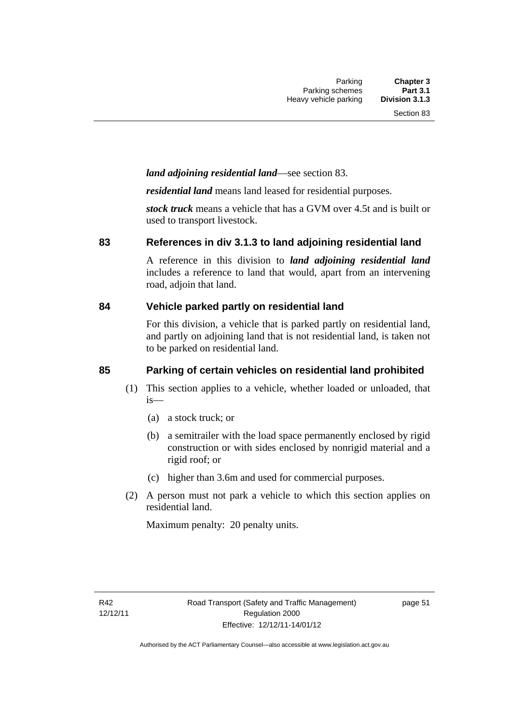#### *land adjoining residential land*—see section 83.

*residential land* means land leased for residential purposes.

*stock truck* means a vehicle that has a GVM over 4.5t and is built or used to transport livestock.

#### **83 References in div 3.1.3 to land adjoining residential land**

A reference in this division to *land adjoining residential land* includes a reference to land that would, apart from an intervening road, adjoin that land.

#### **84 Vehicle parked partly on residential land**

For this division, a vehicle that is parked partly on residential land, and partly on adjoining land that is not residential land, is taken not to be parked on residential land.

#### **85 Parking of certain vehicles on residential land prohibited**

- (1) This section applies to a vehicle, whether loaded or unloaded, that is—
	- (a) a stock truck; or
	- (b) a semitrailer with the load space permanently enclosed by rigid construction or with sides enclosed by nonrigid material and a rigid roof; or
	- (c) higher than 3.6m and used for commercial purposes.
- (2) A person must not park a vehicle to which this section applies on residential land.

Maximum penalty: 20 penalty units.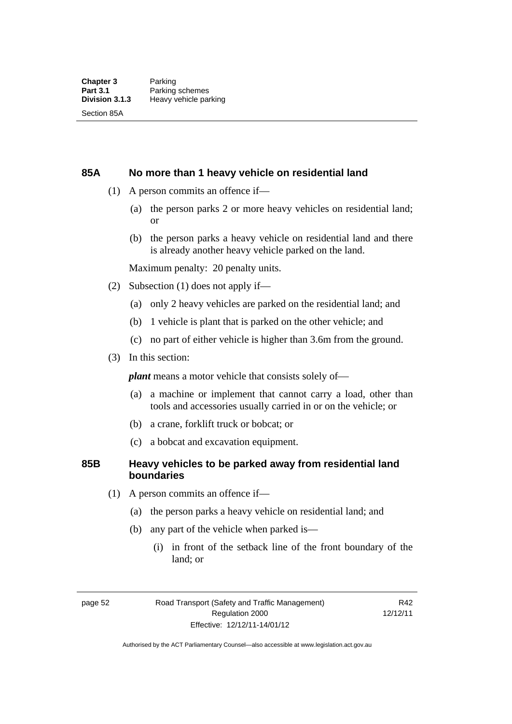#### **85A No more than 1 heavy vehicle on residential land**

- (1) A person commits an offence if—
	- (a) the person parks 2 or more heavy vehicles on residential land; or
	- (b) the person parks a heavy vehicle on residential land and there is already another heavy vehicle parked on the land.

Maximum penalty: 20 penalty units.

- (2) Subsection (1) does not apply if—
	- (a) only 2 heavy vehicles are parked on the residential land; and
	- (b) 1 vehicle is plant that is parked on the other vehicle; and
	- (c) no part of either vehicle is higher than 3.6m from the ground.
- (3) In this section:

*plant* means a motor vehicle that consists solely of—

- (a) a machine or implement that cannot carry a load, other than tools and accessories usually carried in or on the vehicle; or
- (b) a crane, forklift truck or bobcat; or
- (c) a bobcat and excavation equipment.

#### **85B Heavy vehicles to be parked away from residential land boundaries**

- (1) A person commits an offence if—
	- (a) the person parks a heavy vehicle on residential land; and
	- (b) any part of the vehicle when parked is—
		- (i) in front of the setback line of the front boundary of the land; or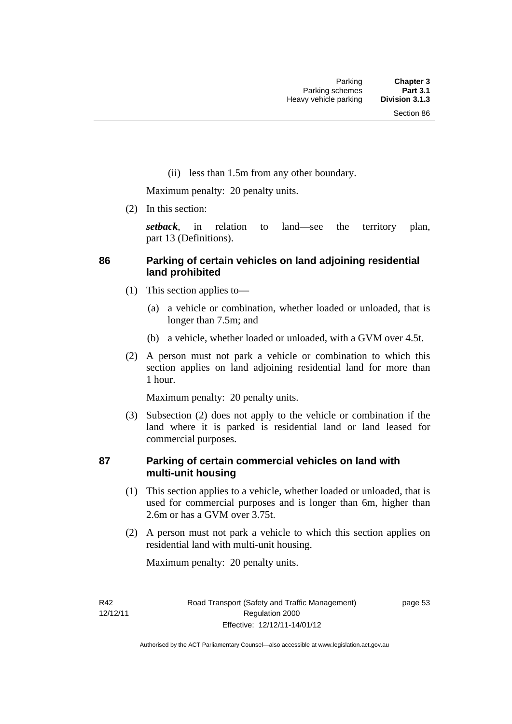(ii) less than 1.5m from any other boundary.

Maximum penalty: 20 penalty units.

(2) In this section:

*setback*, in relation to land—see the territory plan, part 13 (Definitions).

#### **86 Parking of certain vehicles on land adjoining residential land prohibited**

- (1) This section applies to—
	- (a) a vehicle or combination, whether loaded or unloaded, that is longer than 7.5m; and
	- (b) a vehicle, whether loaded or unloaded, with a GVM over 4.5t.
- (2) A person must not park a vehicle or combination to which this section applies on land adjoining residential land for more than 1 hour.

Maximum penalty: 20 penalty units.

 (3) Subsection (2) does not apply to the vehicle or combination if the land where it is parked is residential land or land leased for commercial purposes.

#### **87 Parking of certain commercial vehicles on land with multi-unit housing**

- (1) This section applies to a vehicle, whether loaded or unloaded, that is used for commercial purposes and is longer than 6m, higher than 2.6m or has a GVM over 3.75t.
- (2) A person must not park a vehicle to which this section applies on residential land with multi-unit housing.

Maximum penalty: 20 penalty units.

R42 12/12/11 page 53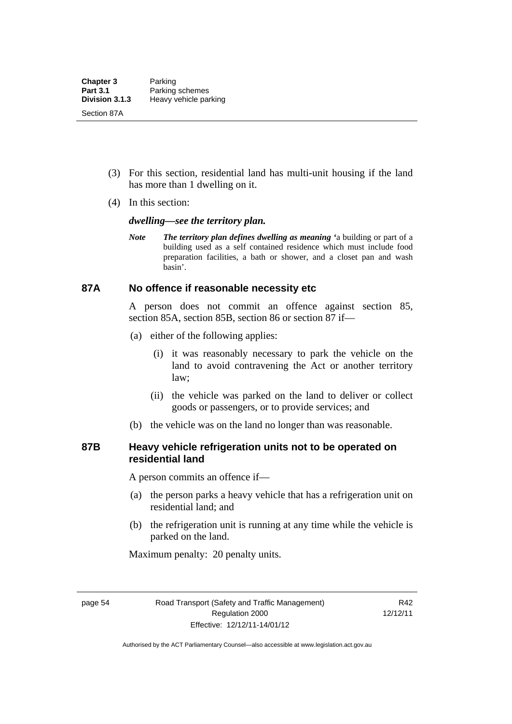- (3) For this section, residential land has multi-unit housing if the land has more than 1 dwelling on it.
- (4) In this section:

#### *dwelling—see the territory plan.*

*Note The territory plan defines dwelling as meaning '*a building or part of a building used as a self contained residence which must include food preparation facilities, a bath or shower, and a closet pan and wash basin'.

#### **87A No offence if reasonable necessity etc**

A person does not commit an offence against section 85, section 85A, section 85B, section 86 or section 87 if—

- (a) either of the following applies:
	- (i) it was reasonably necessary to park the vehicle on the land to avoid contravening the Act or another territory law;
	- (ii) the vehicle was parked on the land to deliver or collect goods or passengers, or to provide services; and
- (b) the vehicle was on the land no longer than was reasonable.

### **87B Heavy vehicle refrigeration units not to be operated on residential land**

A person commits an offence if—

- (a) the person parks a heavy vehicle that has a refrigeration unit on residential land; and
- (b) the refrigeration unit is running at any time while the vehicle is parked on the land.

Maximum penalty: 20 penalty units.

page 54 Road Transport (Safety and Traffic Management) Regulation 2000 Effective: 12/12/11-14/01/12

R42 12/12/11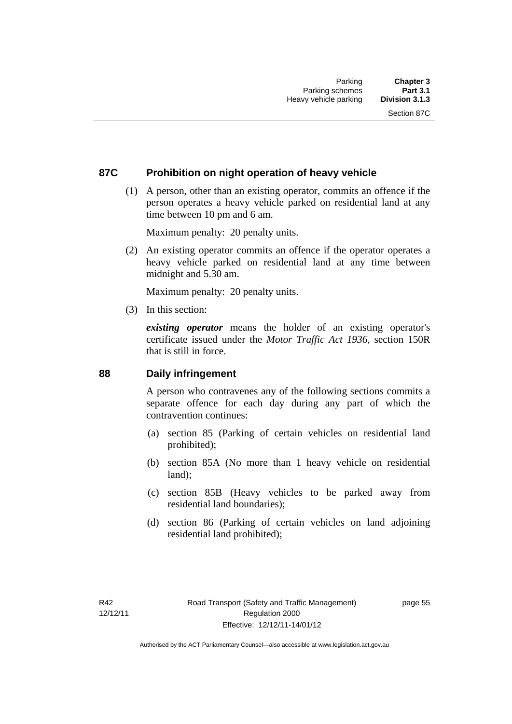### **87C Prohibition on night operation of heavy vehicle**

 (1) A person, other than an existing operator, commits an offence if the person operates a heavy vehicle parked on residential land at any time between 10 pm and 6 am.

Maximum penalty: 20 penalty units.

 (2) An existing operator commits an offence if the operator operates a heavy vehicle parked on residential land at any time between midnight and 5.30 am.

Maximum penalty: 20 penalty units.

(3) In this section:

*existing operator* means the holder of an existing operator's certificate issued under the *Motor Traffic Act 1936*, section 150R that is still in force.

#### **88 Daily infringement**

A person who contravenes any of the following sections commits a separate offence for each day during any part of which the contravention continues:

- (a) section 85 (Parking of certain vehicles on residential land prohibited);
- (b) section 85A (No more than 1 heavy vehicle on residential land);
- (c) section 85B (Heavy vehicles to be parked away from residential land boundaries);
- (d) section 86 (Parking of certain vehicles on land adjoining residential land prohibited);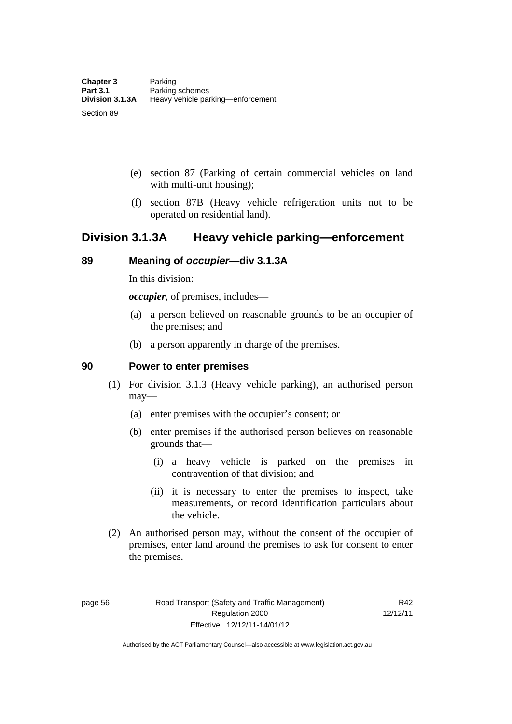- (e) section 87 (Parking of certain commercial vehicles on land with multi-unit housing);
- (f) section 87B (Heavy vehicle refrigeration units not to be operated on residential land).

## **Division 3.1.3A Heavy vehicle parking—enforcement**

### **89 Meaning of** *occupier***—div 3.1.3A**

In this division:

*occupier*, of premises, includes—

- (a) a person believed on reasonable grounds to be an occupier of the premises; and
- (b) a person apparently in charge of the premises.

#### **90 Power to enter premises**

- (1) For division 3.1.3 (Heavy vehicle parking), an authorised person may—
	- (a) enter premises with the occupier's consent; or
	- (b) enter premises if the authorised person believes on reasonable grounds that—
		- (i) a heavy vehicle is parked on the premises in contravention of that division; and
		- (ii) it is necessary to enter the premises to inspect, take measurements, or record identification particulars about the vehicle.
- (2) An authorised person may, without the consent of the occupier of premises, enter land around the premises to ask for consent to enter the premises.

page 56 Road Transport (Safety and Traffic Management) Regulation 2000 Effective: 12/12/11-14/01/12

R42 12/12/11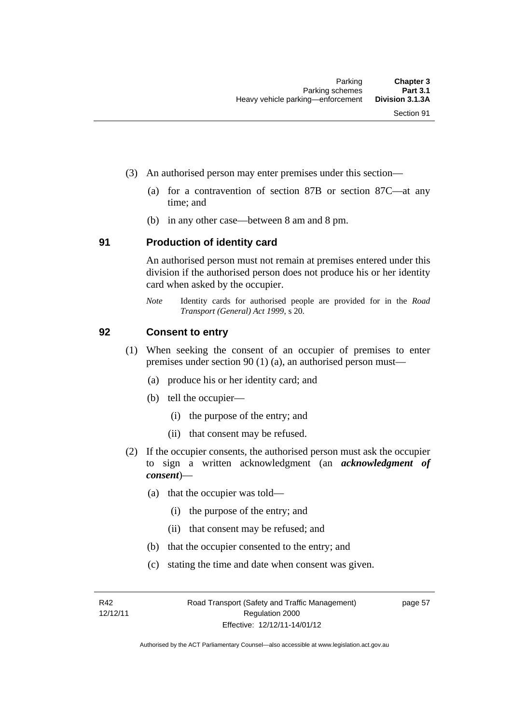- (3) An authorised person may enter premises under this section––
	- (a) for a contravention of section 87B or section 87C––at any time; and
	- (b) in any other case––between 8 am and 8 pm.

#### **91 Production of identity card**

An authorised person must not remain at premises entered under this division if the authorised person does not produce his or her identity card when asked by the occupier.

*Note* Identity cards for authorised people are provided for in the *Road Transport (General) Act 1999*, s 20.

#### **92 Consent to entry**

- (1) When seeking the consent of an occupier of premises to enter premises under section 90 (1) (a), an authorised person must—
	- (a) produce his or her identity card; and
	- (b) tell the occupier—
		- (i) the purpose of the entry; and
		- (ii) that consent may be refused.
- (2) If the occupier consents, the authorised person must ask the occupier to sign a written acknowledgment (an *acknowledgment of consent*)—
	- (a) that the occupier was told—
		- (i) the purpose of the entry; and
		- (ii) that consent may be refused; and
	- (b) that the occupier consented to the entry; and
	- (c) stating the time and date when consent was given.

R42 12/12/11 page 57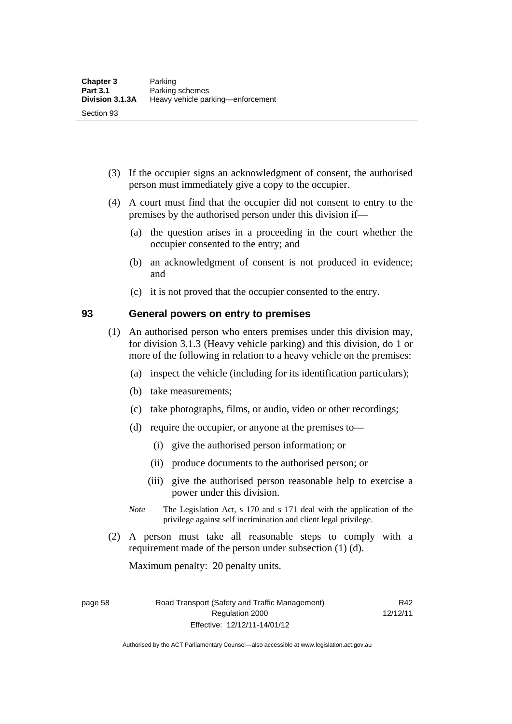- (3) If the occupier signs an acknowledgment of consent, the authorised person must immediately give a copy to the occupier.
- (4) A court must find that the occupier did not consent to entry to the premises by the authorised person under this division if—
	- (a) the question arises in a proceeding in the court whether the occupier consented to the entry; and
	- (b) an acknowledgment of consent is not produced in evidence; and
	- (c) it is not proved that the occupier consented to the entry.

#### **93 General powers on entry to premises**

- (1) An authorised person who enters premises under this division may, for division 3.1.3 (Heavy vehicle parking) and this division, do 1 or more of the following in relation to a heavy vehicle on the premises:
	- (a) inspect the vehicle (including for its identification particulars);
	- (b) take measurements;
	- (c) take photographs, films, or audio, video or other recordings;
	- (d) require the occupier, or anyone at the premises to—
		- (i) give the authorised person information; or
		- (ii) produce documents to the authorised person; or
		- (iii) give the authorised person reasonable help to exercise a power under this division.
	- *Note* The Legislation Act, s 170 and s 171 deal with the application of the privilege against self incrimination and client legal privilege.
- (2) A person must take all reasonable steps to comply with a requirement made of the person under subsection (1) (d).

Maximum penalty: 20 penalty units.

page 58 Road Transport (Safety and Traffic Management) Regulation 2000 Effective: 12/12/11-14/01/12

R42 12/12/11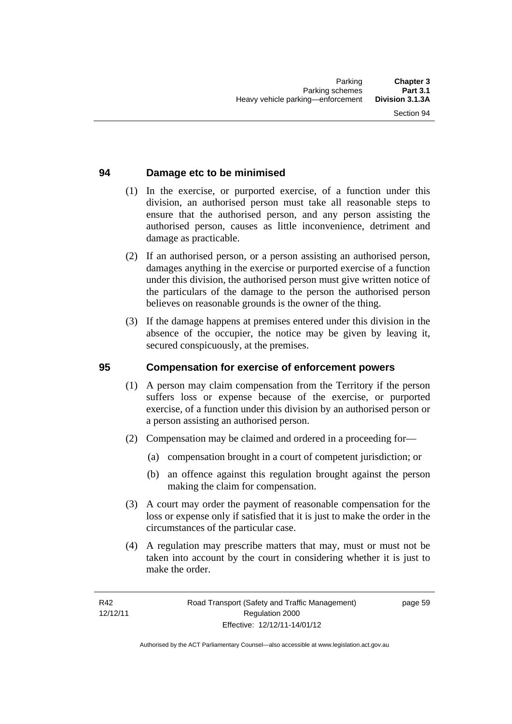### **94 Damage etc to be minimised**

- (1) In the exercise, or purported exercise, of a function under this division, an authorised person must take all reasonable steps to ensure that the authorised person, and any person assisting the authorised person, causes as little inconvenience, detriment and damage as practicable.
- (2) If an authorised person, or a person assisting an authorised person, damages anything in the exercise or purported exercise of a function under this division, the authorised person must give written notice of the particulars of the damage to the person the authorised person believes on reasonable grounds is the owner of the thing.
- (3) If the damage happens at premises entered under this division in the absence of the occupier, the notice may be given by leaving it, secured conspicuously, at the premises.

#### **95 Compensation for exercise of enforcement powers**

- (1) A person may claim compensation from the Territory if the person suffers loss or expense because of the exercise, or purported exercise, of a function under this division by an authorised person or a person assisting an authorised person.
- (2) Compensation may be claimed and ordered in a proceeding for—
	- (a) compensation brought in a court of competent jurisdiction; or
	- (b) an offence against this regulation brought against the person making the claim for compensation.
- (3) A court may order the payment of reasonable compensation for the loss or expense only if satisfied that it is just to make the order in the circumstances of the particular case.
- (4) A regulation may prescribe matters that may, must or must not be taken into account by the court in considering whether it is just to make the order.

page 59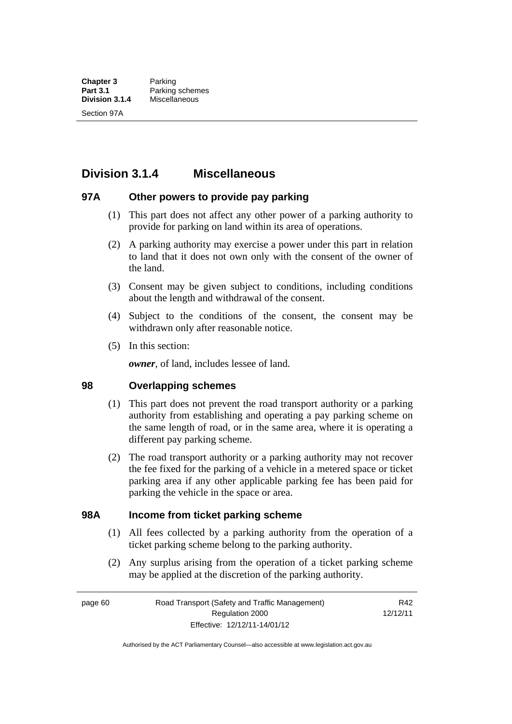## **Division 3.1.4 Miscellaneous**

### **97A Other powers to provide pay parking**

- (1) This part does not affect any other power of a parking authority to provide for parking on land within its area of operations.
- (2) A parking authority may exercise a power under this part in relation to land that it does not own only with the consent of the owner of the land.
- (3) Consent may be given subject to conditions, including conditions about the length and withdrawal of the consent.
- (4) Subject to the conditions of the consent, the consent may be withdrawn only after reasonable notice.
- (5) In this section:

*owner*, of land, includes lessee of land.

#### **98 Overlapping schemes**

- (1) This part does not prevent the road transport authority or a parking authority from establishing and operating a pay parking scheme on the same length of road, or in the same area, where it is operating a different pay parking scheme.
- (2) The road transport authority or a parking authority may not recover the fee fixed for the parking of a vehicle in a metered space or ticket parking area if any other applicable parking fee has been paid for parking the vehicle in the space or area.

#### **98A Income from ticket parking scheme**

- (1) All fees collected by a parking authority from the operation of a ticket parking scheme belong to the parking authority.
- (2) Any surplus arising from the operation of a ticket parking scheme may be applied at the discretion of the parking authority.

page 60 Road Transport (Safety and Traffic Management) Regulation 2000 Effective: 12/12/11-14/01/12

R42 12/12/11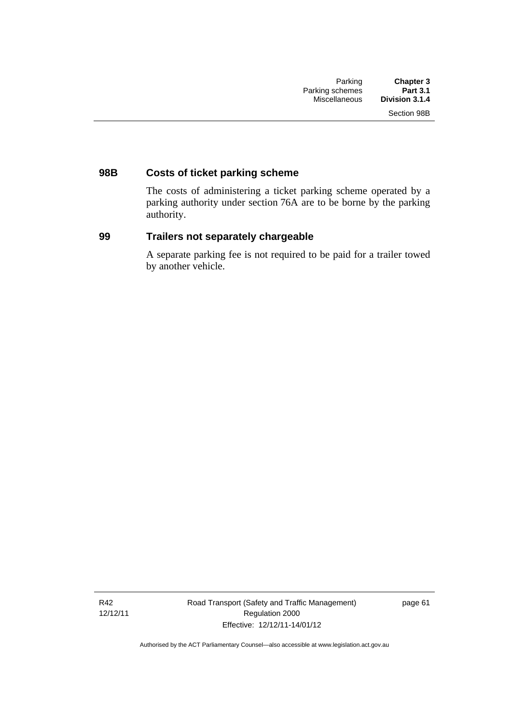### **98B Costs of ticket parking scheme**

The costs of administering a ticket parking scheme operated by a parking authority under section 76A are to be borne by the parking authority.

### **99 Trailers not separately chargeable**

A separate parking fee is not required to be paid for a trailer towed by another vehicle.

R42 12/12/11 Road Transport (Safety and Traffic Management) Regulation 2000 Effective: 12/12/11-14/01/12

page 61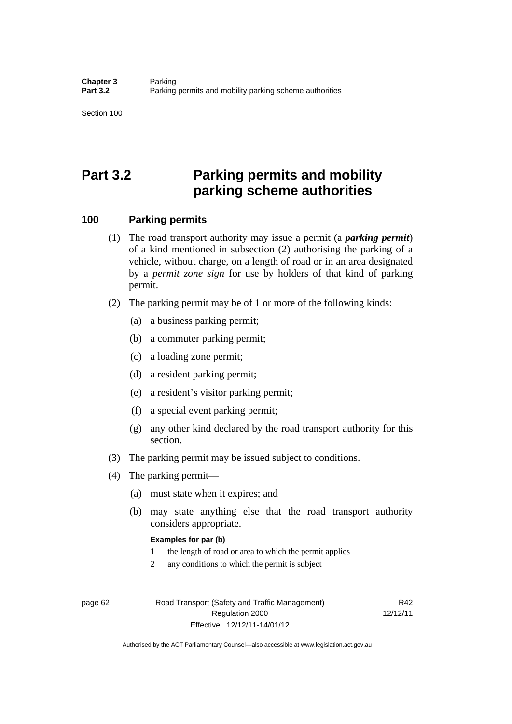## **Part 3.2 Parking permits and mobility parking scheme authorities**

#### **100 Parking permits**

- (1) The road transport authority may issue a permit (a *parking permit*) of a kind mentioned in subsection (2) authorising the parking of a vehicle, without charge, on a length of road or in an area designated by a *permit zone sign* for use by holders of that kind of parking permit.
- (2) The parking permit may be of 1 or more of the following kinds:
	- (a) a business parking permit;
	- (b) a commuter parking permit;
	- (c) a loading zone permit;
	- (d) a resident parking permit;
	- (e) a resident's visitor parking permit;
	- (f) a special event parking permit;
	- (g) any other kind declared by the road transport authority for this section.
- (3) The parking permit may be issued subject to conditions.
- (4) The parking permit—
	- (a) must state when it expires; and
	- (b) may state anything else that the road transport authority considers appropriate.

#### **Examples for par (b)**

- 1 the length of road or area to which the permit applies
- 2 any conditions to which the permit is subject

page 62 Road Transport (Safety and Traffic Management) Regulation 2000 Effective: 12/12/11-14/01/12

R42 12/12/11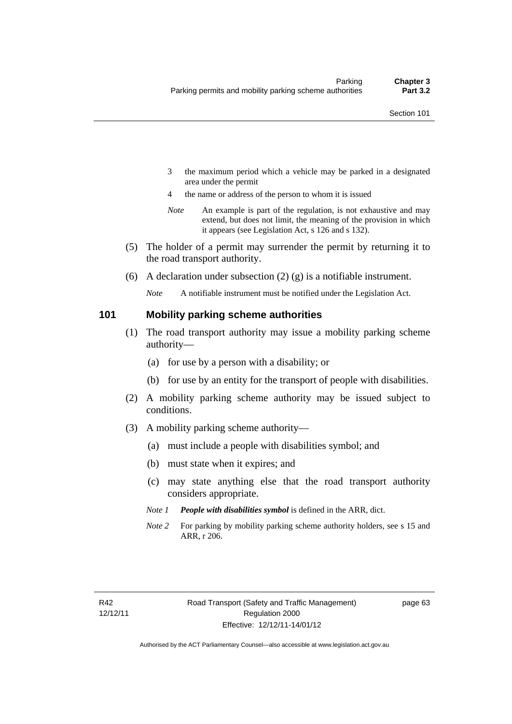- 3 the maximum period which a vehicle may be parked in a designated area under the permit
- 4 the name or address of the person to whom it is issued
- *Note* An example is part of the regulation, is not exhaustive and may extend, but does not limit, the meaning of the provision in which it appears (see Legislation Act, s 126 and s 132).
- (5) The holder of a permit may surrender the permit by returning it to the road transport authority.
- (6) A declaration under subsection  $(2)$  (g) is a notifiable instrument.

*Note* A notifiable instrument must be notified under the Legislation Act.

#### **101 Mobility parking scheme authorities**

- (1) The road transport authority may issue a mobility parking scheme authority—
	- (a) for use by a person with a disability; or
	- (b) for use by an entity for the transport of people with disabilities.
- (2) A mobility parking scheme authority may be issued subject to conditions.
- (3) A mobility parking scheme authority—
	- (a) must include a people with disabilities symbol; and
	- (b) must state when it expires; and
	- (c) may state anything else that the road transport authority considers appropriate.
	- *Note 1 People with disabilities symbol* is defined in the ARR, dict.
	- *Note 2* For parking by mobility parking scheme authority holders, see s 15 and ARR, r 206.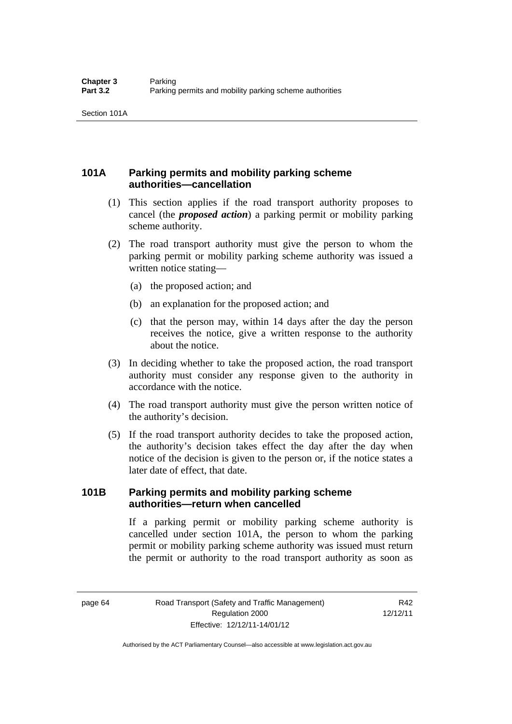### **101A Parking permits and mobility parking scheme authorities—cancellation**

- (1) This section applies if the road transport authority proposes to cancel (the *proposed action*) a parking permit or mobility parking scheme authority.
- (2) The road transport authority must give the person to whom the parking permit or mobility parking scheme authority was issued a written notice stating—
	- (a) the proposed action; and
	- (b) an explanation for the proposed action; and
	- (c) that the person may, within 14 days after the day the person receives the notice, give a written response to the authority about the notice.
- (3) In deciding whether to take the proposed action, the road transport authority must consider any response given to the authority in accordance with the notice.
- (4) The road transport authority must give the person written notice of the authority's decision.
- (5) If the road transport authority decides to take the proposed action, the authority's decision takes effect the day after the day when notice of the decision is given to the person or, if the notice states a later date of effect, that date.

### **101B Parking permits and mobility parking scheme authorities—return when cancelled**

If a parking permit or mobility parking scheme authority is cancelled under section 101A, the person to whom the parking permit or mobility parking scheme authority was issued must return the permit or authority to the road transport authority as soon as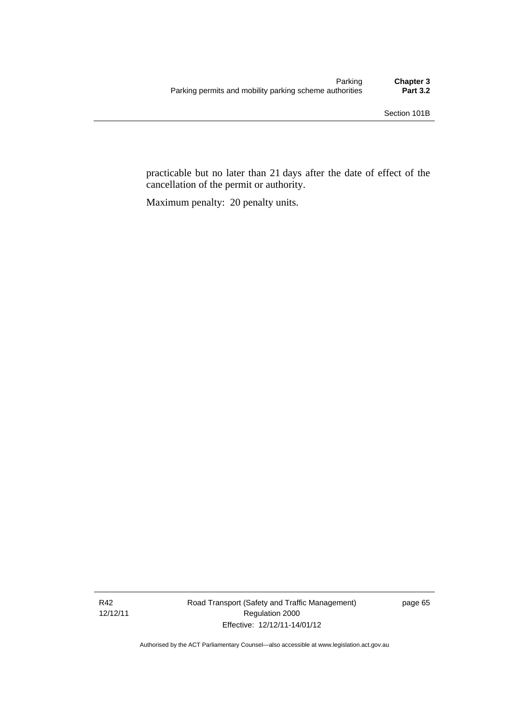practicable but no later than 21 days after the date of effect of the cancellation of the permit or authority.

Maximum penalty: 20 penalty units.

R42 12/12/11 Road Transport (Safety and Traffic Management) Regulation 2000 Effective: 12/12/11-14/01/12

page 65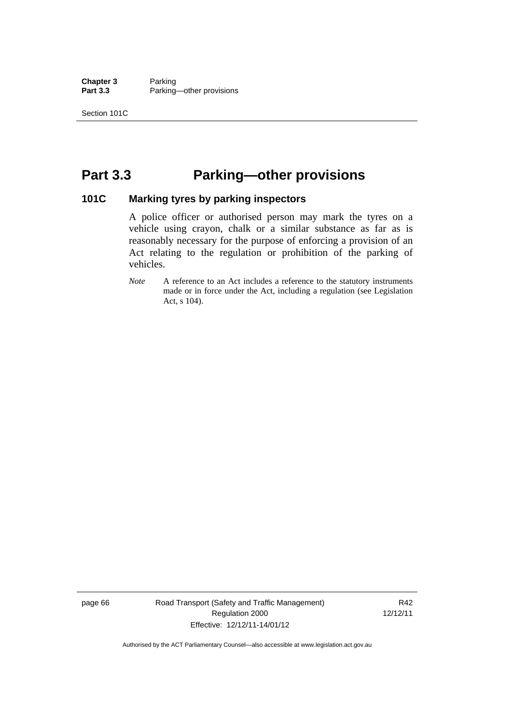**Chapter 3** Parking<br>**Part 3.3** Parking Parking—other provisions

## **Part 3.3 Parking—other provisions**

#### **101C Marking tyres by parking inspectors**

A police officer or authorised person may mark the tyres on a vehicle using crayon, chalk or a similar substance as far as is reasonably necessary for the purpose of enforcing a provision of an Act relating to the regulation or prohibition of the parking of vehicles.

*Note* A reference to an Act includes a reference to the statutory instruments made or in force under the Act, including a regulation (see Legislation Act, s 104).

page 66 Road Transport (Safety and Traffic Management) Regulation 2000 Effective: 12/12/11-14/01/12

R42 12/12/11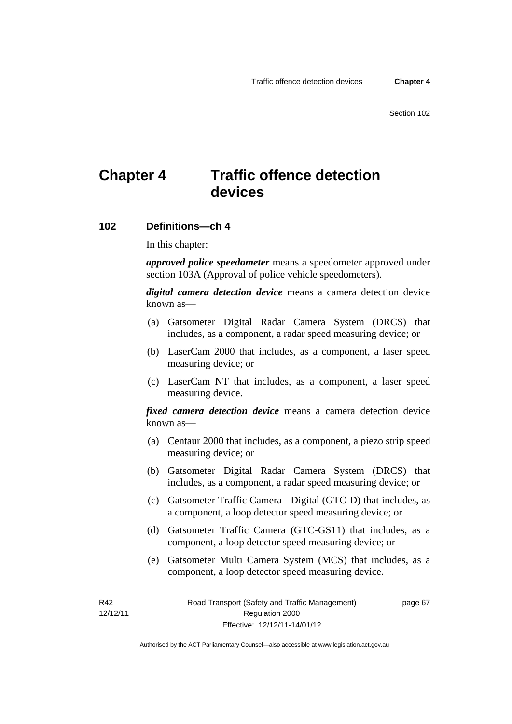## **Chapter 4 Traffic offence detection devices**

#### **102 Definitions—ch 4**

In this chapter:

*approved police speedometer* means a speedometer approved under section 103A (Approval of police vehicle speedometers).

*digital camera detection device* means a camera detection device known as—

- (a) Gatsometer Digital Radar Camera System (DRCS) that includes, as a component, a radar speed measuring device; or
- (b) LaserCam 2000 that includes, as a component, a laser speed measuring device; or
- (c) LaserCam NT that includes, as a component, a laser speed measuring device.

*fixed camera detection device* means a camera detection device known as—

- (a) Centaur 2000 that includes, as a component, a piezo strip speed measuring device; or
- (b) Gatsometer Digital Radar Camera System (DRCS) that includes, as a component, a radar speed measuring device; or
- (c) Gatsometer Traffic Camera Digital (GTC-D) that includes, as a component, a loop detector speed measuring device; or
- (d) Gatsometer Traffic Camera (GTC-GS11) that includes, as a component, a loop detector speed measuring device; or
- (e) Gatsometer Multi Camera System (MCS) that includes, as a component, a loop detector speed measuring device.

R42 12/12/11 page 67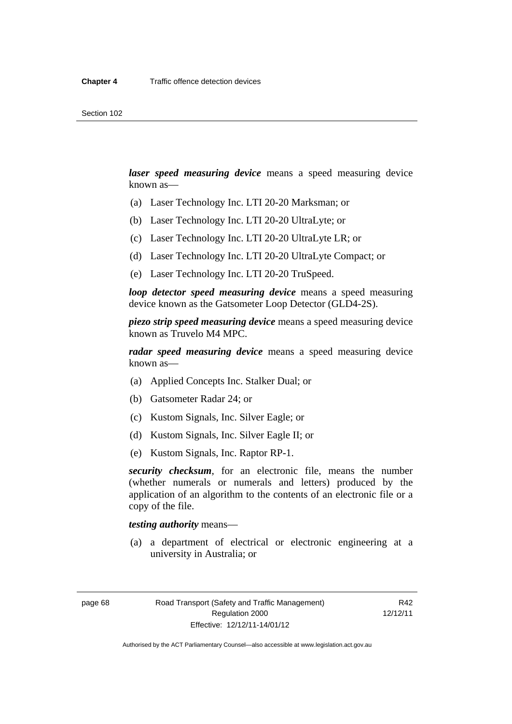*laser speed measuring device* means a speed measuring device known as—

- (a) Laser Technology Inc. LTI 20-20 Marksman; or
- (b) Laser Technology Inc. LTI 20-20 UltraLyte; or
- (c) Laser Technology Inc. LTI 20-20 UltraLyte LR; or
- (d) Laser Technology Inc. LTI 20-20 UltraLyte Compact; or
- (e) Laser Technology Inc. LTI 20-20 TruSpeed.

*loop detector speed measuring device* means a speed measuring device known as the Gatsometer Loop Detector (GLD4-2S).

*piezo strip speed measuring device* means a speed measuring device known as Truvelo M4 MPC.

*radar speed measuring device* means a speed measuring device known as—

- (a) Applied Concepts Inc. Stalker Dual; or
- (b) Gatsometer Radar 24; or
- (c) Kustom Signals, Inc. Silver Eagle; or
- (d) Kustom Signals, Inc. Silver Eagle II; or
- (e) Kustom Signals, Inc. Raptor RP-1.

*security checksum*, for an electronic file, means the number (whether numerals or numerals and letters) produced by the application of an algorithm to the contents of an electronic file or a copy of the file.

*testing authority* means—

 (a) a department of electrical or electronic engineering at a university in Australia; or

page 68 Road Transport (Safety and Traffic Management) Regulation 2000 Effective: 12/12/11-14/01/12

R42 12/12/11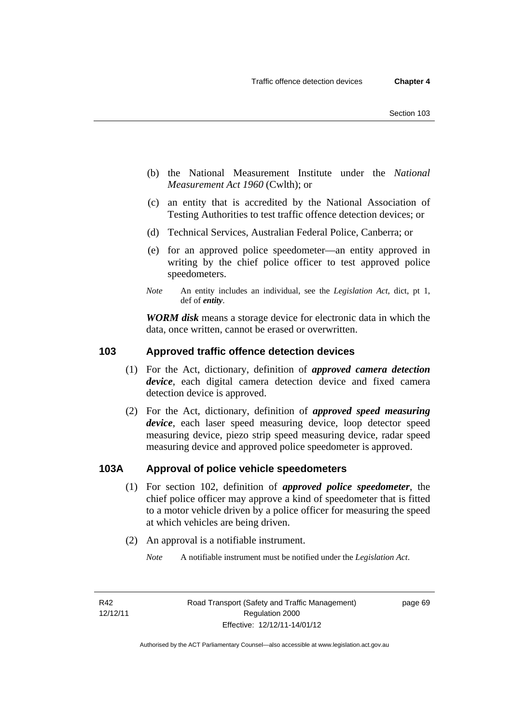- (b) the National Measurement Institute under the *National Measurement Act 1960* (Cwlth); or
- (c) an entity that is accredited by the National Association of Testing Authorities to test traffic offence detection devices; or
- (d) Technical Services, Australian Federal Police, Canberra; or
- (e) for an approved police speedometer—an entity approved in writing by the chief police officer to test approved police speedometers.
- *Note* An entity includes an individual, see the *Legislation Act*, dict, pt 1, def of *entity*.

*WORM disk* means a storage device for electronic data in which the data, once written, cannot be erased or overwritten.

### **103 Approved traffic offence detection devices**

- (1) For the Act, dictionary, definition of *approved camera detection device*, each digital camera detection device and fixed camera detection device is approved.
- (2) For the Act, dictionary, definition of *approved speed measuring device*, each laser speed measuring device, loop detector speed measuring device, piezo strip speed measuring device, radar speed measuring device and approved police speedometer is approved.

### **103A Approval of police vehicle speedometers**

- (1) For section 102, definition of *approved police speedometer*, the chief police officer may approve a kind of speedometer that is fitted to a motor vehicle driven by a police officer for measuring the speed at which vehicles are being driven.
- (2) An approval is a notifiable instrument.
	- *Note* A notifiable instrument must be notified under the *Legislation Act*.

page 69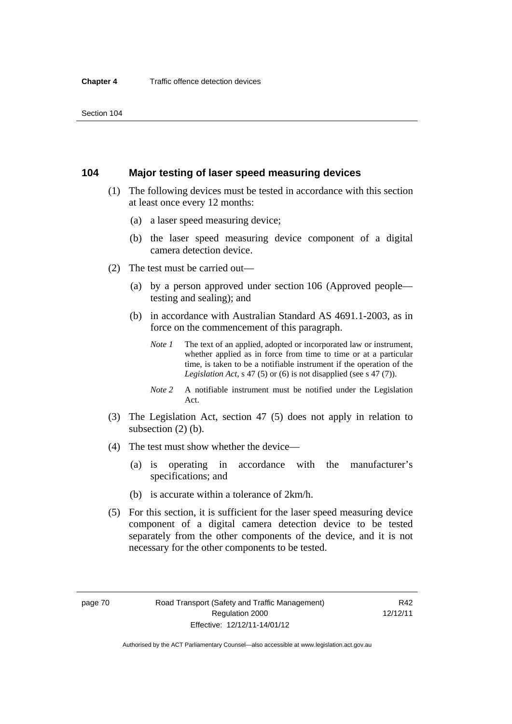#### **104 Major testing of laser speed measuring devices**

- (1) The following devices must be tested in accordance with this section at least once every 12 months:
	- (a) a laser speed measuring device;
	- (b) the laser speed measuring device component of a digital camera detection device.
- (2) The test must be carried out—
	- (a) by a person approved under section 106 (Approved people testing and sealing); and
	- (b) in accordance with Australian Standard AS 4691.1-2003, as in force on the commencement of this paragraph.
		- *Note 1* The text of an applied, adopted or incorporated law or instrument, whether applied as in force from time to time or at a particular time, is taken to be a notifiable instrument if the operation of the *Legislation Act,* s 47 (5) or (6) is not disapplied (see s 47 (7)).
		- *Note 2* A notifiable instrument must be notified under the Legislation Act.
- (3) The Legislation Act, section 47 (5) does not apply in relation to subsection (2) (b).
- (4) The test must show whether the device—
	- (a) is operating in accordance with the manufacturer's specifications; and
	- (b) is accurate within a tolerance of 2km/h.
- (5) For this section, it is sufficient for the laser speed measuring device component of a digital camera detection device to be tested separately from the other components of the device, and it is not necessary for the other components to be tested.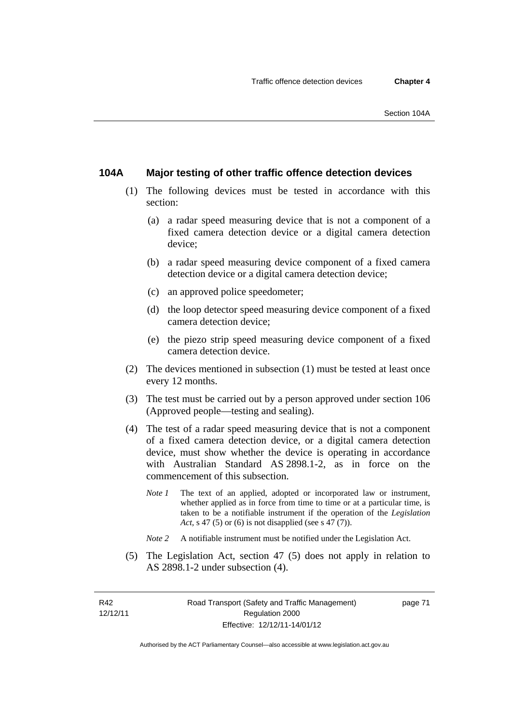### **104A Major testing of other traffic offence detection devices**

- (1) The following devices must be tested in accordance with this section:
	- (a) a radar speed measuring device that is not a component of a fixed camera detection device or a digital camera detection device;
	- (b) a radar speed measuring device component of a fixed camera detection device or a digital camera detection device;
	- (c) an approved police speedometer;
	- (d) the loop detector speed measuring device component of a fixed camera detection device;
	- (e) the piezo strip speed measuring device component of a fixed camera detection device.
- (2) The devices mentioned in subsection (1) must be tested at least once every 12 months.
- (3) The test must be carried out by a person approved under section 106 (Approved people—testing and sealing).
- (4) The test of a radar speed measuring device that is not a component of a fixed camera detection device, or a digital camera detection device, must show whether the device is operating in accordance with Australian Standard AS 2898.1-2, as in force on the commencement of this subsection.
	- *Note 1* The text of an applied, adopted or incorporated law or instrument, whether applied as in force from time to time or at a particular time, is taken to be a notifiable instrument if the operation of the *Legislation Act, s* 47 (5) or (6) is not disapplied (see s 47 (7)).
	- *Note 2* A notifiable instrument must be notified under the Legislation Act.
- (5) The Legislation Act, section 47 (5) does not apply in relation to AS 2898.1-2 under subsection (4).

R42 12/12/11 page 71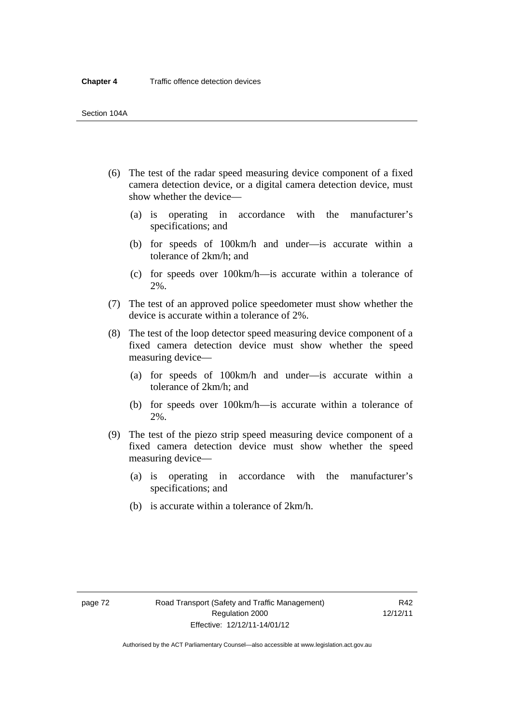- (6) The test of the radar speed measuring device component of a fixed camera detection device, or a digital camera detection device, must show whether the device—
	- (a) is operating in accordance with the manufacturer's specifications; and
	- (b) for speeds of 100km/h and under—is accurate within a tolerance of 2km/h; and
	- (c) for speeds over 100km/h—is accurate within a tolerance of 2%.
- (7) The test of an approved police speedometer must show whether the device is accurate within a tolerance of 2%.
- (8) The test of the loop detector speed measuring device component of a fixed camera detection device must show whether the speed measuring device—
	- (a) for speeds of 100km/h and under—is accurate within a tolerance of 2km/h; and
	- (b) for speeds over 100km/h—is accurate within a tolerance of 2%.
- (9) The test of the piezo strip speed measuring device component of a fixed camera detection device must show whether the speed measuring device—
	- (a) is operating in accordance with the manufacturer's specifications; and
	- (b) is accurate within a tolerance of 2km/h.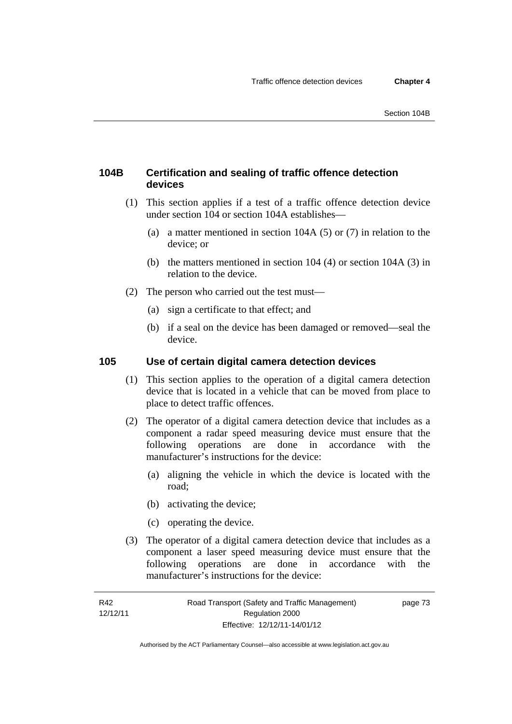### **104B Certification and sealing of traffic offence detection devices**

- (1) This section applies if a test of a traffic offence detection device under section 104 or section 104A establishes—
	- (a) a matter mentioned in section 104A (5) or (7) in relation to the device; or
	- (b) the matters mentioned in section 104 (4) or section 104A (3) in relation to the device.
- (2) The person who carried out the test must—
	- (a) sign a certificate to that effect; and
	- (b) if a seal on the device has been damaged or removed—seal the device.

#### **105 Use of certain digital camera detection devices**

- (1) This section applies to the operation of a digital camera detection device that is located in a vehicle that can be moved from place to place to detect traffic offences.
- (2) The operator of a digital camera detection device that includes as a component a radar speed measuring device must ensure that the following operations are done in accordance with the manufacturer's instructions for the device:
	- (a) aligning the vehicle in which the device is located with the road;
	- (b) activating the device;
	- (c) operating the device.
- (3) The operator of a digital camera detection device that includes as a component a laser speed measuring device must ensure that the following operations are done in accordance with the manufacturer's instructions for the device: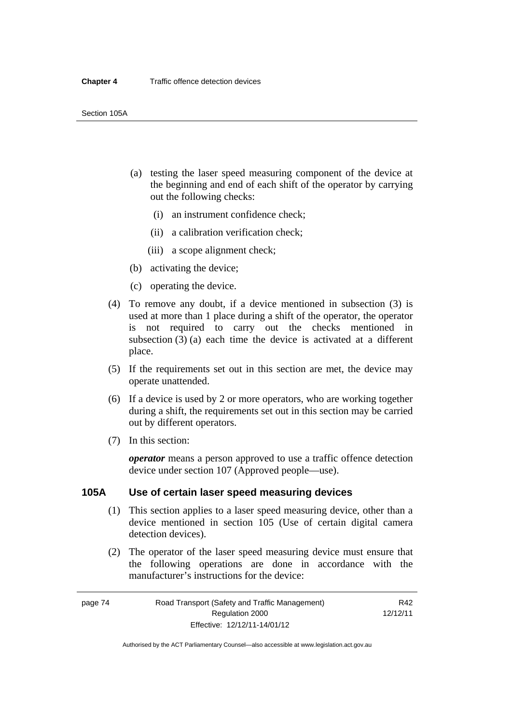- (a) testing the laser speed measuring component of the device at the beginning and end of each shift of the operator by carrying out the following checks:
	- (i) an instrument confidence check;
	- (ii) a calibration verification check;
	- (iii) a scope alignment check;
- (b) activating the device;
- (c) operating the device.
- (4) To remove any doubt, if a device mentioned in subsection (3) is used at more than 1 place during a shift of the operator, the operator is not required to carry out the checks mentioned in subsection (3) (a) each time the device is activated at a different place.
- (5) If the requirements set out in this section are met, the device may operate unattended.
- (6) If a device is used by 2 or more operators, who are working together during a shift, the requirements set out in this section may be carried out by different operators.
- (7) In this section:

*operator* means a person approved to use a traffic offence detection device under section 107 (Approved people—use).

#### **105A Use of certain laser speed measuring devices**

- (1) This section applies to a laser speed measuring device, other than a device mentioned in section 105 (Use of certain digital camera detection devices).
- (2) The operator of the laser speed measuring device must ensure that the following operations are done in accordance with the manufacturer's instructions for the device:

page 74 Road Transport (Safety and Traffic Management) Regulation 2000 Effective: 12/12/11-14/01/12

R42 12/12/11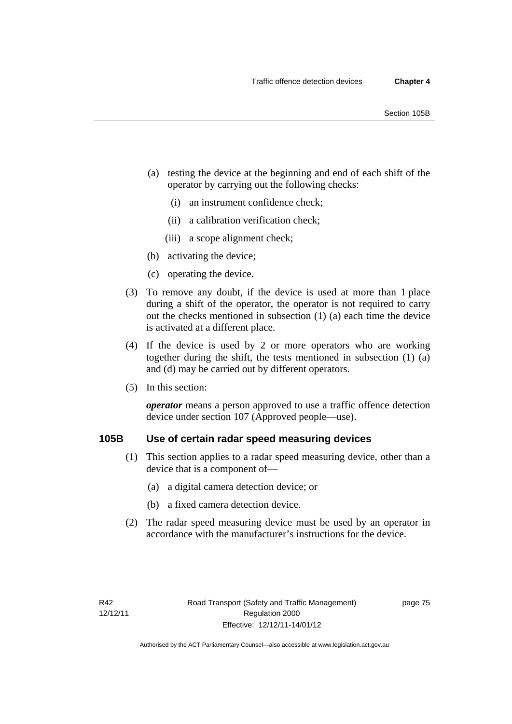- (a) testing the device at the beginning and end of each shift of the operator by carrying out the following checks:
	- (i) an instrument confidence check;
	- (ii) a calibration verification check;
	- (iii) a scope alignment check;
- (b) activating the device;
- (c) operating the device.
- (3) To remove any doubt, if the device is used at more than 1 place during a shift of the operator, the operator is not required to carry out the checks mentioned in subsection (1) (a) each time the device is activated at a different place.
- (4) If the device is used by 2 or more operators who are working together during the shift, the tests mentioned in subsection (1) (a) and (d) may be carried out by different operators.
- (5) In this section:

*operator* means a person approved to use a traffic offence detection device under section 107 (Approved people—use).

### **105B Use of certain radar speed measuring devices**

- (1) This section applies to a radar speed measuring device, other than a device that is a component of—
	- (a) a digital camera detection device; or
	- (b) a fixed camera detection device.
- (2) The radar speed measuring device must be used by an operator in accordance with the manufacturer's instructions for the device.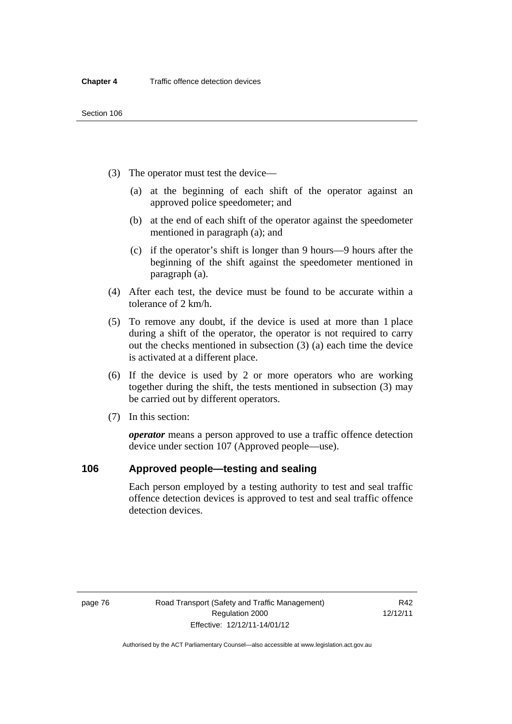- (3) The operator must test the device—
	- (a) at the beginning of each shift of the operator against an approved police speedometer; and
	- (b) at the end of each shift of the operator against the speedometer mentioned in paragraph (a); and
	- (c) if the operator's shift is longer than 9 hours—9 hours after the beginning of the shift against the speedometer mentioned in paragraph (a).
- (4) After each test, the device must be found to be accurate within a tolerance of 2 km/h.
- (5) To remove any doubt, if the device is used at more than 1 place during a shift of the operator, the operator is not required to carry out the checks mentioned in subsection (3) (a) each time the device is activated at a different place.
- (6) If the device is used by 2 or more operators who are working together during the shift, the tests mentioned in subsection (3) may be carried out by different operators.
- (7) In this section:

*operator* means a person approved to use a traffic offence detection device under section 107 (Approved people—use).

### **106 Approved people—testing and sealing**

Each person employed by a testing authority to test and seal traffic offence detection devices is approved to test and seal traffic offence detection devices.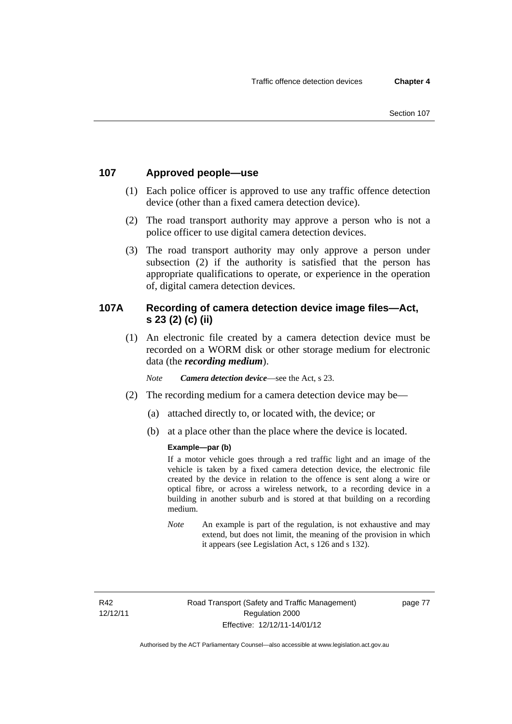### **107 Approved people—use**

- (1) Each police officer is approved to use any traffic offence detection device (other than a fixed camera detection device).
- (2) The road transport authority may approve a person who is not a police officer to use digital camera detection devices.
- (3) The road transport authority may only approve a person under subsection (2) if the authority is satisfied that the person has appropriate qualifications to operate, or experience in the operation of, digital camera detection devices.

### **107A Recording of camera detection device image files—Act, s 23 (2) (c) (ii)**

(1) An electronic file created by a camera detection device must be recorded on a WORM disk or other storage medium for electronic data (the *recording medium*).

*Note Camera detection device*—see the Act, s 23.

- (2) The recording medium for a camera detection device may be—
	- (a) attached directly to, or located with, the device; or
	- (b) at a place other than the place where the device is located.

#### **Example—par (b)**

If a motor vehicle goes through a red traffic light and an image of the vehicle is taken by a fixed camera detection device, the electronic file created by the device in relation to the offence is sent along a wire or optical fibre, or across a wireless network, to a recording device in a building in another suburb and is stored at that building on a recording medium.

*Note* An example is part of the regulation, is not exhaustive and may extend, but does not limit, the meaning of the provision in which it appears (see Legislation Act, s 126 and s 132).

R42 12/12/11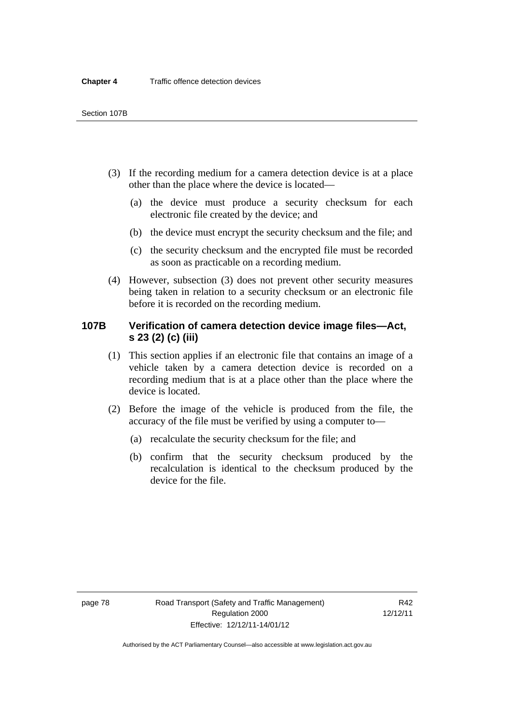- (3) If the recording medium for a camera detection device is at a place other than the place where the device is located—
	- (a) the device must produce a security checksum for each electronic file created by the device; and
	- (b) the device must encrypt the security checksum and the file; and
	- (c) the security checksum and the encrypted file must be recorded as soon as practicable on a recording medium.
- (4) However, subsection (3) does not prevent other security measures being taken in relation to a security checksum or an electronic file before it is recorded on the recording medium.

### **107B Verification of camera detection device image files—Act, s 23 (2) (c) (iii)**

- (1) This section applies if an electronic file that contains an image of a vehicle taken by a camera detection device is recorded on a recording medium that is at a place other than the place where the device is located.
- (2) Before the image of the vehicle is produced from the file, the accuracy of the file must be verified by using a computer to—
	- (a) recalculate the security checksum for the file; and
	- (b) confirm that the security checksum produced by the recalculation is identical to the checksum produced by the device for the file.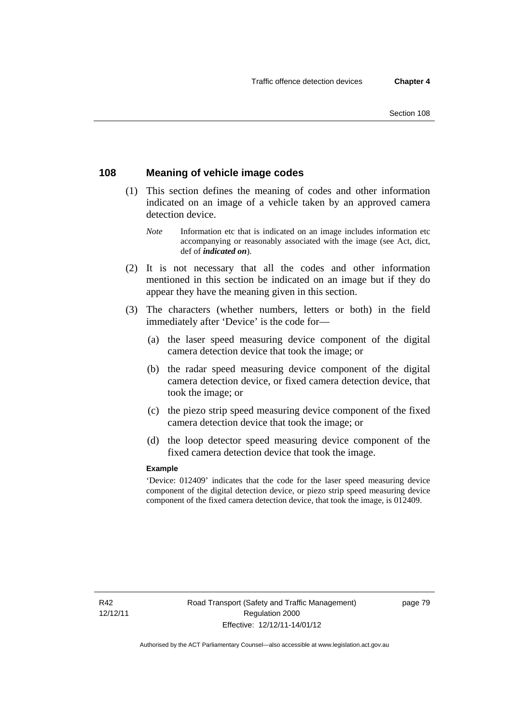### **108 Meaning of vehicle image codes**

- (1) This section defines the meaning of codes and other information indicated on an image of a vehicle taken by an approved camera detection device.
	- *Note* Information etc that is indicated on an image includes information etc accompanying or reasonably associated with the image (see Act, dict, def of *indicated on*).
- (2) It is not necessary that all the codes and other information mentioned in this section be indicated on an image but if they do appear they have the meaning given in this section.
- (3) The characters (whether numbers, letters or both) in the field immediately after 'Device' is the code for—
	- (a) the laser speed measuring device component of the digital camera detection device that took the image; or
	- (b) the radar speed measuring device component of the digital camera detection device, or fixed camera detection device, that took the image; or
	- (c) the piezo strip speed measuring device component of the fixed camera detection device that took the image; or
	- (d) the loop detector speed measuring device component of the fixed camera detection device that took the image.

#### **Example**

'Device: 012409' indicates that the code for the laser speed measuring device component of the digital detection device, or piezo strip speed measuring device component of the fixed camera detection device, that took the image, is 012409.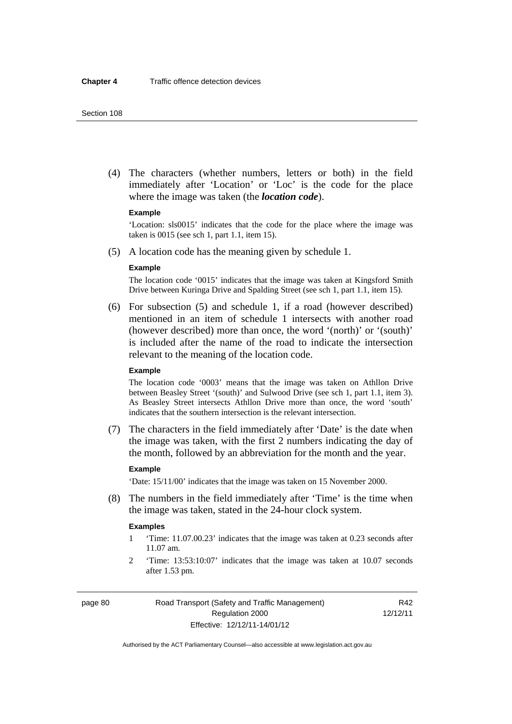(4) The characters (whether numbers, letters or both) in the field immediately after 'Location' or 'Loc' is the code for the place where the image was taken (the *location code*).

#### **Example**

'Location: sls0015' indicates that the code for the place where the image was taken is 0015 (see sch 1, part 1.1, item 15).

(5) A location code has the meaning given by schedule 1.

#### **Example**

The location code '0015' indicates that the image was taken at Kingsford Smith Drive between Kuringa Drive and Spalding Street (see sch 1, part 1.1, item 15).

 (6) For subsection (5) and schedule 1, if a road (however described) mentioned in an item of schedule 1 intersects with another road (however described) more than once, the word '(north)' or '(south)' is included after the name of the road to indicate the intersection relevant to the meaning of the location code.

#### **Example**

The location code '0003' means that the image was taken on Athllon Drive between Beasley Street '(south)' and Sulwood Drive (see sch 1, part 1.1, item 3). As Beasley Street intersects Athllon Drive more than once, the word 'south' indicates that the southern intersection is the relevant intersection.

 (7) The characters in the field immediately after 'Date' is the date when the image was taken, with the first 2 numbers indicating the day of the month, followed by an abbreviation for the month and the year.

#### **Example**

'Date: 15/11/00' indicates that the image was taken on 15 November 2000.

 (8) The numbers in the field immediately after 'Time' is the time when the image was taken, stated in the 24-hour clock system.

#### **Examples**

- 1 'Time: 11.07.00.23' indicates that the image was taken at 0.23 seconds after 11.07 am.
- 2 'Time: 13:53:10:07' indicates that the image was taken at 10.07 seconds after 1.53 pm.

page 80 Road Transport (Safety and Traffic Management) Regulation 2000 Effective: 12/12/11-14/01/12

R42 12/12/11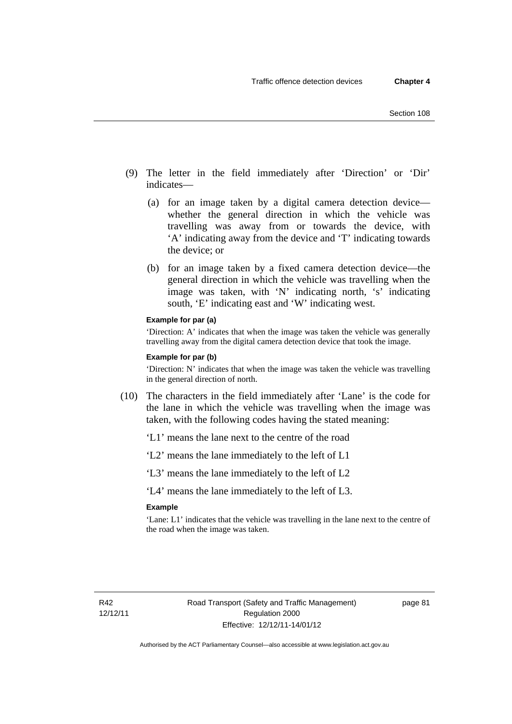- (9) The letter in the field immediately after 'Direction' or 'Dir' indicates—
	- (a) for an image taken by a digital camera detection device whether the general direction in which the vehicle was travelling was away from or towards the device, with 'A' indicating away from the device and 'T' indicating towards the device; or
	- (b) for an image taken by a fixed camera detection device—the general direction in which the vehicle was travelling when the image was taken, with 'N' indicating north, 's' indicating south, 'E' indicating east and 'W' indicating west.

#### **Example for par (a)**

'Direction: A' indicates that when the image was taken the vehicle was generally travelling away from the digital camera detection device that took the image.

#### **Example for par (b)**

'Direction: N' indicates that when the image was taken the vehicle was travelling in the general direction of north.

- (10) The characters in the field immediately after 'Lane' is the code for the lane in which the vehicle was travelling when the image was taken, with the following codes having the stated meaning:
	- 'L1' means the lane next to the centre of the road
	- 'L2' means the lane immediately to the left of L1
	- 'L3' means the lane immediately to the left of L2

'L4' means the lane immediately to the left of L3.

#### **Example**

'Lane: L1' indicates that the vehicle was travelling in the lane next to the centre of the road when the image was taken.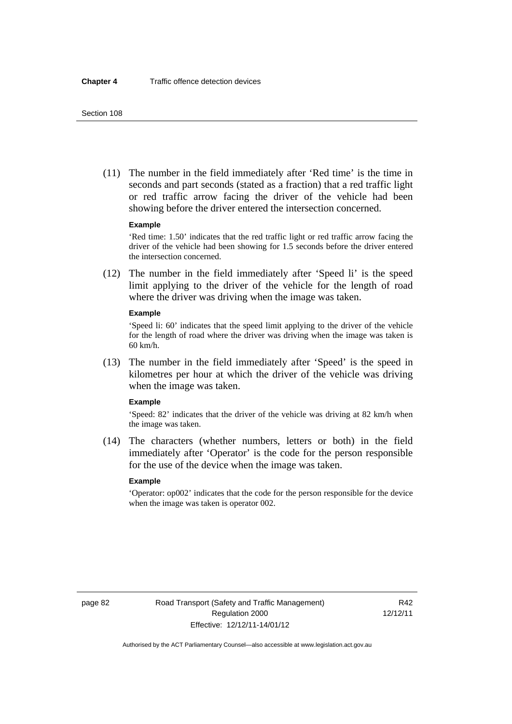(11) The number in the field immediately after 'Red time' is the time in seconds and part seconds (stated as a fraction) that a red traffic light or red traffic arrow facing the driver of the vehicle had been showing before the driver entered the intersection concerned.

#### **Example**

'Red time: 1.50' indicates that the red traffic light or red traffic arrow facing the driver of the vehicle had been showing for 1.5 seconds before the driver entered the intersection concerned.

 (12) The number in the field immediately after 'Speed li' is the speed limit applying to the driver of the vehicle for the length of road where the driver was driving when the image was taken.

#### **Example**

'Speed li: 60' indicates that the speed limit applying to the driver of the vehicle for the length of road where the driver was driving when the image was taken is 60 km/h.

 (13) The number in the field immediately after 'Speed' is the speed in kilometres per hour at which the driver of the vehicle was driving when the image was taken.

#### **Example**

'Speed: 82' indicates that the driver of the vehicle was driving at 82 km/h when the image was taken.

 (14) The characters (whether numbers, letters or both) in the field immediately after 'Operator' is the code for the person responsible for the use of the device when the image was taken.

#### **Example**

'Operator: op002' indicates that the code for the person responsible for the device when the image was taken is operator 002.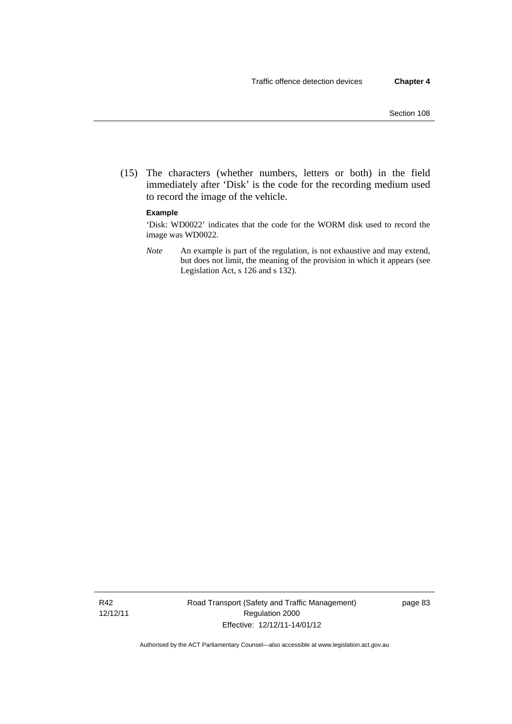(15) The characters (whether numbers, letters or both) in the field immediately after 'Disk' is the code for the recording medium used to record the image of the vehicle.

#### **Example**

'Disk: WD0022' indicates that the code for the WORM disk used to record the image was WD0022.

*Note* An example is part of the regulation, is not exhaustive and may extend, but does not limit, the meaning of the provision in which it appears (see Legislation Act, s 126 and s 132).

R42 12/12/11 Road Transport (Safety and Traffic Management) Regulation 2000 Effective: 12/12/11-14/01/12

page 83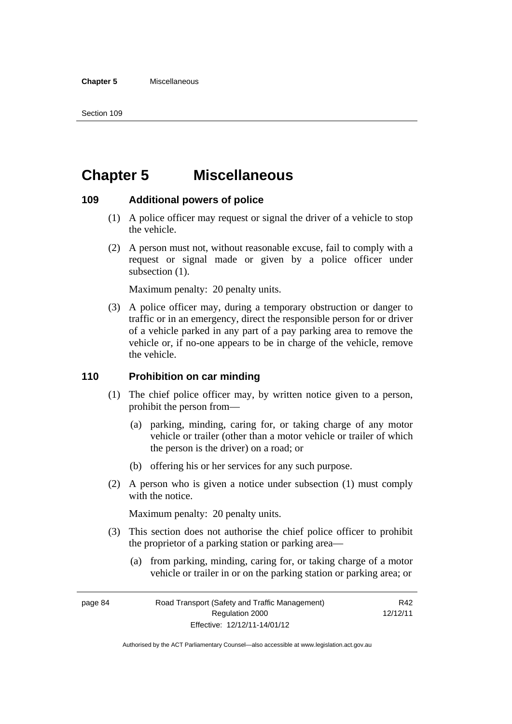## **Chapter 5 Miscellaneous**

#### **109 Additional powers of police**

- (1) A police officer may request or signal the driver of a vehicle to stop the vehicle.
- (2) A person must not, without reasonable excuse, fail to comply with a request or signal made or given by a police officer under subsection  $(1)$ .

Maximum penalty: 20 penalty units.

 (3) A police officer may, during a temporary obstruction or danger to traffic or in an emergency, direct the responsible person for or driver of a vehicle parked in any part of a pay parking area to remove the vehicle or, if no-one appears to be in charge of the vehicle, remove the vehicle.

#### **110 Prohibition on car minding**

- (1) The chief police officer may, by written notice given to a person, prohibit the person from—
	- (a) parking, minding, caring for, or taking charge of any motor vehicle or trailer (other than a motor vehicle or trailer of which the person is the driver) on a road; or
	- (b) offering his or her services for any such purpose.
- (2) A person who is given a notice under subsection (1) must comply with the notice.

Maximum penalty: 20 penalty units.

- (3) This section does not authorise the chief police officer to prohibit the proprietor of a parking station or parking area—
	- (a) from parking, minding, caring for, or taking charge of a motor vehicle or trailer in or on the parking station or parking area; or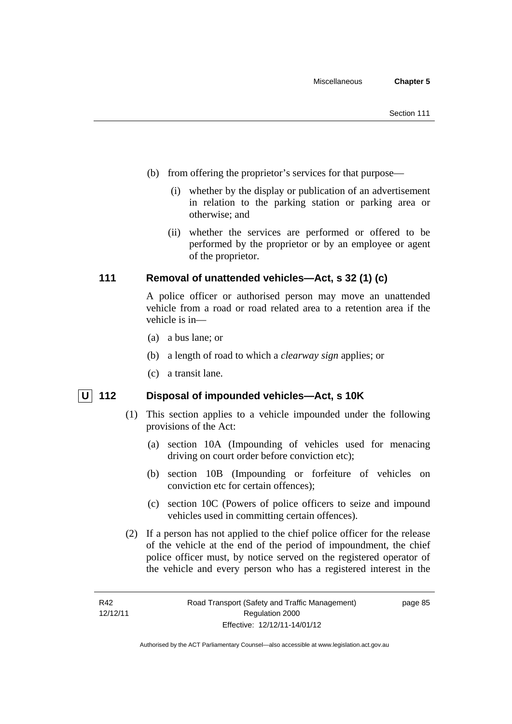- (b) from offering the proprietor's services for that purpose—
	- (i) whether by the display or publication of an advertisement in relation to the parking station or parking area or otherwise; and
	- (ii) whether the services are performed or offered to be performed by the proprietor or by an employee or agent of the proprietor.

### **111 Removal of unattended vehicles—Act, s 32 (1) (c)**

A police officer or authorised person may move an unattended vehicle from a road or road related area to a retention area if the vehicle is in—

- (a) a bus lane; or
- (b) a length of road to which a *clearway sign* applies; or
- (c) a transit lane.

## **U** 112 Disposal of impounded vehicles—Act, s 10K

- (1) This section applies to a vehicle impounded under the following provisions of the Act:
	- (a) section 10A (Impounding of vehicles used for menacing driving on court order before conviction etc);
	- (b) section 10B (Impounding or forfeiture of vehicles on conviction etc for certain offences);
	- (c) section 10C (Powers of police officers to seize and impound vehicles used in committing certain offences).
- (2) If a person has not applied to the chief police officer for the release of the vehicle at the end of the period of impoundment, the chief police officer must, by notice served on the registered operator of the vehicle and every person who has a registered interest in the

page 85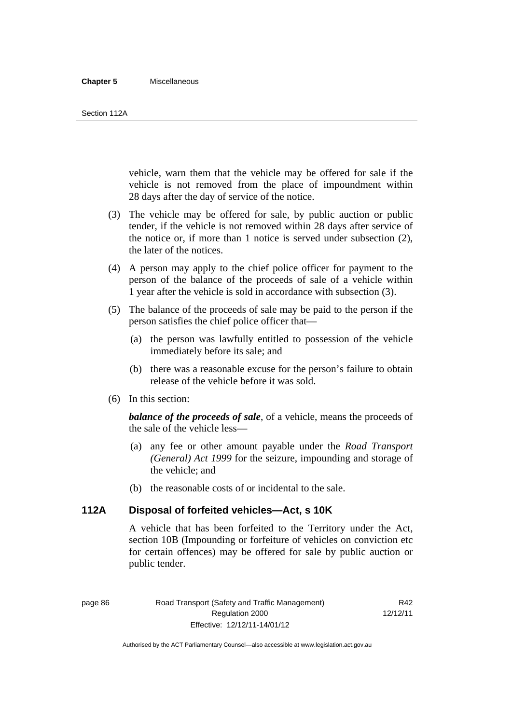#### **Chapter 5** Miscellaneous

#### Section 112A

vehicle, warn them that the vehicle may be offered for sale if the vehicle is not removed from the place of impoundment within 28 days after the day of service of the notice.

- (3) The vehicle may be offered for sale, by public auction or public tender, if the vehicle is not removed within 28 days after service of the notice or, if more than 1 notice is served under subsection (2), the later of the notices.
- (4) A person may apply to the chief police officer for payment to the person of the balance of the proceeds of sale of a vehicle within 1 year after the vehicle is sold in accordance with subsection (3).
- (5) The balance of the proceeds of sale may be paid to the person if the person satisfies the chief police officer that—
	- (a) the person was lawfully entitled to possession of the vehicle immediately before its sale; and
	- (b) there was a reasonable excuse for the person's failure to obtain release of the vehicle before it was sold.
- (6) In this section:

*balance of the proceeds of sale*, of a vehicle, means the proceeds of the sale of the vehicle less—

- (a) any fee or other amount payable under the *Road Transport (General) Act 1999* for the seizure, impounding and storage of the vehicle; and
- (b) the reasonable costs of or incidental to the sale.

#### **112A Disposal of forfeited vehicles—Act, s 10K**

A vehicle that has been forfeited to the Territory under the Act, section 10B (Impounding or forfeiture of vehicles on conviction etc for certain offences) may be offered for sale by public auction or public tender.

page 86 Road Transport (Safety and Traffic Management) Regulation 2000 Effective: 12/12/11-14/01/12

R42 12/12/11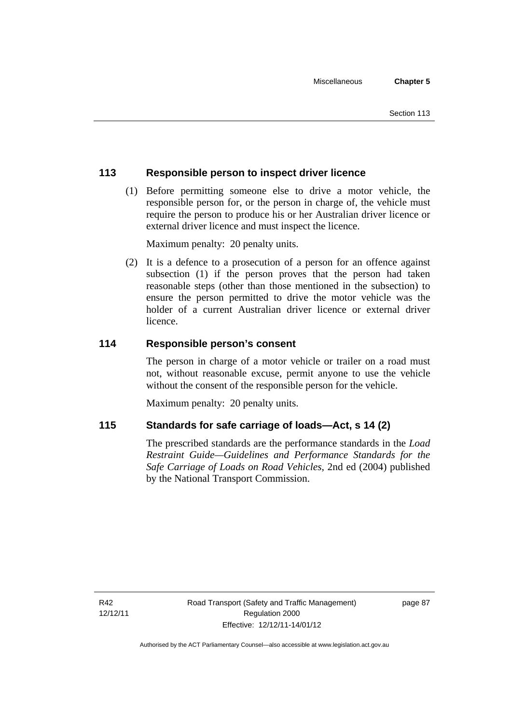### **113 Responsible person to inspect driver licence**

 (1) Before permitting someone else to drive a motor vehicle, the responsible person for, or the person in charge of, the vehicle must require the person to produce his or her Australian driver licence or external driver licence and must inspect the licence.

Maximum penalty: 20 penalty units.

 (2) It is a defence to a prosecution of a person for an offence against subsection (1) if the person proves that the person had taken reasonable steps (other than those mentioned in the subsection) to ensure the person permitted to drive the motor vehicle was the holder of a current Australian driver licence or external driver licence.

### **114 Responsible person's consent**

The person in charge of a motor vehicle or trailer on a road must not, without reasonable excuse, permit anyone to use the vehicle without the consent of the responsible person for the vehicle.

Maximum penalty: 20 penalty units.

### **115 Standards for safe carriage of loads—Act, s 14 (2)**

The prescribed standards are the performance standards in the *Load Restraint Guide—Guidelines and Performance Standards for the Safe Carriage of Loads on Road Vehicles*, 2nd ed (2004) published by the National Transport Commission.

R42 12/12/11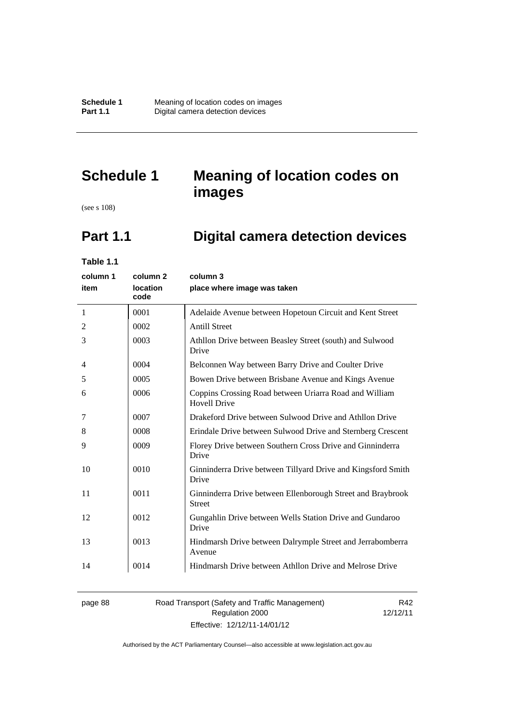# **Schedule 1 Meaning of location codes on images**

(see s 108)

# **Part 1.1 Digital camera detection devices**

**Table 1.1** 

| column 1       | column <sub>2</sub> | column 3                                                                      |
|----------------|---------------------|-------------------------------------------------------------------------------|
| item           | location<br>code    | place where image was taken                                                   |
| 1              | 0001                | Adelaide Avenue between Hopetoun Circuit and Kent Street                      |
| 2              | 0002                | <b>Antill Street</b>                                                          |
| 3              | 0003                | Athllon Drive between Beasley Street (south) and Sulwood<br>Drive             |
| $\overline{4}$ | 0004                | Belconnen Way between Barry Drive and Coulter Drive                           |
| 5              | 0005                | Bowen Drive between Brisbane Avenue and Kings Avenue                          |
| 6              | 0006                | Coppins Crossing Road between Uriarra Road and William<br><b>Hovell Drive</b> |
| 7              | 0007                | Drakeford Drive between Sulwood Drive and Athllon Drive                       |
| 8              | 0008                | Erindale Drive between Sulwood Drive and Sternberg Crescent                   |
| 9              | 0009                | Florey Drive between Southern Cross Drive and Ginninderra<br>Drive            |
| 10             | 0010                | Ginninderra Drive between Tillyard Drive and Kingsford Smith<br>Drive         |
| 11             | 0011                | Ginninderra Drive between Ellenborough Street and Braybrook<br><b>Street</b>  |
| 12             | 0012                | Gungahlin Drive between Wells Station Drive and Gundaroo<br>Drive             |
| 13             | 0013                | Hindmarsh Drive between Dalrymple Street and Jerrabomberra<br>Avenue          |
| 14             | 0014                | Hindmarsh Drive between Athllon Drive and Melrose Drive                       |

#### page 88 Road Transport (Safety and Traffic Management) Regulation 2000 Effective: 12/12/11-14/01/12

R42 12/12/11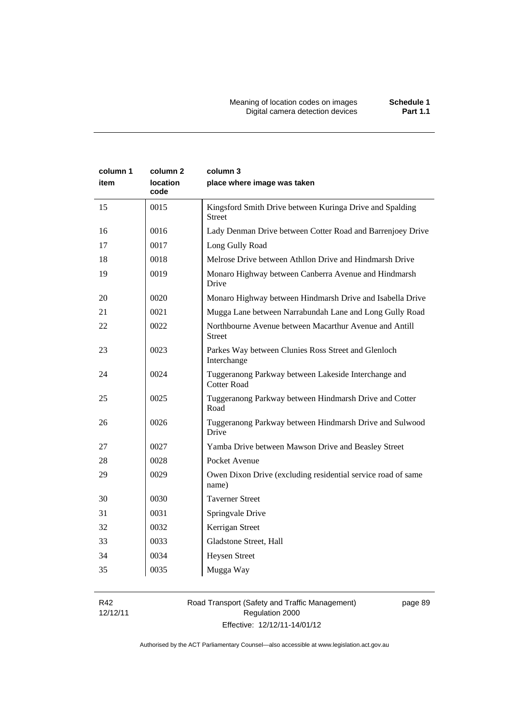| column 1<br>item | column <sub>2</sub><br><b>location</b><br>code | column 3<br>place where image was taken                                    |
|------------------|------------------------------------------------|----------------------------------------------------------------------------|
| 15               | 0015                                           | Kingsford Smith Drive between Kuringa Drive and Spalding<br><b>Street</b>  |
| 16               | 0016                                           | Lady Denman Drive between Cotter Road and Barrenjoey Drive                 |
| 17               | 0017                                           | Long Gully Road                                                            |
| 18               | 0018                                           | Melrose Drive between Athllon Drive and Hindmarsh Drive                    |
| 19               | 0019                                           | Monaro Highway between Canberra Avenue and Hindmarsh<br>Drive              |
| 20               | 0020                                           | Monaro Highway between Hindmarsh Drive and Isabella Drive                  |
| 21               | 0021                                           | Mugga Lane between Narrabundah Lane and Long Gully Road                    |
| 22               | 0022                                           | Northbourne Avenue between Macarthur Avenue and Antill<br><b>Street</b>    |
| 23               | 0023                                           | Parkes Way between Clunies Ross Street and Glenloch<br>Interchange         |
| 24               | 0024                                           | Tuggeranong Parkway between Lakeside Interchange and<br><b>Cotter Road</b> |
| 25               | 0025                                           | Tuggeranong Parkway between Hindmarsh Drive and Cotter<br>Road             |
| 26               | 0026                                           | Tuggeranong Parkway between Hindmarsh Drive and Sulwood<br>Drive           |
| 27               | 0027                                           | Yamba Drive between Mawson Drive and Beasley Street                        |
| 28               | 0028                                           | Pocket Avenue                                                              |
| 29               | 0029                                           | Owen Dixon Drive (excluding residential service road of same<br>name)      |
| 30               | 0030                                           | <b>Taverner Street</b>                                                     |
| 31               | 0031                                           | Springvale Drive                                                           |
| 32               | 0032                                           | Kerrigan Street                                                            |
| 33               | 0033                                           | Gladstone Street, Hall                                                     |
| 34               | 0034                                           | <b>Heysen Street</b>                                                       |
| 35               | 0035                                           | Mugga Way                                                                  |

R42 12/12/11 Road Transport (Safety and Traffic Management) Regulation 2000 Effective: 12/12/11-14/01/12

page 89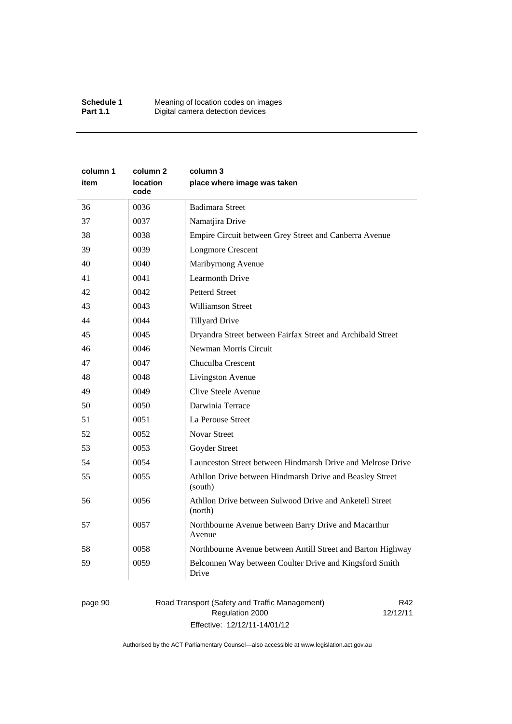| column 1 | column 2                | column 3                                                            |
|----------|-------------------------|---------------------------------------------------------------------|
| item     | <b>location</b><br>code | place where image was taken                                         |
| 36       | 0036                    | <b>Badimara Street</b>                                              |
| 37       | 0037                    | Namatjira Drive                                                     |
| 38       | 0038                    | Empire Circuit between Grey Street and Canberra Avenue              |
| 39       | 0039                    | <b>Longmore Crescent</b>                                            |
| 40       | 0040                    | Maribyrnong Avenue                                                  |
| 41       | 0041                    | Learmonth Drive                                                     |
| 42       | 0042                    | <b>Petterd Street</b>                                               |
| 43       | 0043                    | <b>Williamson Street</b>                                            |
| 44       | 0044                    | <b>Tillyard Drive</b>                                               |
| 45       | 0045                    | Dryandra Street between Fairfax Street and Archibald Street         |
| 46       | 0046                    | Newman Morris Circuit                                               |
| 47       | 0047                    | Chuculba Crescent                                                   |
| 48       | 0048                    | Livingston Avenue                                                   |
| 49       | 0049                    | Clive Steele Avenue                                                 |
| 50       | 0050                    | Darwinia Terrace                                                    |
| 51       | 0051                    | La Perouse Street                                                   |
| 52       | 0052                    | <b>Novar Street</b>                                                 |
| 53       | 0053                    | Goyder Street                                                       |
| 54       | 0054                    | Launceston Street between Hindmarsh Drive and Melrose Drive         |
| 55       | 0055                    | Athllon Drive between Hindmarsh Drive and Beasley Street<br>(south) |
| 56       | 0056                    | Athllon Drive between Sulwood Drive and Anketell Street<br>(north)  |
| 57       | 0057                    | Northbourne Avenue between Barry Drive and Macarthur<br>Avenue      |
| 58       | 0058                    | Northbourne Avenue between Antill Street and Barton Highway         |
| 59       | 0059                    | Belconnen Way between Coulter Drive and Kingsford Smith<br>Drive    |

# page 90 Road Transport (Safety and Traffic Management) Regulation 2000 Effective: 12/12/11-14/01/12

R42 12/12/11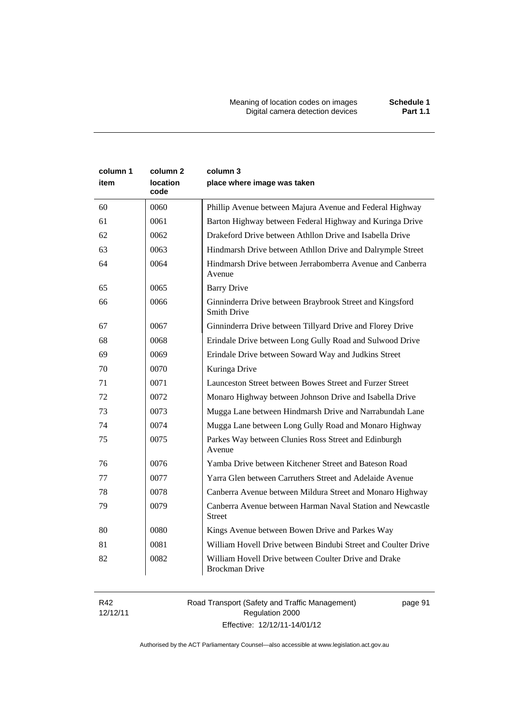Meaning of location codes on images **Schedule 1** Digital camera detection devices **Part 1.1** 

| column 1<br>item | column 2<br>location<br>code | column 3<br>place where image was taken                                        |
|------------------|------------------------------|--------------------------------------------------------------------------------|
| 60               | 0060                         | Phillip Avenue between Majura Avenue and Federal Highway                       |
| 61               | 0061                         | Barton Highway between Federal Highway and Kuringa Drive                       |
| 62               | 0062                         | Drakeford Drive between Athllon Drive and Isabella Drive                       |
| 63               | 0063                         | Hindmarsh Drive between Athllon Drive and Dalrymple Street                     |
| 64               | 0064                         | Hindmarsh Drive between Jerrabomberra Avenue and Canberra<br>Avenue            |
| 65               | 0065                         | <b>Barry Drive</b>                                                             |
| 66               | 0066                         | Ginninderra Drive between Braybrook Street and Kingsford<br><b>Smith Drive</b> |
| 67               | 0067                         | Ginninderra Drive between Tillyard Drive and Florey Drive                      |
| 68               | 0068                         | Erindale Drive between Long Gully Road and Sulwood Drive                       |
| 69               | 0069                         | Erindale Drive between Soward Way and Judkins Street                           |
| 70               | 0070                         | Kuringa Drive                                                                  |
| 71               | 0071                         | Launceston Street between Bowes Street and Furzer Street                       |
| 72               | 0072                         | Monaro Highway between Johnson Drive and Isabella Drive                        |
| 73               | 0073                         | Mugga Lane between Hindmarsh Drive and Narrabundah Lane                        |
| 74               | 0074                         | Mugga Lane between Long Gully Road and Monaro Highway                          |
| 75               | 0075                         | Parkes Way between Clunies Ross Street and Edinburgh<br>Avenue                 |
| 76               | 0076                         | Yamba Drive between Kitchener Street and Bateson Road                          |
| 77               | 0077                         | Yarra Glen between Carruthers Street and Adelaide Avenue                       |
| 78               | 0078                         | Canberra Avenue between Mildura Street and Monaro Highway                      |
| 79               | 0079                         | Canberra Avenue between Harman Naval Station and Newcastle<br><b>Street</b>    |
| 80               | 0080                         | Kings Avenue between Bowen Drive and Parkes Way                                |
| 81               | 0081                         | William Hovell Drive between Bindubi Street and Coulter Drive                  |
| 82               | 0082                         | William Hovell Drive between Coulter Drive and Drake<br><b>Brockman Drive</b>  |

R42 12/12/11 Road Transport (Safety and Traffic Management) Regulation 2000 Effective: 12/12/11-14/01/12

page 91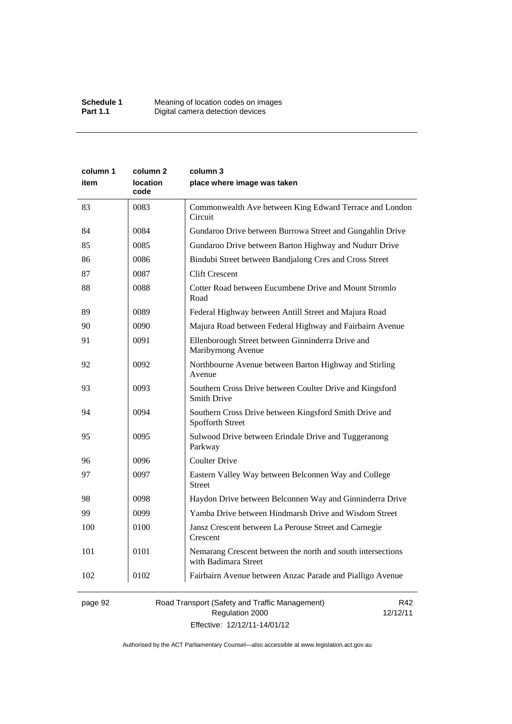| column 1 | column 2                | column 3                                                                            |  |
|----------|-------------------------|-------------------------------------------------------------------------------------|--|
| item     | <b>location</b><br>code | place where image was taken                                                         |  |
| 83       | 0083                    | Commonwealth Ave between King Edward Terrace and London<br>Circuit                  |  |
| 84       | 0084                    | Gundaroo Drive between Burrowa Street and Gungahlin Drive                           |  |
| 85       | 0085                    | Gundaroo Drive between Barton Highway and Nudurr Drive                              |  |
| 86       | 0086                    | Bindubi Street between Bandjalong Cres and Cross Street                             |  |
| 87       | 0087                    | <b>Clift Crescent</b>                                                               |  |
| 88       | 0088                    | Cotter Road between Eucumbene Drive and Mount Stromlo<br>Road                       |  |
| 89       | 0089                    | Federal Highway between Antill Street and Majura Road                               |  |
| 90       | 0090                    | Majura Road between Federal Highway and Fairbairn Avenue                            |  |
| 91       | 0091                    | Ellenborough Street between Ginninderra Drive and<br>Maribyrnong Avenue             |  |
| 92       | 0092                    | Northbourne Avenue between Barton Highway and Stirling<br>Avenue                    |  |
| 93       | 0093                    | Southern Cross Drive between Coulter Drive and Kingsford<br><b>Smith Drive</b>      |  |
| 94       | 0094                    | Southern Cross Drive between Kingsford Smith Drive and<br>Spofforth Street          |  |
| 95       | 0095                    | Sulwood Drive between Erindale Drive and Tuggeranong<br>Parkway                     |  |
| 96       | 0096                    | <b>Coulter Drive</b>                                                                |  |
| 97       | 0097                    | Eastern Valley Way between Belconnen Way and College<br><b>Street</b>               |  |
| 98       | 0098                    | Haydon Drive between Belconnen Way and Ginninderra Drive                            |  |
| 99       | 0099                    | Yamba Drive between Hindmarsh Drive and Wisdom Street                               |  |
| 100      | 0100                    | Jansz Crescent between La Perouse Street and Carnegie<br>Crescent                   |  |
| 101      | 0101                    | Nemarang Crescent between the north and south intersections<br>with Badimara Street |  |
| 102      | 0102                    | Fairbairn Avenue between Anzac Parade and Pialligo Avenue                           |  |
|          |                         |                                                                                     |  |

# page 92 Road Transport (Safety and Traffic Management) Regulation 2000 Effective: 12/12/11-14/01/12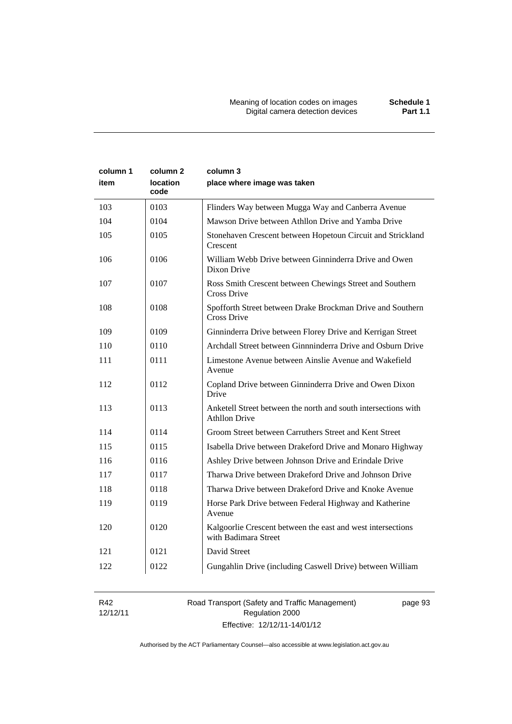| column 1<br>item | column 2<br>location<br>code | column 3<br>place where image was taken                                                |
|------------------|------------------------------|----------------------------------------------------------------------------------------|
| 103              | 0103                         | Flinders Way between Mugga Way and Canberra Avenue                                     |
| 104              | 0104                         | Mawson Drive between Athllon Drive and Yamba Drive                                     |
| 105              | 0105                         | Stonehaven Crescent between Hopetoun Circuit and Strickland<br>Crescent                |
| 106              | 0106                         | William Webb Drive between Ginninderra Drive and Owen<br>Dixon Drive                   |
| 107              | 0107                         | Ross Smith Crescent between Chewings Street and Southern<br>Cross Drive                |
| 108              | 0108                         | Spofforth Street between Drake Brockman Drive and Southern<br>Cross Drive              |
| 109              | 0109                         | Ginninderra Drive between Florey Drive and Kerrigan Street                             |
| 110              | 0110                         | Archdall Street between Ginnninderra Drive and Osburn Drive                            |
| 111              | 0111                         | Limestone Avenue between Ainslie Avenue and Wakefield<br>Avenue                        |
| 112              | 0112                         | Copland Drive between Ginninderra Drive and Owen Dixon<br>Drive                        |
| 113              | 0113                         | Anketell Street between the north and south intersections with<br><b>Athllon Drive</b> |
| 114              | 0114                         | Groom Street between Carruthers Street and Kent Street                                 |
| 115              | 0115                         | Isabella Drive between Drakeford Drive and Monaro Highway                              |
| 116              | 0116                         | Ashley Drive between Johnson Drive and Erindale Drive                                  |
| 117              | 0117                         | Tharwa Drive between Drakeford Drive and Johnson Drive                                 |
| 118              | 0118                         | Tharwa Drive between Drakeford Drive and Knoke Avenue                                  |
| 119              | 0119                         | Horse Park Drive between Federal Highway and Katherine<br>Avenue                       |
| 120              | 0120                         | Kalgoorlie Crescent between the east and west intersections<br>with Badimara Street    |
| 121              | 0121                         | David Street                                                                           |
| 122              | 0122                         | Gungahlin Drive (including Caswell Drive) between William                              |

R42 12/12/11 Road Transport (Safety and Traffic Management) Regulation 2000 Effective: 12/12/11-14/01/12

page 93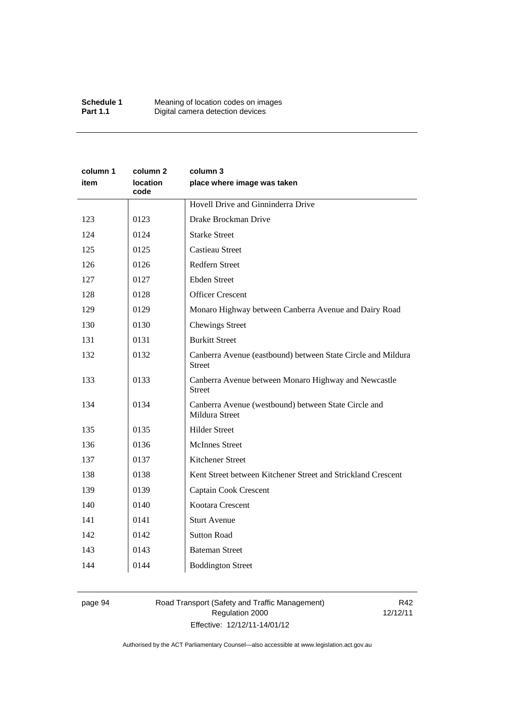| column 1<br>item | column 2<br>location<br>code | column 3<br>place where image was taken                                       |  |
|------------------|------------------------------|-------------------------------------------------------------------------------|--|
|                  |                              | Hovell Drive and Ginninderra Drive                                            |  |
| 123              | 0123                         | Drake Brockman Drive                                                          |  |
| 124              | 0124                         | <b>Starke Street</b>                                                          |  |
| 125              | 0125                         | <b>Castieau Street</b>                                                        |  |
| 126              | 0126                         | Redfern Street                                                                |  |
| 127              | 0127                         | <b>Ebden Street</b>                                                           |  |
| 128              | 0128                         | <b>Officer Crescent</b>                                                       |  |
| 129              | 0129                         | Monaro Highway between Canberra Avenue and Dairy Road                         |  |
| 130              | 0130                         | <b>Chewings Street</b>                                                        |  |
| 131              | 0131                         | <b>Burkitt Street</b>                                                         |  |
| 132              | 0132                         | Canberra Avenue (eastbound) between State Circle and Mildura<br><b>Street</b> |  |
| 133              | 0133                         | Canberra Avenue between Monaro Highway and Newcastle<br><b>Street</b>         |  |
| 134              | 0134                         | Canberra Avenue (westbound) between State Circle and<br>Mildura Street        |  |
| 135              | 0135                         | <b>Hilder Street</b>                                                          |  |
| 136              | 0136                         | <b>McInnes Street</b>                                                         |  |
| 137              | 0137                         | Kitchener Street                                                              |  |
| 138              | 0138                         | Kent Street between Kitchener Street and Strickland Crescent                  |  |
| 139              | 0139                         | Captain Cook Crescent                                                         |  |
| 140              | 0140                         | Kootara Crescent                                                              |  |
| 141              | 0141                         | <b>Sturt Avenue</b>                                                           |  |
| 142              | 0142                         | <b>Sutton Road</b>                                                            |  |
| 143              | 0143                         | <b>Bateman Street</b>                                                         |  |
| 144              | 0144                         | <b>Boddington Street</b>                                                      |  |

# page 94 Road Transport (Safety and Traffic Management) Regulation 2000 Effective: 12/12/11-14/01/12

R42 12/12/11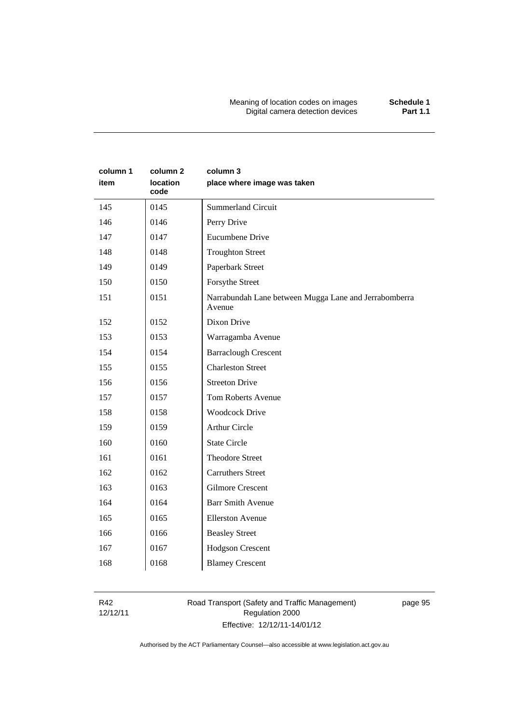Meaning of location codes on images **Schedule 1** Digital camera detection devices **Part 1.1** 

| column 1<br>item | column <sub>2</sub><br>location<br>code | column 3<br>place where image was taken                         |
|------------------|-----------------------------------------|-----------------------------------------------------------------|
| 145              | 0145                                    | <b>Summerland Circuit</b>                                       |
| 146              | 0146                                    | Perry Drive                                                     |
| 147              | 0147                                    | Eucumbene Drive                                                 |
| 148              | 0148                                    | <b>Troughton Street</b>                                         |
| 149              | 0149                                    | Paperbark Street                                                |
| 150              | 0150                                    | Forsythe Street                                                 |
| 151              | 0151                                    | Narrabundah Lane between Mugga Lane and Jerrabomberra<br>Avenue |
| 152              | 0152                                    | Dixon Drive                                                     |
| 153              | 0153                                    | Warragamba Avenue                                               |
| 154              | 0154                                    | <b>Barraclough Crescent</b>                                     |
| 155              | 0155                                    | <b>Charleston Street</b>                                        |
| 156              | 0156                                    | <b>Streeton Drive</b>                                           |
| 157              | 0157                                    | <b>Tom Roberts Avenue</b>                                       |
| 158              | 0158                                    | <b>Woodcock Drive</b>                                           |
| 159              | 0159                                    | <b>Arthur Circle</b>                                            |
| 160              | 0160                                    | <b>State Circle</b>                                             |
| 161              | 0161                                    | <b>Theodore Street</b>                                          |
| 162              | 0162                                    | <b>Carruthers Street</b>                                        |
| 163              | 0163                                    | <b>Gilmore Crescent</b>                                         |
| 164              | 0164                                    | <b>Barr Smith Avenue</b>                                        |
| 165              | 0165                                    | <b>Ellerston Avenue</b>                                         |
| 166              | 0166                                    | <b>Beasley Street</b>                                           |
| 167              | 0167                                    | Hodgson Crescent                                                |
| 168              | 0168                                    | <b>Blamey Crescent</b>                                          |

R42 12/12/11

# Road Transport (Safety and Traffic Management) Regulation 2000 Effective: 12/12/11-14/01/12

page 95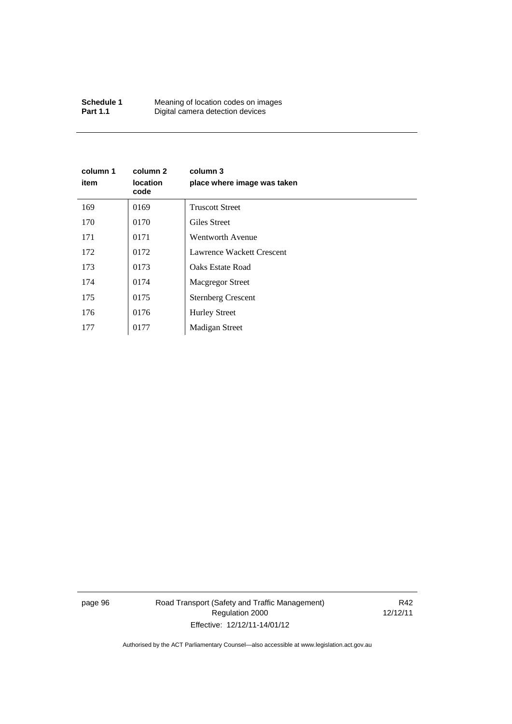| Schedule 1      | Meaning of location codes on images |
|-----------------|-------------------------------------|
| <b>Part 1.1</b> | Digital camera detection devices    |

| column 1<br>item | column 2<br><b>location</b><br>code | column 3<br>place where image was taken |
|------------------|-------------------------------------|-----------------------------------------|
| 169              | 0169                                | <b>Truscott Street</b>                  |
| 170              | 0170                                | Giles Street                            |
| 171              | 0171                                | Wentworth Avenue                        |
| 172              | 0172                                | Lawrence Wackett Crescent               |
| 173              | 0173                                | Oaks Estate Road                        |
| 174              | 0174                                | <b>Macgregor Street</b>                 |
| 175              | 0175                                | <b>Sternberg Crescent</b>               |
| 176              | 0176                                | <b>Hurley Street</b>                    |
| 177              | 0177                                | <b>Madigan Street</b>                   |

page 96 Road Transport (Safety and Traffic Management) Regulation 2000 Effective: 12/12/11-14/01/12

R42 12/12/11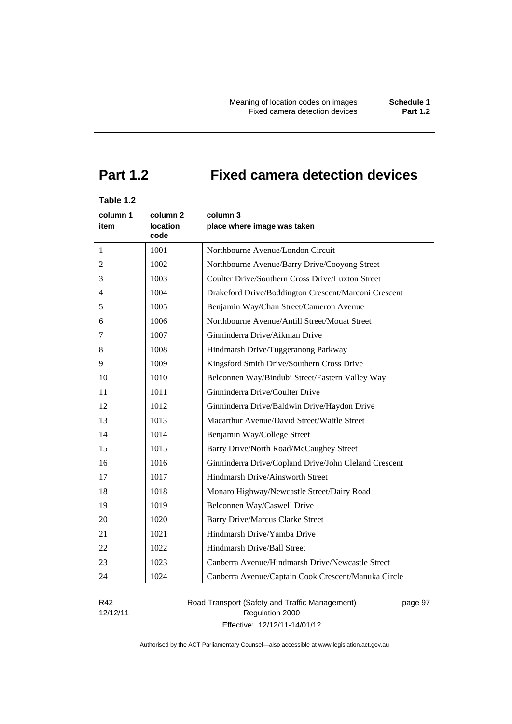# **Part 1.2 Fixed camera detection devices**

# **Table 1.2**

| column 1 | column <sub>2</sub>     | column 3                                              |
|----------|-------------------------|-------------------------------------------------------|
| item     | <b>location</b><br>code | place where image was taken                           |
| 1        | 1001                    | Northbourne Avenue/London Circuit                     |
| 2        | 1002                    | Northbourne Avenue/Barry Drive/Cooyong Street         |
| 3        | 1003                    | Coulter Drive/Southern Cross Drive/Luxton Street      |
| 4        | 1004                    | Drakeford Drive/Boddington Crescent/Marconi Crescent  |
| 5        | 1005                    | Benjamin Way/Chan Street/Cameron Avenue               |
| 6        | 1006                    | Northbourne Avenue/Antill Street/Mouat Street         |
| 7        | 1007                    | Ginninderra Drive/Aikman Drive                        |
| 8        | 1008                    | Hindmarsh Drive/Tuggeranong Parkway                   |
| 9        | 1009                    | Kingsford Smith Drive/Southern Cross Drive            |
| 10       | 1010                    | Belconnen Way/Bindubi Street/Eastern Valley Way       |
| 11       | 1011                    | Ginninderra Drive/Coulter Drive                       |
| 12       | 1012                    | Ginninderra Drive/Baldwin Drive/Haydon Drive          |
| 13       | 1013                    | Macarthur Avenue/David Street/Wattle Street           |
| 14       | 1014                    | Benjamin Way/College Street                           |
| 15       | 1015                    | Barry Drive/North Road/McCaughey Street               |
| 16       | 1016                    | Ginninderra Drive/Copland Drive/John Cleland Crescent |
| 17       | 1017                    | Hindmarsh Drive/Ainsworth Street                      |
| 18       | 1018                    | Monaro Highway/Newcastle Street/Dairy Road            |
| 19       | 1019                    | Belconnen Way/Caswell Drive                           |
| 20       | 1020                    | <b>Barry Drive/Marcus Clarke Street</b>               |
| 21       | 1021                    | Hindmarsh Drive/Yamba Drive                           |
| 22       | 1022                    | Hindmarsh Drive/Ball Street                           |
| 23       | 1023                    | Canberra Avenue/Hindmarsh Drive/Newcastle Street      |
| 24       | 1024                    | Canberra Avenue/Captain Cook Crescent/Manuka Circle   |
| .        |                         | $\sqrt{2}$                                            |

R42 12/12/11 Road Transport (Safety and Traffic Management) Regulation 2000 Effective: 12/12/11-14/01/12

page 97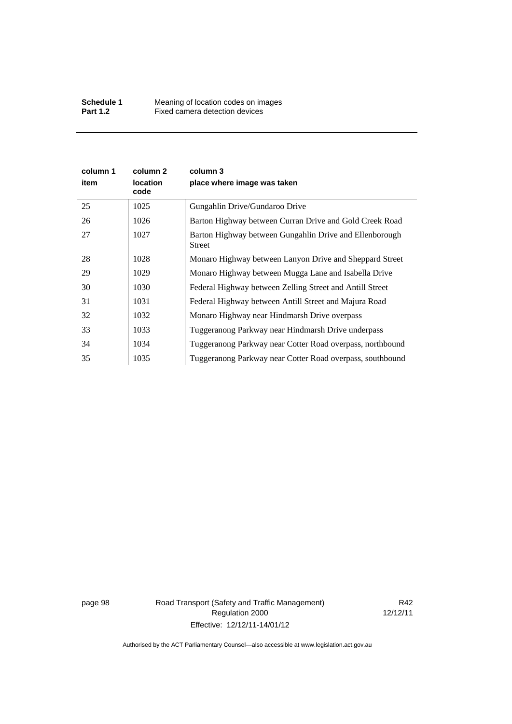| column 1<br>item | column 2<br><b>location</b><br>code | column 3<br>place where image was taken                           |
|------------------|-------------------------------------|-------------------------------------------------------------------|
| 25               | 1025                                | Gungahlin Drive/Gundaroo Drive                                    |
| 26               | 1026                                | Barton Highway between Curran Drive and Gold Creek Road           |
| 27               | 1027                                | Barton Highway between Gungahlin Drive and Ellenborough<br>Street |
| 28               | 1028                                | Monaro Highway between Lanyon Drive and Sheppard Street           |
| 29               | 1029                                | Monaro Highway between Mugga Lane and Isabella Drive              |
| 30               | 1030                                | Federal Highway between Zelling Street and Antill Street          |
| 31               | 1031                                | Federal Highway between Antill Street and Majura Road             |
| 32               | 1032                                | Monaro Highway near Hindmarsh Drive overpass                      |
| 33               | 1033                                | Tuggeranong Parkway near Hindmarsh Drive underpass                |
| 34               | 1034                                | Tuggeranong Parkway near Cotter Road overpass, northbound         |
| 35               | 1035                                | Tuggeranong Parkway near Cotter Road overpass, southbound         |

page 98 Road Transport (Safety and Traffic Management) Regulation 2000 Effective: 12/12/11-14/01/12

R42 12/12/11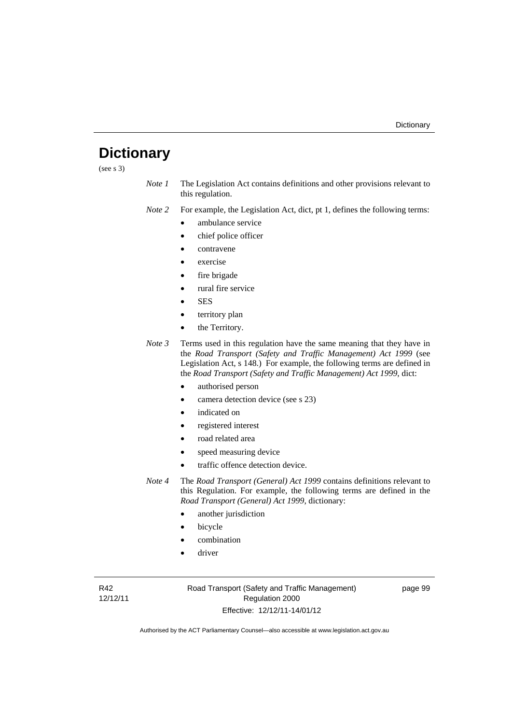# **Dictionary**

(see s 3)

*Note 1* The Legislation Act contains definitions and other provisions relevant to this regulation.

*Note 2* For example, the Legislation Act, dict, pt 1, defines the following terms:

- ambulance service
- chief police officer
- contravene
- exercise
- fire brigade
- rural fire service
- **SES**
- territory plan
- the Territory.
- *Note 3* Terms used in this regulation have the same meaning that they have in the *Road Transport (Safety and Traffic Management) Act 1999* (see Legislation Act, s 148.) For example, the following terms are defined in the *Road Transport (Safety and Traffic Management) Act 1999*, dict:
	- authorised person
	- camera detection device (see s 23)
	- indicated on
	- registered interest
	- road related area
	- speed measuring device
	- traffic offence detection device.

*Note 4* The *Road Transport (General) Act 1999* contains definitions relevant to this Regulation. For example, the following terms are defined in the *Road Transport (General) Act 1999*, dictionary:

- another jurisdiction
- bicycle
- combination
- driver

R42 12/12/11 Road Transport (Safety and Traffic Management) Regulation 2000 Effective: 12/12/11-14/01/12

page 99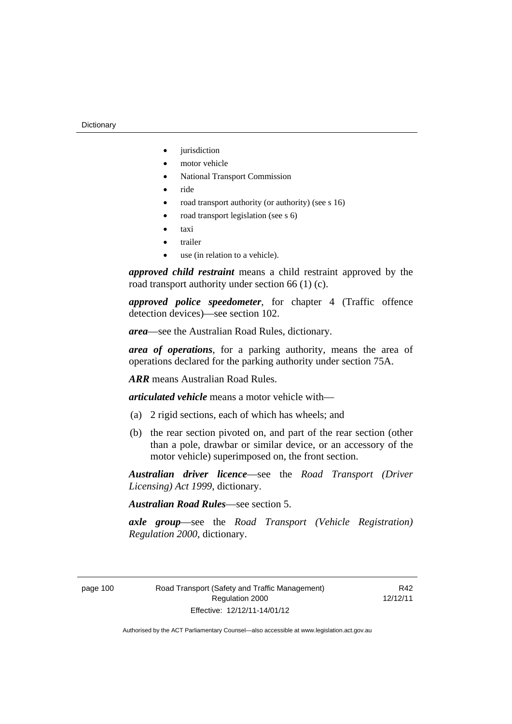- iurisdiction
- motor vehicle
- National Transport Commission
- $\bullet$  ride
- road transport authority (or authority) (see s 16)
- road transport legislation (see s 6)
- taxi
- trailer
- use (in relation to a vehicle).

*approved child restraint* means a child restraint approved by the road transport authority under section 66 (1) (c).

*approved police speedometer*, for chapter 4 (Traffic offence detection devices)—see section 102.

*area*—see the Australian Road Rules, dictionary.

*area of operations*, for a parking authority, means the area of operations declared for the parking authority under section 75A.

*ARR* means Australian Road Rules.

*articulated vehicle* means a motor vehicle with—

- (a) 2 rigid sections, each of which has wheels; and
- (b) the rear section pivoted on, and part of the rear section (other than a pole, drawbar or similar device, or an accessory of the motor vehicle) superimposed on, the front section.

*Australian driver licence*—see the *Road Transport (Driver Licensing) Act 1999*, dictionary.

*Australian Road Rules*—see section 5.

*axle group*—see the *Road Transport (Vehicle Registration) Regulation 2000*, dictionary.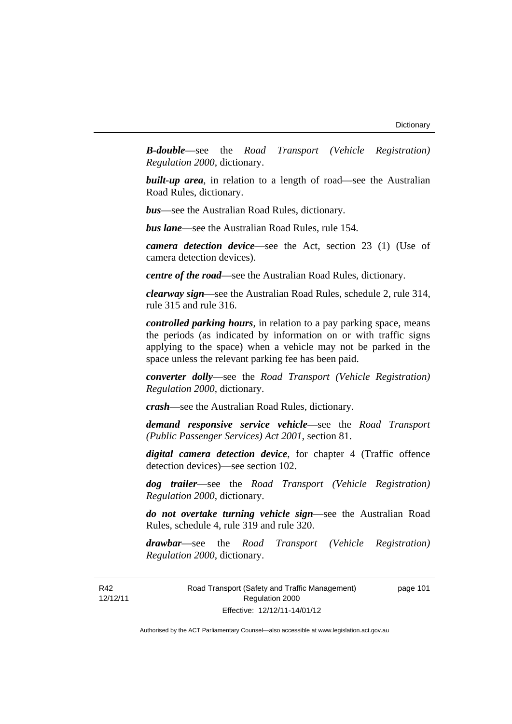*B-double*—see the *Road Transport (Vehicle Registration) Regulation 2000*, dictionary.

**built-up area**, in relation to a length of road—see the Australian Road Rules, dictionary.

*bus*—see the Australian Road Rules, dictionary.

*bus lane*—see the Australian Road Rules, rule 154.

*camera detection device*—see the Act, section 23 (1) (Use of camera detection devices).

*centre of the road*—see the Australian Road Rules, dictionary.

*clearway sign*—see the Australian Road Rules, schedule 2, rule 314, rule 315 and rule 316.

*controlled parking hours*, in relation to a pay parking space, means the periods (as indicated by information on or with traffic signs applying to the space) when a vehicle may not be parked in the space unless the relevant parking fee has been paid.

*converter dolly*—see the *Road Transport (Vehicle Registration) Regulation 2000*, dictionary.

*crash*—see the Australian Road Rules, dictionary.

*demand responsive service vehicle*—see the *Road Transport (Public Passenger Services) Act 2001*, section 81.

*digital camera detection device*, for chapter 4 (Traffic offence detection devices)—see section 102.

*dog trailer*—see the *Road Transport (Vehicle Registration) Regulation 2000*, dictionary.

*do not overtake turning vehicle sign*—see the Australian Road Rules, schedule 4, rule 319 and rule 320.

*drawbar*—see the *Road Transport (Vehicle Registration) Regulation 2000*, dictionary.

Road Transport (Safety and Traffic Management) Regulation 2000 Effective: 12/12/11-14/01/12

page 101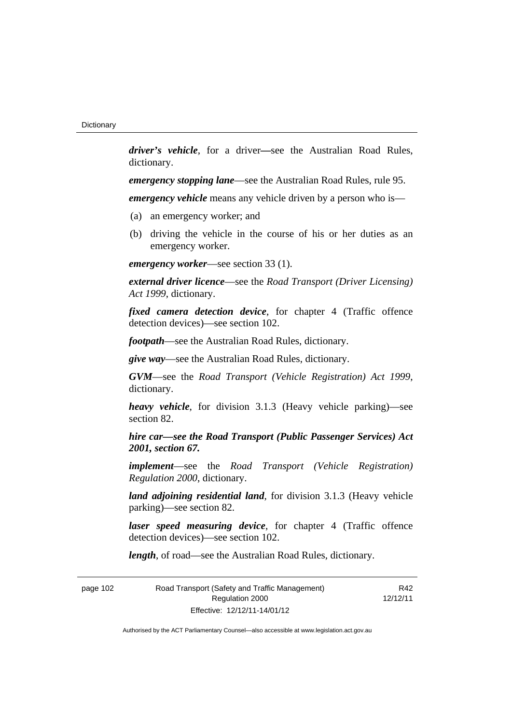*driver's vehicle*, for a driver*—*see the Australian Road Rules, dictionary.

*emergency stopping lane*—see the Australian Road Rules, rule 95.

*emergency vehicle* means any vehicle driven by a person who is—

- (a) an emergency worker; and
- (b) driving the vehicle in the course of his or her duties as an emergency worker.

*emergency worker*—see section 33 (1).

*external driver licence*—see the *Road Transport (Driver Licensing) Act 1999*, dictionary.

*fixed camera detection device*, for chapter 4 (Traffic offence detection devices)—see section 102.

*footpath*—see the Australian Road Rules, dictionary.

*give way*—see the Australian Road Rules, dictionary.

*GVM*—see the *Road Transport (Vehicle Registration) Act 1999*, dictionary.

*heavy vehicle*, for division 3.1.3 (Heavy vehicle parking)—see section 82.

*hire car—see the Road Transport (Public Passenger Services) Act 2001, section 67.*

*implement*—see the *Road Transport (Vehicle Registration) Regulation 2000*, dictionary.

*land adjoining residential land*, for division 3.1.3 (Heavy vehicle parking)—see section 82.

*laser speed measuring device*, for chapter 4 (Traffic offence detection devices)—see section 102.

*length*, of road—see the Australian Road Rules, dictionary.

| page 102 | Road Transport (Safety and Traffic Management) |  |
|----------|------------------------------------------------|--|
|          | Regulation 2000                                |  |
|          | Effective: 12/12/11-14/01/12                   |  |

R42 12/12/11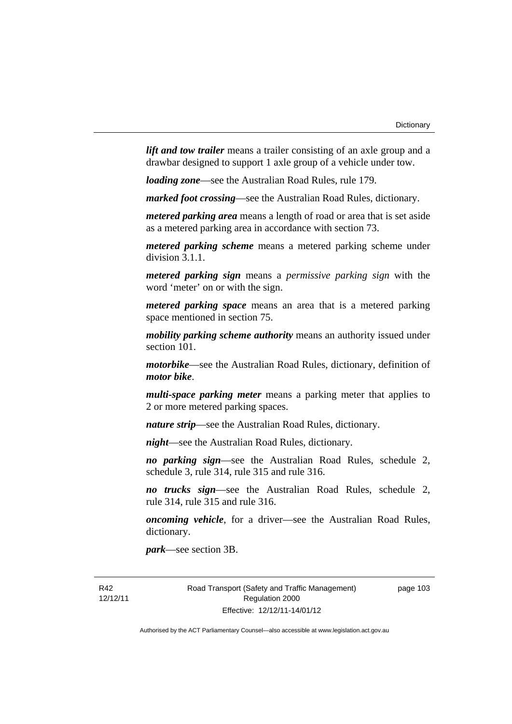*lift and tow trailer* means a trailer consisting of an axle group and a drawbar designed to support 1 axle group of a vehicle under tow.

*loading zone*—see the Australian Road Rules, rule 179.

*marked foot crossing*—see the Australian Road Rules, dictionary.

*metered parking area* means a length of road or area that is set aside as a metered parking area in accordance with section 73.

*metered parking scheme* means a metered parking scheme under division 3.1.1.

*metered parking sign* means a *permissive parking sign* with the word 'meter' on or with the sign.

*metered parking space* means an area that is a metered parking space mentioned in section 75.

*mobility parking scheme authority* means an authority issued under section 101.

*motorbike*—see the Australian Road Rules, dictionary, definition of *motor bike*.

*multi-space parking meter* means a parking meter that applies to 2 or more metered parking spaces.

*nature strip*—see the Australian Road Rules, dictionary.

*night*—see the Australian Road Rules, dictionary.

*no parking sign*—see the Australian Road Rules, schedule 2, schedule 3, rule 314, rule 315 and rule 316.

*no trucks sign*—see the Australian Road Rules, schedule 2, rule 314, rule 315 and rule 316.

*oncoming vehicle*, for a driver—see the Australian Road Rules, dictionary.

*park*—see section 3B.

R42 12/12/11 Road Transport (Safety and Traffic Management) Regulation 2000 Effective: 12/12/11-14/01/12

page 103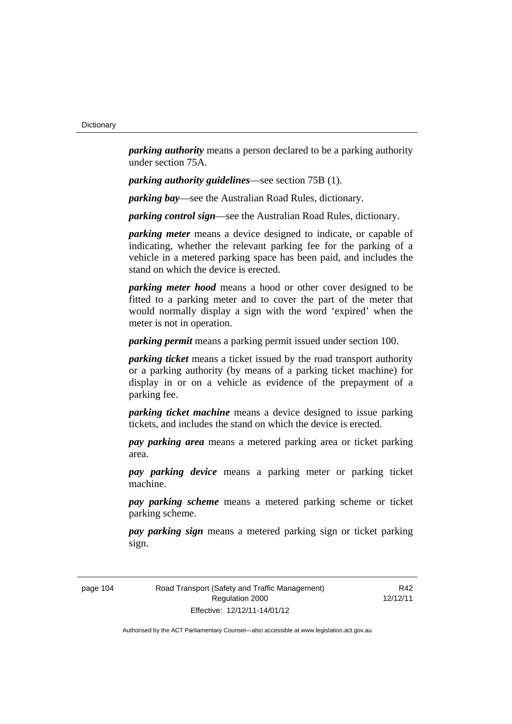*parking authority* means a person declared to be a parking authority under section 75A.

*parking authority guidelines*—see section 75B (1).

*parking bay*—see the Australian Road Rules, dictionary.

*parking control sign*—see the Australian Road Rules, dictionary.

*parking meter* means a device designed to indicate, or capable of indicating, whether the relevant parking fee for the parking of a vehicle in a metered parking space has been paid, and includes the stand on which the device is erected.

*parking meter hood* means a hood or other cover designed to be fitted to a parking meter and to cover the part of the meter that would normally display a sign with the word 'expired' when the meter is not in operation.

*parking permit* means a parking permit issued under section 100.

*parking ticket* means a ticket issued by the road transport authority or a parking authority (by means of a parking ticket machine) for display in or on a vehicle as evidence of the prepayment of a parking fee.

*parking ticket machine* means a device designed to issue parking tickets, and includes the stand on which the device is erected.

*pay parking area* means a metered parking area or ticket parking area.

*pay parking device* means a parking meter or parking ticket machine.

*pay parking scheme* means a metered parking scheme or ticket parking scheme.

*pay parking sign* means a metered parking sign or ticket parking sign.

page 104 Road Transport (Safety and Traffic Management) Regulation 2000 Effective: 12/12/11-14/01/12

R42 12/12/11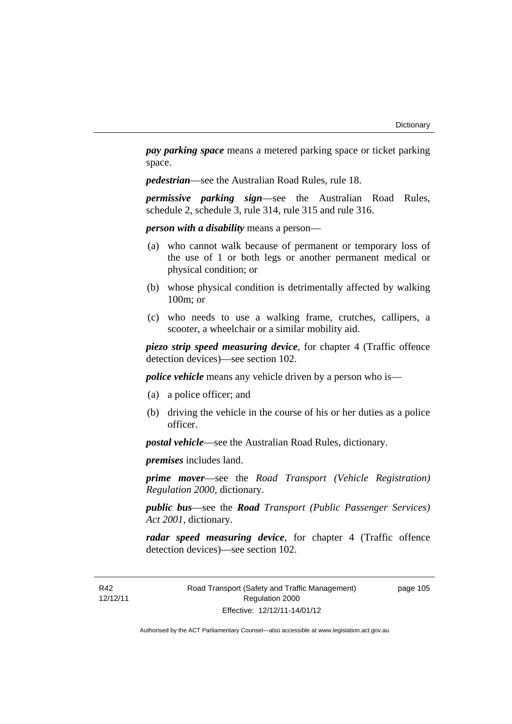*pay parking space* means a metered parking space or ticket parking space.

*pedestrian*—see the Australian Road Rules, rule 18.

*permissive parking sign*—see the Australian Road Rules, schedule 2, schedule 3, rule 314, rule 315 and rule 316.

*person with a disability* means a person—

- (a) who cannot walk because of permanent or temporary loss of the use of 1 or both legs or another permanent medical or physical condition; or
- (b) whose physical condition is detrimentally affected by walking 100m; or
- (c) who needs to use a walking frame, crutches, callipers, a scooter, a wheelchair or a similar mobility aid.

*piezo strip speed measuring device*, for chapter 4 (Traffic offence detection devices)—see section 102.

*police vehicle* means any vehicle driven by a person who is—

- (a) a police officer; and
- (b) driving the vehicle in the course of his or her duties as a police officer.

*postal vehicle*—see the Australian Road Rules, dictionary.

*premises* includes land.

*prime mover*—see the *Road Transport (Vehicle Registration) Regulation 2000*, dictionary.

*public bus*—see the *Road Transport (Public Passenger Services) Act 2001*, dictionary.

*radar speed measuring device*, for chapter 4 (Traffic offence detection devices)—see section 102.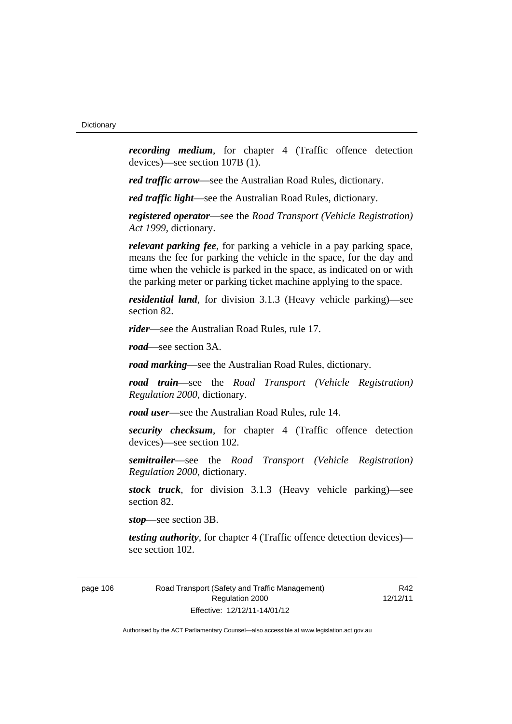*recording medium*, for chapter 4 (Traffic offence detection devices)—see section 107B (1).

*red traffic arrow*—see the Australian Road Rules, dictionary.

*red traffic light*—see the Australian Road Rules, dictionary.

*registered operator*—see the *Road Transport (Vehicle Registration) Act 1999*, dictionary.

*relevant parking fee*, for parking a vehicle in a pay parking space, means the fee for parking the vehicle in the space, for the day and time when the vehicle is parked in the space, as indicated on or with the parking meter or parking ticket machine applying to the space.

*residential land*, for division 3.1.3 (Heavy vehicle parking)—see section 82.

*rider*—see the Australian Road Rules, rule 17.

*road*—see section 3A.

*road marking*—see the Australian Road Rules, dictionary.

*road train*—see the *Road Transport (Vehicle Registration) Regulation 2000*, dictionary.

*road user*—see the Australian Road Rules, rule 14.

*security checksum*, for chapter 4 (Traffic offence detection devices)—see section 102.

*semitrailer*—see the *Road Transport (Vehicle Registration) Regulation 2000*, dictionary.

*stock truck*, for division 3.1.3 (Heavy vehicle parking)—see section 82.

*stop*—see section 3B.

*testing authority*, for chapter 4 (Traffic offence detection devices) see section 102.

page 106 Road Transport (Safety and Traffic Management) Regulation 2000 Effective: 12/12/11-14/01/12

R42 12/12/11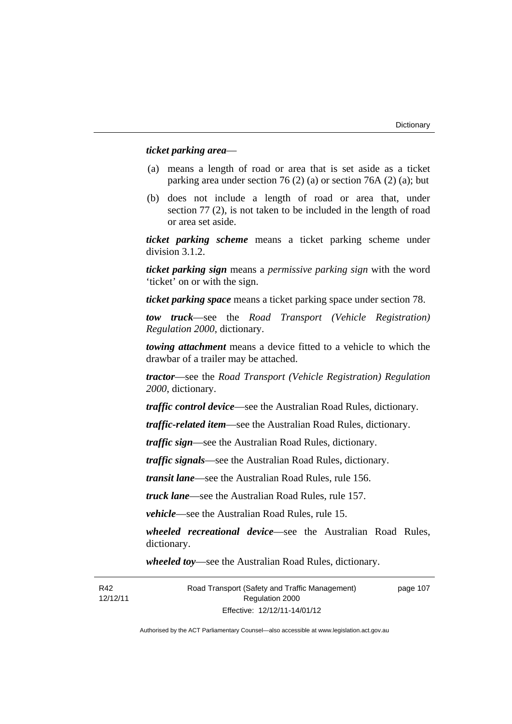#### *ticket parking area*—

- (a) means a length of road or area that is set aside as a ticket parking area under section 76 (2) (a) or section 76A (2) (a); but
- (b) does not include a length of road or area that, under section 77 (2), is not taken to be included in the length of road or area set aside.

*ticket parking scheme* means a ticket parking scheme under division 3.1.2.

*ticket parking sign* means a *permissive parking sign* with the word 'ticket' on or with the sign.

*ticket parking space* means a ticket parking space under section 78.

*tow truck*—see the *Road Transport (Vehicle Registration) Regulation 2000*, dictionary.

*towing attachment* means a device fitted to a vehicle to which the drawbar of a trailer may be attached.

*tractor*—see the *Road Transport (Vehicle Registration) Regulation 2000*, dictionary.

*traffic control device*—see the Australian Road Rules, dictionary.

*traffic-related item*—see the Australian Road Rules, dictionary.

*traffic sign*—see the Australian Road Rules, dictionary.

*traffic signals*—see the Australian Road Rules, dictionary.

*transit lane*—see the Australian Road Rules, rule 156.

*truck lane*—see the Australian Road Rules, rule 157.

*vehicle*—see the Australian Road Rules, rule 15.

*wheeled recreational device*—see the Australian Road Rules, dictionary.

*wheeled toy*—see the Australian Road Rules, dictionary.

page 107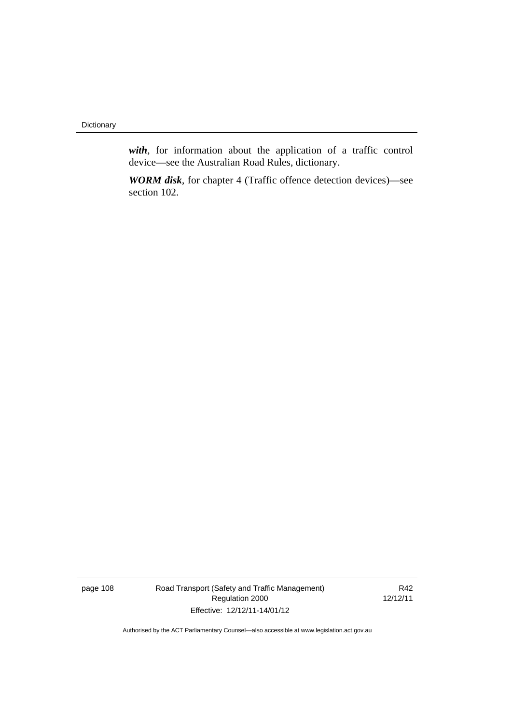**Dictionary** 

*with*, for information about the application of a traffic control device—see the Australian Road Rules, dictionary.

*WORM disk*, for chapter 4 (Traffic offence detection devices)—see section 102.

page 108 Road Transport (Safety and Traffic Management) Regulation 2000 Effective: 12/12/11-14/01/12

R42 12/12/11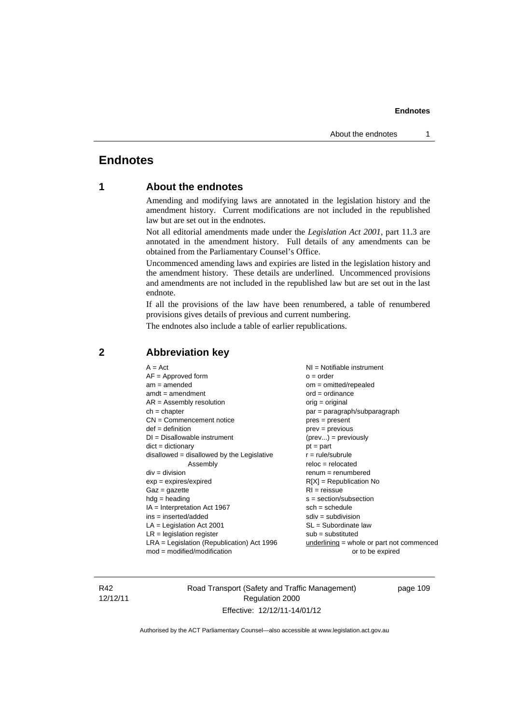# **Endnotes**

# **1 About the endnotes**

Amending and modifying laws are annotated in the legislation history and the amendment history. Current modifications are not included in the republished law but are set out in the endnotes.

Not all editorial amendments made under the *Legislation Act 2001*, part 11.3 are annotated in the amendment history. Full details of any amendments can be obtained from the Parliamentary Counsel's Office.

Uncommenced amending laws and expiries are listed in the legislation history and the amendment history. These details are underlined. Uncommenced provisions and amendments are not included in the republished law but are set out in the last endnote.

If all the provisions of the law have been renumbered, a table of renumbered provisions gives details of previous and current numbering.

The endnotes also include a table of earlier republications.

| $A = Act$                                    | NI = Notifiable instrument                |
|----------------------------------------------|-------------------------------------------|
| $AF =$ Approved form                         | $o = order$                               |
| $am = amended$                               | $om = omitted/repealed$                   |
| $amdt = amendment$                           | $ord = ordinance$                         |
| $AR = Assembly resolution$                   | orig = original                           |
| $ch = chapter$                               | par = paragraph/subparagraph              |
| $CN =$ Commencement notice                   | $pres = present$                          |
| $def = definition$                           | $prev = previous$                         |
| $DI = Disallowable instrument$               | $(\text{prev}) = \text{previously}$       |
| $dict = dictionary$                          | $pt = part$                               |
| disallowed = disallowed by the Legislative   | $r = rule/subrule$                        |
| Assembly                                     | $reloc = relocated$                       |
| $div = division$                             | $remum = renumbered$                      |
| $exp = expires/expired$                      | $R[X]$ = Republication No                 |
| $Gaz = gazette$                              | $RI = reissue$                            |
| $hdg = heading$                              | $s = section/subsection$                  |
| $IA = Interpretation Act 1967$               | $sch = schedule$                          |
| $ins = inserted/added$                       | $sdiv = subdivision$                      |
| $LA =$ Legislation Act 2001                  | $SL = Subordinate$ law                    |
| $LR =$ legislation register                  | $sub =$ substituted                       |
| $LRA =$ Legislation (Republication) Act 1996 | underlining = whole or part not commenced |
| $mod = modified/mol$                         | or to be expired                          |

# **2 Abbreviation key**

R42 12/12/11 Road Transport (Safety and Traffic Management) Regulation 2000 Effective: 12/12/11-14/01/12

page 109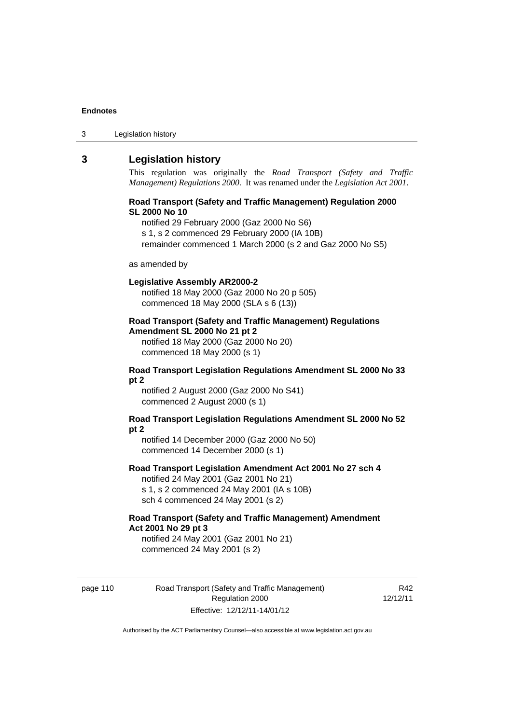3 Legislation history

# **3 Legislation history**

This regulation was originally the *Road Transport (Safety and Traffic Management) Regulations 2000*. It was renamed under the *Legislation Act 2001*.

#### **Road Transport (Safety and Traffic Management) Regulation 2000 SL 2000 No 10**

notified 29 February 2000 (Gaz 2000 No S6) s 1, s 2 commenced 29 February 2000 (IA 10B) remainder commenced 1 March 2000 (s 2 and Gaz 2000 No S5)

#### as amended by

#### **Legislative Assembly AR2000-2**

notified 18 May 2000 (Gaz 2000 No 20 p 505) commenced 18 May 2000 (SLA s 6 (13))

## **Road Transport (Safety and Traffic Management) Regulations Amendment SL 2000 No 21 pt 2**

notified 18 May 2000 (Gaz 2000 No 20) commenced 18 May 2000 (s 1)

#### **Road Transport Legislation Regulations Amendment SL 2000 No 33 pt 2**

notified 2 August 2000 (Gaz 2000 No S41) commenced 2 August 2000 (s 1)

#### **Road Transport Legislation Regulations Amendment SL 2000 No 52 pt 2**

notified 14 December 2000 (Gaz 2000 No 50) commenced 14 December 2000 (s 1)

#### **Road Transport Legislation Amendment Act 2001 No 27 sch 4**

notified 24 May 2001 (Gaz 2001 No 21) s 1, s 2 commenced 24 May 2001 (IA s 10B) sch 4 commenced 24 May 2001 (s 2)

# **Road Transport (Safety and Traffic Management) Amendment Act 2001 No 29 pt 3**

notified 24 May 2001 (Gaz 2001 No 21) commenced 24 May 2001 (s 2)

page 110 Road Transport (Safety and Traffic Management) Regulation 2000 Effective: 12/12/11-14/01/12

R42 12/12/11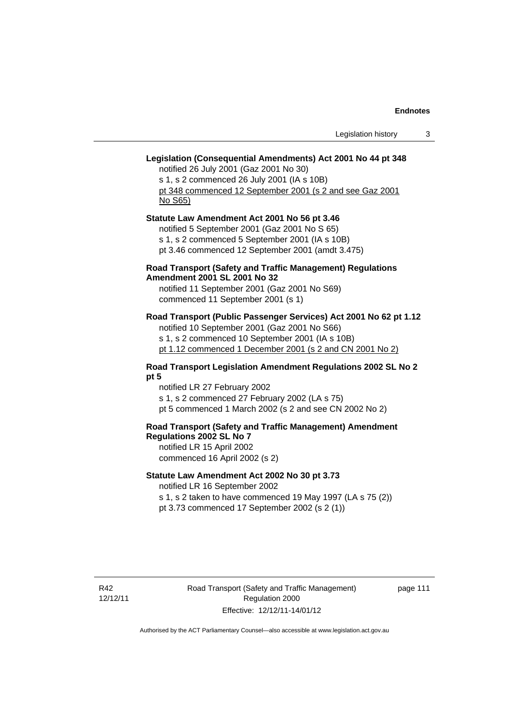# **Legislation (Consequential Amendments) Act 2001 No 44 pt 348**

notified 26 July 2001 (Gaz 2001 No 30) s 1, s 2 commenced 26 July 2001 (IA s 10B) pt 348 commenced 12 September 2001 (s 2 and see Gaz 2001 No S65)

# **Statute Law Amendment Act 2001 No 56 pt 3.46**  notified 5 September 2001 (Gaz 2001 No S 65) s 1, s 2 commenced 5 September 2001 (IA s 10B) pt 3.46 commenced 12 September 2001 (amdt 3.475)

## **Road Transport (Safety and Traffic Management) Regulations Amendment 2001 SL 2001 No 32**

notified 11 September 2001 (Gaz 2001 No S69) commenced 11 September 2001 (s 1)

## **Road Transport (Public Passenger Services) Act 2001 No 62 pt 1.12**

notified 10 September 2001 (Gaz 2001 No S66) s 1, s 2 commenced 10 September 2001 (IA s 10B) pt 1.12 commenced 1 December 2001 (s 2 and CN 2001 No 2)

#### **Road Transport Legislation Amendment Regulations 2002 SL No 2 pt 5**

notified LR 27 February 2002 s 1, s 2 commenced 27 February 2002 (LA s 75) pt 5 commenced 1 March 2002 (s 2 and see CN 2002 No 2)

# **Road Transport (Safety and Traffic Management) Amendment Regulations 2002 SL No 7**

notified LR 15 April 2002 commenced 16 April 2002 (s 2)

## **Statute Law Amendment Act 2002 No 30 pt 3.73**

notified LR 16 September 2002

s 1, s 2 taken to have commenced 19 May 1997 (LA s 75 (2)) pt 3.73 commenced 17 September 2002 (s 2 (1))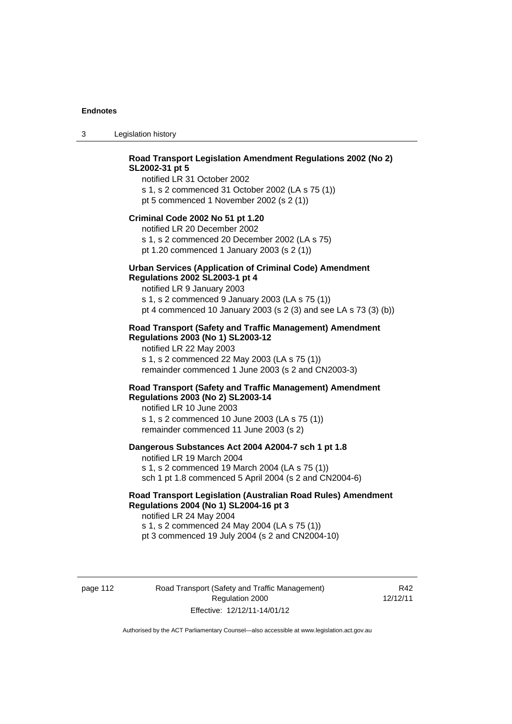3 Legislation history

#### **Road Transport Legislation Amendment Regulations 2002 (No 2) SL2002-31 pt 5**  notified LR 31 October 2002

s 1, s 2 commenced 31 October 2002 (LA s 75 (1)) pt 5 commenced 1 November 2002 (s 2 (1))

#### **Criminal Code 2002 No 51 pt 1.20**

notified LR 20 December 2002 s 1, s 2 commenced 20 December 2002 (LA s 75) pt 1.20 commenced 1 January 2003 (s 2 (1))

#### **Urban Services (Application of Criminal Code) Amendment Regulations 2002 SL2003-1 pt 4**

notified LR 9 January 2003 s 1, s 2 commenced 9 January 2003 (LA s 75 (1)) pt 4 commenced 10 January 2003 (s 2 (3) and see LA s 73 (3) (b))

#### **Road Transport (Safety and Traffic Management) Amendment Regulations 2003 (No 1) SL2003-12**

notified LR 22 May 2003 s 1, s 2 commenced 22 May 2003 (LA s 75 (1)) remainder commenced 1 June 2003 (s 2 and CN2003-3)

### **Road Transport (Safety and Traffic Management) Amendment Regulations 2003 (No 2) SL2003-14**

notified LR 10 June 2003 s 1, s 2 commenced 10 June 2003 (LA s 75 (1)) remainder commenced 11 June 2003 (s 2)

#### **Dangerous Substances Act 2004 A2004-7 sch 1 pt 1.8**

notified LR 19 March 2004 s 1, s 2 commenced 19 March 2004 (LA s 75 (1)) sch 1 pt 1.8 commenced 5 April 2004 (s 2 and CN2004-6)

# **Road Transport Legislation (Australian Road Rules) Amendment Regulations 2004 (No 1) SL2004-16 pt 3**

notified LR 24 May 2004 s 1, s 2 commenced 24 May 2004 (LA s 75 (1)) pt 3 commenced 19 July 2004 (s 2 and CN2004-10)

page 112 Road Transport (Safety and Traffic Management) Regulation 2000 Effective: 12/12/11-14/01/12

R42 12/12/11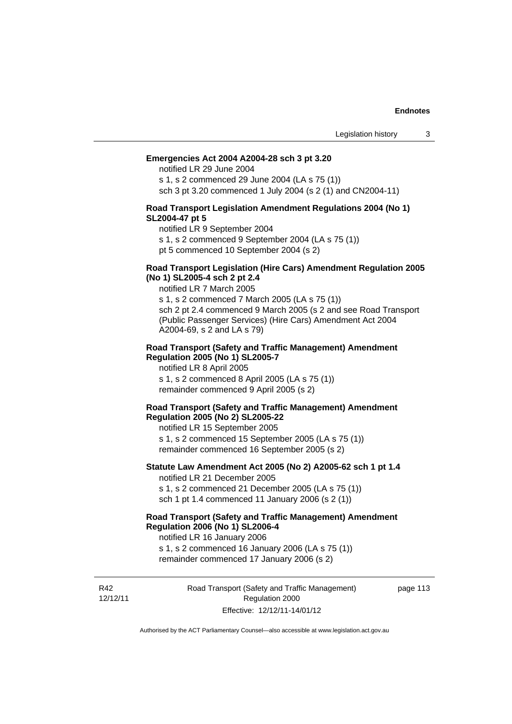#### **Emergencies Act 2004 A2004-28 sch 3 pt 3.20**

notified LR 29 June 2004

s 1, s 2 commenced 29 June 2004 (LA s 75 (1)) sch 3 pt 3.20 commenced 1 July 2004 (s 2 (1) and CN2004-11)

#### **Road Transport Legislation Amendment Regulations 2004 (No 1) SL2004-47 pt 5**

notified LR 9 September 2004

s 1, s 2 commenced 9 September 2004 (LA s 75 (1))

pt 5 commenced 10 September 2004 (s 2)

#### **Road Transport Legislation (Hire Cars) Amendment Regulation 2005 (No 1) SL2005-4 sch 2 pt 2.4**

notified LR 7 March 2005

s 1, s 2 commenced 7 March 2005 (LA s 75 (1)) sch 2 pt 2.4 commenced 9 March 2005 (s 2 and see Road Transport (Public Passenger Services) (Hire Cars) Amendment Act 2004 A2004-69, s 2 and LA s 79)

#### **Road Transport (Safety and Traffic Management) Amendment Regulation 2005 (No 1) SL2005-7**

notified LR 8 April 2005 s 1, s 2 commenced 8 April 2005 (LA s 75 (1)) remainder commenced 9 April 2005 (s 2)

#### **Road Transport (Safety and Traffic Management) Amendment Regulation 2005 (No 2) SL2005-22**

notified LR 15 September 2005 s 1, s 2 commenced 15 September 2005 (LA s 75 (1)) remainder commenced 16 September 2005 (s 2)

#### **Statute Law Amendment Act 2005 (No 2) A2005-62 sch 1 pt 1.4**  notified LR 21 December 2005

s 1, s 2 commenced 21 December 2005 (LA s 75 (1)) sch 1 pt 1.4 commenced 11 January 2006 (s 2 (1))

# **Road Transport (Safety and Traffic Management) Amendment Regulation 2006 (No 1) SL2006-4**

notified LR 16 January 2006

s 1, s 2 commenced 16 January 2006 (LA s 75 (1)) remainder commenced 17 January 2006 (s 2)

R42 12/12/11 Road Transport (Safety and Traffic Management) Regulation 2000 Effective: 12/12/11-14/01/12

page 113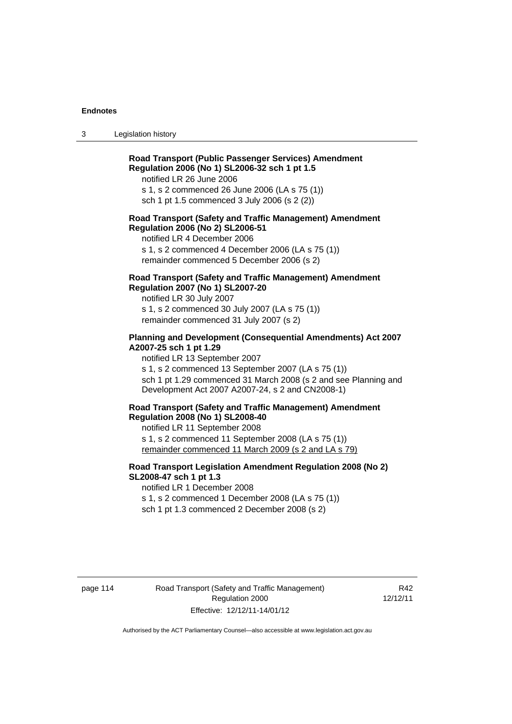3 Legislation history

# **Road Transport (Public Passenger Services) Amendment Regulation 2006 (No 1) SL2006-32 sch 1 pt 1.5**

notified LR 26 June 2006

s 1, s 2 commenced 26 June 2006 (LA s 75 (1)) sch 1 pt 1.5 commenced 3 July 2006 (s 2 (2))

#### **Road Transport (Safety and Traffic Management) Amendment Regulation 2006 (No 2) SL2006-51**

notified LR 4 December 2006

s 1, s 2 commenced 4 December 2006 (LA s 75 (1)) remainder commenced 5 December 2006 (s 2)

# **Road Transport (Safety and Traffic Management) Amendment Regulation 2007 (No 1) SL2007-20**

notified LR 30 July 2007 s 1, s 2 commenced 30 July 2007 (LA s 75 (1)) remainder commenced 31 July 2007 (s 2)

# **Planning and Development (Consequential Amendments) Act 2007 A2007-25 sch 1 pt 1.29**

notified LR 13 September 2007

s 1, s 2 commenced 13 September 2007 (LA s 75 (1)) sch 1 pt 1.29 commenced 31 March 2008 (s 2 and see Planning and Development Act 2007 A2007-24, s 2 and CN2008-1)

#### **Road Transport (Safety and Traffic Management) Amendment Regulation 2008 (No 1) SL2008-40**

notified LR 11 September 2008 s 1, s 2 commenced 11 September 2008 (LA s 75 (1)) remainder commenced 11 March 2009 (s 2 and LA s 79)

# **Road Transport Legislation Amendment Regulation 2008 (No 2) SL2008-47 sch 1 pt 1.3**

notified LR 1 December 2008 s 1, s 2 commenced 1 December 2008 (LA s 75 (1)) sch 1 pt 1.3 commenced 2 December 2008 (s 2)

page 114 Road Transport (Safety and Traffic Management) Regulation 2000 Effective: 12/12/11-14/01/12

R42 12/12/11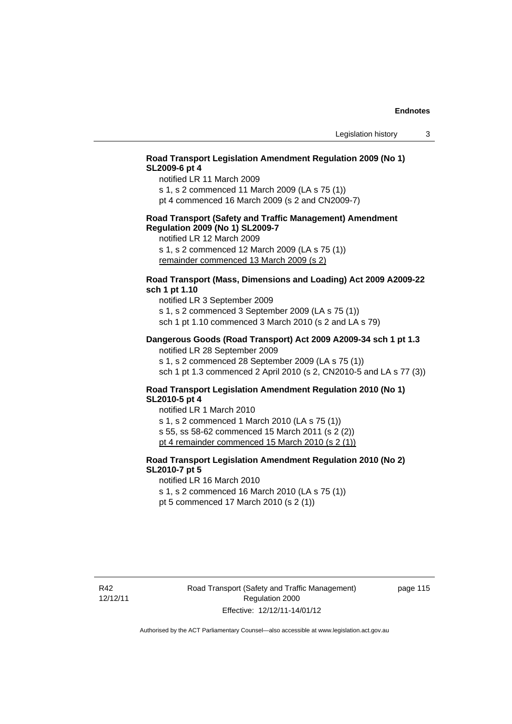## **Road Transport Legislation Amendment Regulation 2009 (No 1) SL2009-6 pt 4**

notified LR 11 March 2009

s 1, s 2 commenced 11 March 2009 (LA s 75 (1)) pt 4 commenced 16 March 2009 (s 2 and CN2009-7)

#### **Road Transport (Safety and Traffic Management) Amendment Regulation 2009 (No 1) SL2009-7**

notified LR 12 March 2009

s 1, s 2 commenced 12 March 2009 (LA s 75 (1)) remainder commenced 13 March 2009 (s 2)

# **Road Transport (Mass, Dimensions and Loading) Act 2009 A2009-22 sch 1 pt 1.10**

notified LR 3 September 2009 s 1, s 2 commenced 3 September 2009 (LA s 75 (1)) sch 1 pt 1.10 commenced 3 March 2010 (s 2 and LA s 79)

#### **Dangerous Goods (Road Transport) Act 2009 A2009-34 sch 1 pt 1.3**

notified LR 28 September 2009 s 1, s 2 commenced 28 September 2009 (LA s 75 (1)) sch 1 pt 1.3 commenced 2 April 2010 (s 2, CN2010-5 and LA s 77 (3))

#### **Road Transport Legislation Amendment Regulation 2010 (No 1) SL2010-5 pt 4**

notified LR 1 March 2010 s 1, s 2 commenced 1 March 2010 (LA s 75 (1)) s 55, ss 58-62 commenced 15 March 2011 (s 2 (2)) pt 4 remainder commenced 15 March 2010 (s 2 (1))

# **Road Transport Legislation Amendment Regulation 2010 (No 2) SL2010-7 pt 5**

notified LR 16 March 2010 s 1, s 2 commenced 16 March 2010 (LA s 75 (1))

pt 5 commenced 17 March 2010 (s 2 (1))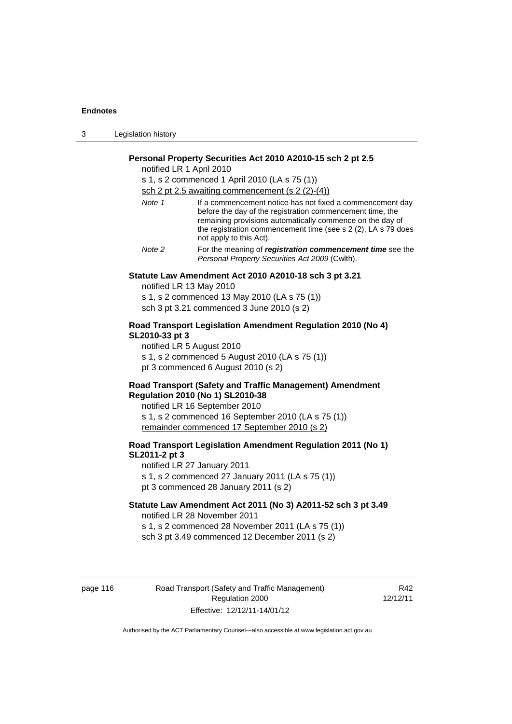| - 3 | Legislation history |  |
|-----|---------------------|--|
|-----|---------------------|--|

#### **Personal Property Securities Act 2010 A2010-15 sch 2 pt 2.5**

notified LR 1 April 2010

s 1, s 2 commenced 1 April 2010 (LA s 75 (1)) sch 2 pt 2.5 awaiting commencement (s 2 (2)-(4))

| Note 1                                 | If a commencement notice has not fixed a commencement day<br>before the day of the registration commencement time, the<br>remaining provisions automatically commence on the day of<br>the registration commencement time (see s 2 (2), LA s 79 does |
|----------------------------------------|------------------------------------------------------------------------------------------------------------------------------------------------------------------------------------------------------------------------------------------------------|
|                                        | not apply to this Act).                                                                                                                                                                                                                              |
| $\mathbf{A}$ $\mathbf{A}$ $\mathbf{A}$ | For the second of academic to communicate the first state of the second state of the second state                                                                                                                                                    |

*Note 2* For the meaning of *registration commencement time* see the *Personal Property Securities Act 2009* (Cwlth).

# **Statute Law Amendment Act 2010 A2010-18 sch 3 pt 3.21**

notified LR 13 May 2010 s 1, s 2 commenced 13 May 2010 (LA s 75 (1))

sch 3 pt 3.21 commenced 3 June 2010 (s 2)

#### **Road Transport Legislation Amendment Regulation 2010 (No 4) SL2010-33 pt 3**

notified LR 5 August 2010 s 1, s 2 commenced 5 August 2010 (LA s 75 (1)) pt 3 commenced 6 August 2010 (s 2)

### **Road Transport (Safety and Traffic Management) Amendment Regulation 2010 (No 1) SL2010-38**

notified LR 16 September 2010 s 1, s 2 commenced 16 September 2010 (LA s 75 (1)) remainder commenced 17 September 2010 (s 2)

# **Road Transport Legislation Amendment Regulation 2011 (No 1) SL2011-2 pt 3**

notified LR 27 January 2011 s 1, s 2 commenced 27 January 2011 (LA s 75 (1)) pt 3 commenced 28 January 2011 (s 2)

# **Statute Law Amendment Act 2011 (No 3) A2011-52 sch 3 pt 3.49**  notified LR 28 November 2011

s 1, s 2 commenced 28 November 2011 (LA s 75 (1)) sch 3 pt 3.49 commenced 12 December 2011 (s 2)

page 116 Road Transport (Safety and Traffic Management) Regulation 2000 Effective: 12/12/11-14/01/12

R42 12/12/11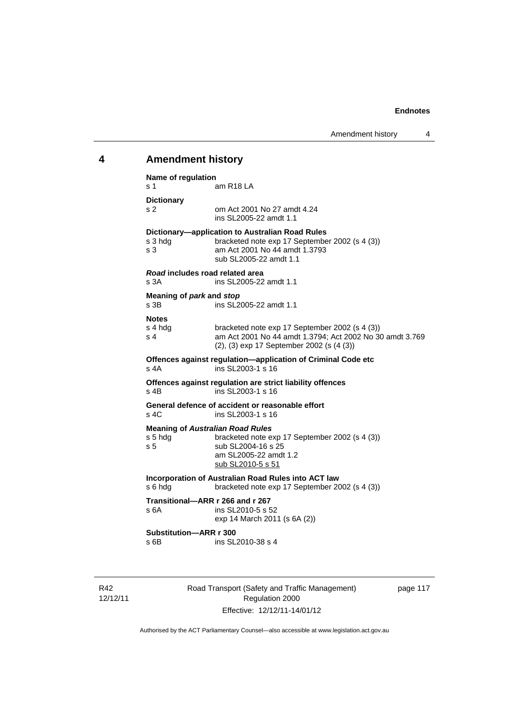# **4 Amendment history**

| Name of regulation<br>s 1                                            | am R <sub>18</sub> LA                                                                                                                                            |
|----------------------------------------------------------------------|------------------------------------------------------------------------------------------------------------------------------------------------------------------|
| <b>Dictionary</b><br>s 2                                             | om Act 2001 No 27 amdt 4.24<br>ins SL2005-22 amdt 1.1                                                                                                            |
| s 3 hdg<br>s <sub>3</sub>                                            | Dictionary-application to Australian Road Rules<br>bracketed note exp 17 September 2002 (s 4 (3))<br>am Act 2001 No 44 amdt 1.3793<br>sub SL2005-22 amdt 1.1     |
| Road includes road related area<br>s 3A                              | ins SL2005-22 amdt 1.1                                                                                                                                           |
| Meaning of park and stop<br>s 3B                                     | ins SL2005-22 amdt 1.1                                                                                                                                           |
| <b>Notes</b><br>s 4 hdg<br>s <sub>4</sub>                            | bracketed note exp 17 September 2002 (s 4 (3))<br>am Act 2001 No 44 amdt 1.3794; Act 2002 No 30 amdt 3.769<br>$(2)$ , $(3)$ exp 17 September 2002 (s $(4 \ (3))$ |
| $s$ 4A                                                               | Offences against regulation-application of Criminal Code etc<br>ins SL2003-1 s 16                                                                                |
| s 4B                                                                 | Offences against regulation are strict liability offences<br>ins SL2003-1 s 16                                                                                   |
| $s$ 4 $C$                                                            | General defence of accident or reasonable effort<br>ins SL2003-1 s 16                                                                                            |
| <b>Meaning of Australian Road Rules</b><br>s 5 hdg<br>s <sub>5</sub> | bracketed note exp 17 September 2002 (s 4 (3))<br>sub SL2004-16 s 25<br>am SL2005-22 amdt 1.2<br>sub SL2010-5 s 51                                               |
| s 6 hdg                                                              | Incorporation of Australian Road Rules into ACT law<br>bracketed note exp 17 September 2002 (s 4 (3))                                                            |
| Transitional-ARR r 266 and r 267<br>s 6A                             | ins SL2010-5 s 52<br>exp 14 March 2011 (s 6A (2))                                                                                                                |
| Substitution-ARR r 300<br>s 6B                                       | ins SL2010-38 s 4                                                                                                                                                |

R42 12/12/11 Road Transport (Safety and Traffic Management) Regulation 2000 Effective: 12/12/11-14/01/12

page 117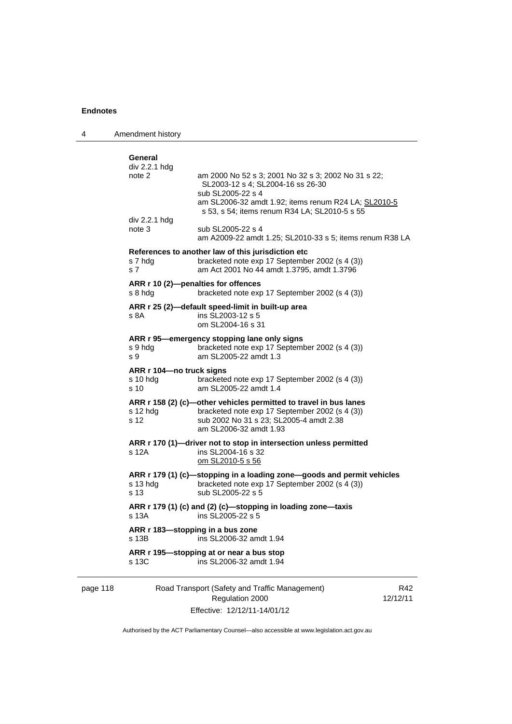| 4        | Amendment history                              |                                                                                                                                                                                                                        |     |
|----------|------------------------------------------------|------------------------------------------------------------------------------------------------------------------------------------------------------------------------------------------------------------------------|-----|
|          | General<br>div 2.2.1 hdg<br>note 2             | am 2000 No 52 s 3; 2001 No 32 s 3; 2002 No 31 s 22;<br>SL2003-12 s 4; SL2004-16 ss 26-30<br>sub SL2005-22 s 4<br>am SL2006-32 amdt 1.92; items renum R24 LA; SL2010-5<br>s 53, s 54; items renum R34 LA; SL2010-5 s 55 |     |
|          | div 2.2.1 hdg<br>note 3                        | sub SL2005-22 s 4<br>am A2009-22 amdt 1.25; SL2010-33 s 5; items renum R38 LA                                                                                                                                          |     |
|          | s 7 hdg<br>s 7                                 | References to another law of this jurisdiction etc<br>bracketed note exp 17 September 2002 (s 4 (3))<br>am Act 2001 No 44 amdt 1.3795, amdt 1.3796                                                                     |     |
|          | s 8 hdg                                        | ARR r 10 (2)-penalties for offences<br>bracketed note exp 17 September 2002 (s 4 (3))                                                                                                                                  |     |
|          | s 8A                                           | ARR r 25 (2)-default speed-limit in built-up area<br>ins SL2003-12 s 5<br>om SL2004-16 s 31                                                                                                                            |     |
|          | s 9 hdg<br>s 9                                 | ARR r 95-emergency stopping lane only signs<br>bracketed note exp 17 September 2002 (s 4 (3))<br>am SL2005-22 amdt 1.3                                                                                                 |     |
|          | ARR r 104-no truck signs<br>$s$ 10 hdg<br>s 10 | bracketed note exp 17 September 2002 (s 4 (3))<br>am SL2005-22 amdt 1.4                                                                                                                                                |     |
|          | s 12 hdg<br>s 12                               | ARR r 158 (2) (c)—other vehicles permitted to travel in bus lanes<br>bracketed note exp 17 September 2002 (s 4 (3))<br>sub 2002 No 31 s 23; SL2005-4 amdt 2.38<br>am SL2006-32 amdt 1.93                               |     |
|          | s 12A                                          | ARR r 170 (1)-driver not to stop in intersection unless permitted<br>ins SL2004-16 s 32<br>om SL2010-5 s 56                                                                                                            |     |
|          | s 13 hdg<br>s 13                               | ARR r 179 (1) (c)-stopping in a loading zone-goods and permit vehicles<br>bracketed note exp 17 September 2002 (s 4 (3))<br>sub SL2005-22 s 5                                                                          |     |
|          | s 13A                                          | ARR r 179 (1) (c) and (2) (c)-stopping in loading zone-taxis<br>ins SL2005-22 s 5                                                                                                                                      |     |
|          | s 13B                                          | ARR r 183—stopping in a bus zone<br>ins SL2006-32 amdt 1.94                                                                                                                                                            |     |
|          | s 13C                                          | ARR r 195—stopping at or near a bus stop<br>ins SL2006-32 amdt 1.94                                                                                                                                                    |     |
| nage 118 |                                                | <b>Road Transport (Safety and Traffic Management)</b>                                                                                                                                                                  | R42 |

#### page 118 Road Transport (Safety and Traffic Management) Regulation 2000 Effective: 12/12/11-14/01/12

R42 12/12/11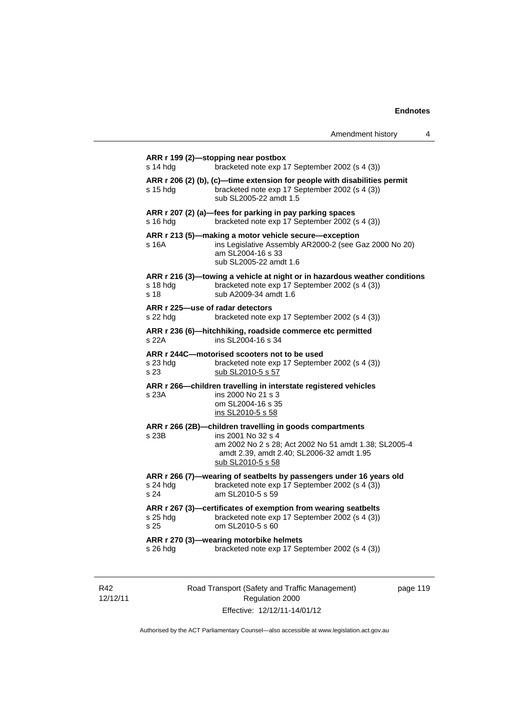| $s$ 14 hdg       | bracketed note exp 17 September 2002 (s 4 (3))                                                                                                                                                |
|------------------|-----------------------------------------------------------------------------------------------------------------------------------------------------------------------------------------------|
| s 15 hda         | ARR r 206 (2) (b), (c)-time extension for people with disabilities permit<br>bracketed note exp 17 September 2002 (s 4 (3))<br>sub SL2005-22 amdt 1.5                                         |
| s 16 hda         | ARR r 207 (2) (a)-fees for parking in pay parking spaces<br>bracketed note exp 17 September 2002 (s 4 (3))                                                                                    |
| s 16A            | ARR r 213 (5)-making a motor vehicle secure-exception<br>ins Legislative Assembly AR2000-2 (see Gaz 2000 No 20)<br>am SL2004-16 s 33<br>sub SL2005-22 amdt 1.6                                |
| s 18 hdg<br>s 18 | ARR r 216 (3)—towing a vehicle at night or in hazardous weather conditions<br>bracketed note exp 17 September 2002 (s 4 (3))<br>sub A2009-34 amdt 1.6                                         |
| s 22 hdg         | ARR r 225-use of radar detectors<br>bracketed note exp 17 September 2002 (s 4 (3))                                                                                                            |
| s 22A            | ARR r 236 (6)-hitchhiking, roadside commerce etc permitted<br>ins SL2004-16 s 34                                                                                                              |
| s 23 hdg<br>s 23 | ARR r 244C-motorised scooters not to be used<br>bracketed note exp 17 September 2002 (s 4 (3))<br>sub SL2010-5 s 57                                                                           |
| s 23A            | ARR r 266-children travelling in interstate registered vehicles<br>ins 2000 No 21 s 3<br>om SL2004-16 s 35                                                                                    |
|                  | ins SL2010-5 s 58                                                                                                                                                                             |
| s 23B            | ARR r 266 (2B)-children travelling in goods compartments<br>ins 2001 No 32 s 4<br>amdt 2.39, amdt 2.40; SL2006-32 amdt 1.95<br>sub SL2010-5 s 58                                              |
| s 24 hda<br>s 24 | ARR r 266 (7)-wearing of seatbelts by passengers under 16 years old<br>bracketed note exp 17 September 2002 (s 4 (3))<br>am SL2010-5 s 59                                                     |
| s 25 hdg<br>s 25 | am 2002 No 2 s 28; Act 2002 No 51 amdt 1.38; SL2005-4<br>ARR r 267 (3)-certificates of exemption from wearing seatbelts<br>bracketed note exp 17 September 2002 (s 4 (3))<br>om SL2010-5 s 60 |

R42 12/12/11 Road Transport (Safety and Traffic Management) Regulation 2000 Effective: 12/12/11-14/01/12

page 119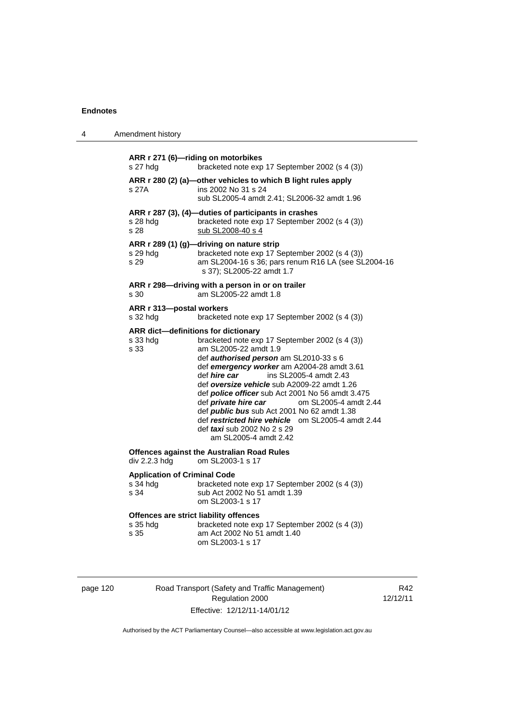| 4 | Amendment history                                       |                                                                                                                                                                                                                                                                                                                                                                                                                                                                                                                                                                                                     |
|---|---------------------------------------------------------|-----------------------------------------------------------------------------------------------------------------------------------------------------------------------------------------------------------------------------------------------------------------------------------------------------------------------------------------------------------------------------------------------------------------------------------------------------------------------------------------------------------------------------------------------------------------------------------------------------|
|   | s 27 hdg                                                | ARR r 271 (6)-riding on motorbikes<br>bracketed note exp 17 September 2002 (s 4 (3))                                                                                                                                                                                                                                                                                                                                                                                                                                                                                                                |
|   | s 27A                                                   | ARR r 280 (2) (a)-other vehicles to which B light rules apply<br>ins 2002 No 31 s 24<br>sub SL2005-4 amdt 2.41; SL2006-32 amdt 1.96                                                                                                                                                                                                                                                                                                                                                                                                                                                                 |
|   | s 28 hda<br>s 28                                        | ARR r 287 (3), (4)-duties of participants in crashes<br>bracketed note exp 17 September 2002 (s 4 (3))<br>sub SL2008-40 s 4                                                                                                                                                                                                                                                                                                                                                                                                                                                                         |
|   | s 29 hdg<br>s 29                                        | ARR r 289 (1) (g)-driving on nature strip<br>bracketed note exp 17 September 2002 (s 4 (3))<br>am SL2004-16 s 36; pars renum R16 LA (see SL2004-16<br>s 37); SL2005-22 amdt 1.7                                                                                                                                                                                                                                                                                                                                                                                                                     |
|   | s 30                                                    | ARR r 298-driving with a person in or on trailer<br>am SL2005-22 amdt 1.8                                                                                                                                                                                                                                                                                                                                                                                                                                                                                                                           |
|   | ARR r 313-postal workers<br>s 32 hdg                    | bracketed note exp 17 September 2002 (s 4 (3))                                                                                                                                                                                                                                                                                                                                                                                                                                                                                                                                                      |
|   | s 33 hdg<br>s 33                                        | ARR dict-definitions for dictionary<br>bracketed note exp 17 September 2002 (s 4 (3))<br>am SL2005-22 amdt 1.9<br>def authorised person am SL2010-33 s 6<br>def emergency worker am A2004-28 amdt 3.61<br>def <i>hire</i> car<br>ins SL2005-4 amdt 2.43<br>def oversize vehicle sub A2009-22 amdt 1.26<br>def <i>police officer</i> sub Act 2001 No 56 amdt 3.475<br>def <i>private hire car</i><br>om SL2005-4 amdt 2.44<br>def <i>public bus</i> sub Act 2001 No 62 amdt 1.38<br>def restricted hire vehicle om SL2005-4 amdt 2.44<br>def <i>taxi</i> sub 2002 No 2 s 29<br>am SL2005-4 amdt 2.42 |
|   | div 2.2.3 hdg                                           | <b>Offences against the Australian Road Rules</b><br>om SL2003-1 s 17                                                                                                                                                                                                                                                                                                                                                                                                                                                                                                                               |
|   | <b>Application of Criminal Code</b><br>s 34 hdg<br>s 34 | bracketed note exp 17 September 2002 (s 4 (3))<br>sub Act 2002 No 51 amdt 1.39<br>om SL2003-1 s 17                                                                                                                                                                                                                                                                                                                                                                                                                                                                                                  |
|   | s 35 hdg<br>s 35                                        | Offences are strict liability offences<br>bracketed note exp 17 September 2002 (s 4 (3))<br>am Act 2002 No 51 amdt 1.40<br>om SL2003-1 s 17                                                                                                                                                                                                                                                                                                                                                                                                                                                         |

| page 120 |  |  |
|----------|--|--|
|          |  |  |

Road Transport (Safety and Traffic Management) Regulation 2000 Effective: 12/12/11-14/01/12

R42 12/12/11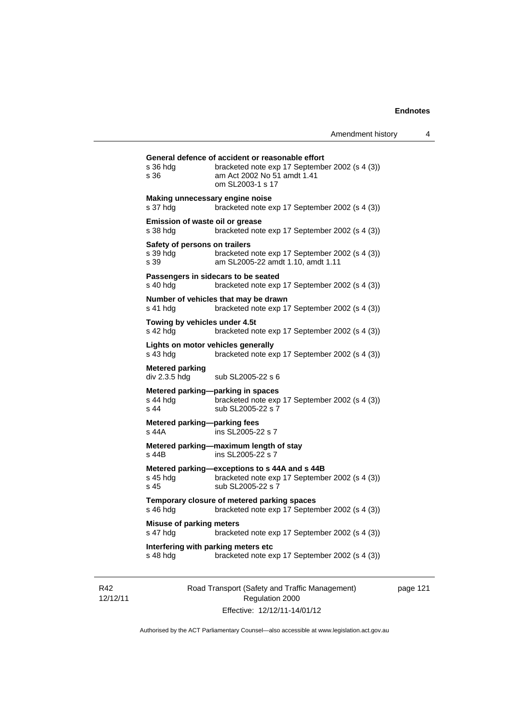| s 36 hda<br>s 36                                  | bracketed note exp 17 September 2002 (s 4 (3))<br>am Act 2002 No 51 amdt 1.41<br>om SL2003-1 s 17                    |
|---------------------------------------------------|----------------------------------------------------------------------------------------------------------------------|
| Making unnecessary engine noise<br>s 37 hdg       | bracketed note exp 17 September 2002 (s 4 (3))                                                                       |
| Emission of waste oil or grease<br>s 38 hdg       | bracketed note exp 17 September 2002 (s 4 (3))                                                                       |
| Safety of persons on trailers<br>s 39 hda<br>s 39 | bracketed note exp 17 September 2002 (s 4 (3))<br>am SL2005-22 amdt 1.10, amdt 1.11                                  |
| s 40 hdg                                          | Passengers in sidecars to be seated<br>bracketed note exp 17 September 2002 (s 4 (3))                                |
| s 41 hdg                                          | Number of vehicles that may be drawn<br>bracketed note exp 17 September 2002 (s 4 (3))                               |
| Towing by vehicles under 4.5t<br>s 42 hdg         | bracketed note exp 17 September 2002 (s 4 (3))                                                                       |
| s 43 hda                                          | Lights on motor vehicles generally<br>bracketed note exp 17 September 2002 (s 4 (3))                                 |
| <b>Metered parking</b><br>div 2.3.5 hdg           | sub SL2005-22 s 6                                                                                                    |
| s 44 hdq<br>$s$ 44                                | Metered parking-parking in spaces<br>bracketed note exp 17 September 2002 (s 4 (3))<br>sub SL2005-22 s 7             |
| Metered parking-parking fees<br>s 44A             | ins SL2005-22 s 7                                                                                                    |
| s 44B                                             | Metered parking-maximum length of stay<br>ins SL2005-22 s 7                                                          |
| s 45 hda<br>s <sub>45</sub>                       | Metered parking-exceptions to s 44A and s 44B<br>bracketed note exp 17 September 2002 (s 4 (3))<br>sub SL2005-22 s 7 |
| s 46 hdg                                          | Temporary closure of metered parking spaces<br>bracketed note exp 17 September 2002 (s 4 (3))                        |
| <b>Misuse of parking meters</b><br>s 47 hdg       | bracketed note exp 17 September 2002 (s 4 (3))                                                                       |
|                                                   | Interfering with parking meters etc                                                                                  |

R42 12/12/11 Road Transport (Safety and Traffic Management) Regulation 2000 Effective: 12/12/11-14/01/12

page 121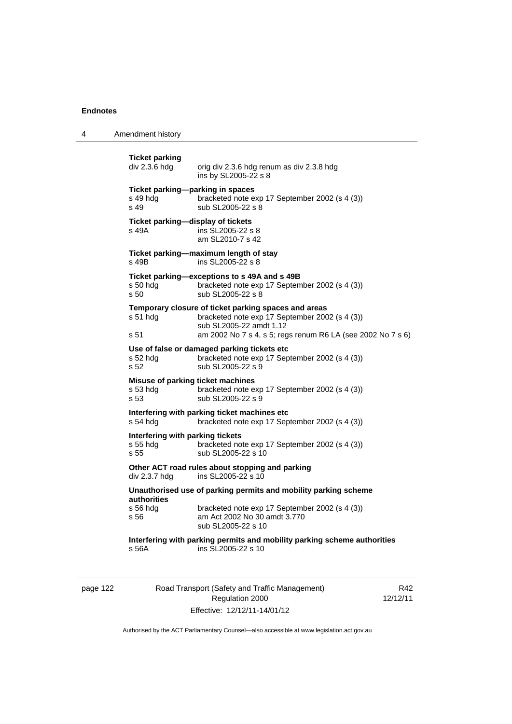4 Amendment history

**Ticket parking**  orig div 2.3.6 hdg renum as div 2.3.8 hdg ins by SL2005-22 s 8 **Ticket parking—parking in spaces**  s 49 hdg bracketed note exp 17 September 2002 (s 4 (3))<br>s 49 sub SL2005-22 s 8 sub SL2005-22 s 8 **Ticket parking—display of tickets**  s 49A ins SL2005-22 s 8 am SL2010-7 s 42 **Ticket parking—maximum length of stay**  s 49B ins SL2005-22 s 8 **Ticket parking—exceptions to s 49A and s 49B**  s 50 hdg bracketed note exp 17 September 2002 (s 4 (3)) s 50 sub SL2005-22 s 8 **Temporary closure of ticket parking spaces and areas**  s 51 hdg bracketed note exp 17 September 2002 (s 4 (3)) sub SL2005-22 amdt 1.12 s 51 am 2002 No 7 s 4, s 5; regs renum R6 LA (see 2002 No 7 s 6) **Use of false or damaged parking tickets etc**  s 52 hdg bracketed note exp 17 September 2002 (s 4 (3)) s 52 sub SL2005-22 s 9 **Misuse of parking ticket machines**<br>s 53 hdg bracketed note e bracketed note exp 17 September 2002 (s 4 (3)) s 53 sub SL2005-22 s 9 **Interfering with parking ticket machines etc**  s 54 hdg bracketed note exp 17 September 2002 (s 4 (3)) **Interfering with parking tickets**  bracketed note exp 17 September 2002 (s 4 (3)) s 55 sub SL2005-22 s 10 **Other ACT road rules about stopping and parking div 2.3.7 hdg ins SL2005-22 s 10** ins SL2005-22 s  $10$ **Unauthorised use of parking permits and mobility parking scheme authorities**  bracketed note exp 17 September 2002 (s 4 (3)) s 56 am Act 2002 No 30 amdt 3.770 sub SL2005-22 s 10 **Interfering with parking permits and mobility parking scheme authorities**  s 56A ins SL2005-22 s 10

| nane |  |
|------|--|
|------|--|

## Road Transport (Safety and Traffic Management) Regulation 2000 Effective: 12/12/11-14/01/12

R42 12/12/11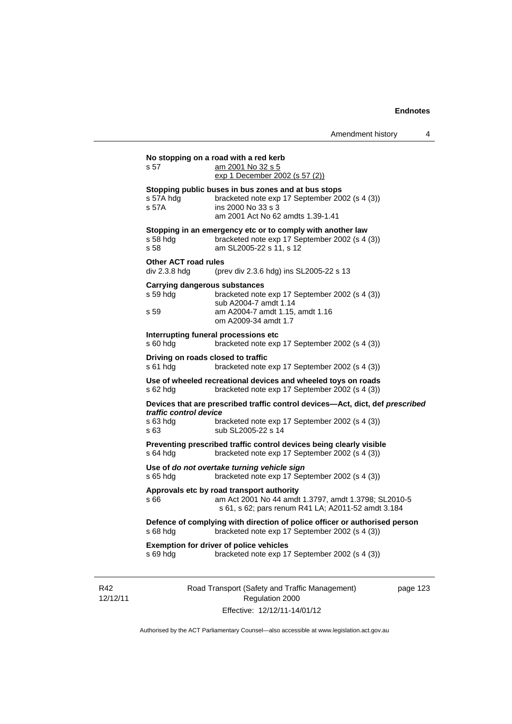| s 57                                         | No stopping on a road with a red kerb<br>am 2001 No 32 s 5                                                                                                                 |          |
|----------------------------------------------|----------------------------------------------------------------------------------------------------------------------------------------------------------------------------|----------|
|                                              | exp 1 December 2002 (s 57 (2))                                                                                                                                             |          |
| s 57A hdg<br>s 57A                           | Stopping public buses in bus zones and at bus stops<br>bracketed note exp 17 September 2002 (s 4 (3))<br>ins 2000 No 33 s 3<br>am 2001 Act No 62 amdts 1.39-1.41           |          |
| $s58$ hdg<br>s 58                            | Stopping in an emergency etc or to comply with another law<br>bracketed note exp 17 September 2002 (s 4 (3))<br>am SL2005-22 s 11, s 12                                    |          |
| <b>Other ACT road rules</b><br>div 2.3.8 hdg | (prev div 2.3.6 hdg) ins SL2005-22 s 13                                                                                                                                    |          |
| s 59 hdg<br>s 59                             | <b>Carrying dangerous substances</b><br>bracketed note exp 17 September 2002 (s 4 (3))<br>sub A2004-7 amdt 1.14<br>am A2004-7 amdt 1.15, amdt 1.16<br>om A2009-34 amdt 1.7 |          |
| s 60 hda                                     | Interrupting funeral processions etc<br>bracketed note exp 17 September 2002 (s 4 (3))                                                                                     |          |
| s 61 hdg                                     | Driving on roads closed to traffic<br>bracketed note exp 17 September 2002 (s 4 (3))                                                                                       |          |
| s 62 hdg                                     | Use of wheeled recreational devices and wheeled toys on roads<br>bracketed note exp 17 September 2002 (s 4 (3))                                                            |          |
| traffic control device                       | Devices that are prescribed traffic control devices—Act, dict, def prescribed                                                                                              |          |
| s 63 hdg<br>s 63                             | bracketed note exp 17 September 2002 (s 4 (3))<br>sub SL2005-22 s 14                                                                                                       |          |
| s 64 hdg                                     | Preventing prescribed traffic control devices being clearly visible<br>bracketed note exp 17 September 2002 (s 4 (3))                                                      |          |
| s 65 hdg                                     | Use of do not overtake turning vehicle sign<br>bracketed note exp 17 September 2002 (s 4 (3))                                                                              |          |
| s 66                                         | Approvals etc by road transport authority<br>am Act 2001 No 44 amdt 1.3797, amdt 1.3798; SL2010-5<br>s 61, s 62; pars renum R41 LA; A2011-52 amdt 3.184                    |          |
| s 68 hdg                                     | Defence of complying with direction of police officer or authorised person<br>bracketed note exp 17 September 2002 (s 4 (3))                                               |          |
| s 69 hdg                                     | <b>Exemption for driver of police vehicles</b><br>bracketed note exp 17 September 2002 (s 4 (3))                                                                           |          |
|                                              | Road Transport (Safety and Traffic Management)<br>Regulation 2000                                                                                                          | page 123 |

R42 12/12/11

Regulation 2000 Effective: 12/12/11-14/01/12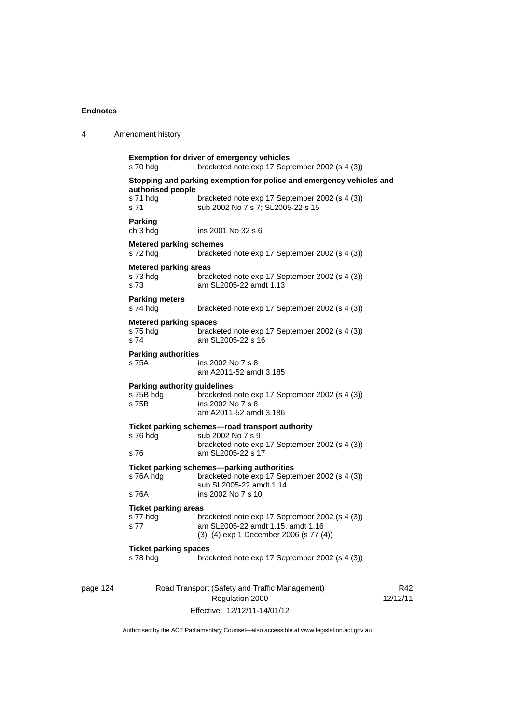| 4        | Amendment history                                         |                                                                                                                                                             |             |
|----------|-----------------------------------------------------------|-------------------------------------------------------------------------------------------------------------------------------------------------------------|-------------|
|          | s 70 hdg                                                  | <b>Exemption for driver of emergency vehicles</b><br>bracketed note exp 17 September 2002 (s 4 (3))                                                         |             |
|          | authorised people<br>s 71 hdg<br>s 71                     | Stopping and parking exemption for police and emergency vehicles and<br>bracketed note exp 17 September 2002 (s 4 (3))<br>sub 2002 No 7 s 7; SL2005-22 s 15 |             |
|          | <b>Parking</b><br>ch 3 hdg                                | ins 2001 No 32 s 6                                                                                                                                          |             |
|          | <b>Metered parking schemes</b><br>s 72 hdg                | bracketed note exp 17 September 2002 (s 4 (3))                                                                                                              |             |
|          | <b>Metered parking areas</b><br>s 73 hdg<br>s 73          | bracketed note exp 17 September 2002 (s 4 (3))<br>am SL2005-22 amdt 1.13                                                                                    |             |
|          | <b>Parking meters</b><br>s 74 hdg                         | bracketed note exp 17 September 2002 (s 4 (3))                                                                                                              |             |
|          | <b>Metered parking spaces</b><br>s 75 hdg<br>s 74         | bracketed note exp 17 September 2002 (s 4 (3))<br>am SL2005-22 s 16                                                                                         |             |
|          | <b>Parking authorities</b><br>s 75A                       | ins 2002 No 7 s 8<br>am A2011-52 amdt 3.185                                                                                                                 |             |
|          | <b>Parking authority guidelines</b><br>s 75B hdg<br>s 75B | bracketed note exp 17 September 2002 (s 4 (3))<br>ins 2002 No 7 s 8<br>am A2011-52 amdt 3.186                                                               |             |
|          | s 76 hdg<br>s 76                                          | Ticket parking schemes-road transport authority<br>sub 2002 No 7 s 9<br>bracketed note exp 17 September 2002 (s 4 (3))<br>am SL2005-22 s 17                 |             |
|          | s 76A hdg<br>s 76A                                        | Ticket parking schemes-parking authorities<br>bracketed note exp 17 September 2002 (s 4 (3))<br>sub SL2005-22 amdt 1.14<br>ins 2002 No 7 s 10               |             |
|          | <b>Ticket parking areas</b><br>s 77 hdg<br>s 77           | bracketed note exp 17 September 2002 (s 4 (3))<br>am SL2005-22 amdt 1.15, amdt 1.16<br>(3), (4) exp 1 December 2006 (s 77 (4))                              |             |
|          | <b>Ticket parking spaces</b><br>s 78 hdg                  | bracketed note exp 17 September 2002 (s 4 (3))                                                                                                              |             |
| page 124 |                                                           | Road Transport (Safety and Traffic Management)<br>Regulation 2000                                                                                           | R<br>12/12/ |

Effective: 12/12/11-14/01/12

 $42$  $11$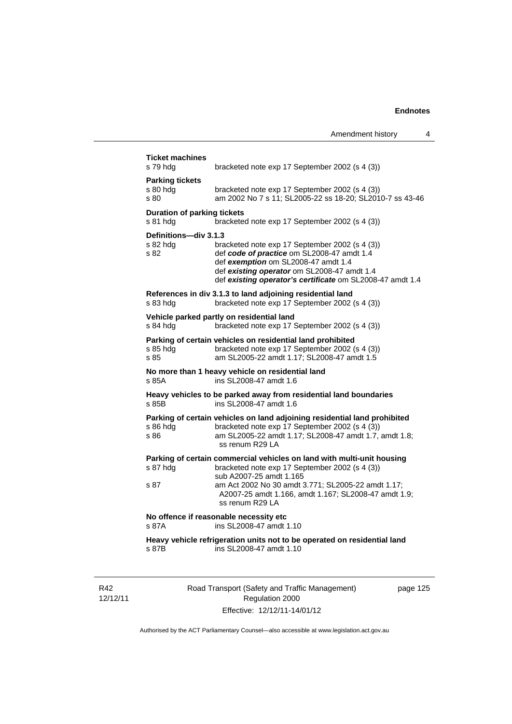| s 79 hdg                                       | bracketed note exp 17 September 2002 (s 4 (3))                                                                                                                                                                                                  |
|------------------------------------------------|-------------------------------------------------------------------------------------------------------------------------------------------------------------------------------------------------------------------------------------------------|
| <b>Parking tickets</b><br>s 80 hdg<br>s 80     | bracketed note exp 17 September 2002 (s 4 (3))<br>am 2002 No 7 s 11; SL2005-22 ss 18-20; SL2010-7 ss 43-46                                                                                                                                      |
| <b>Duration of parking tickets</b><br>s 81 hda | bracketed note exp 17 September 2002 (s 4 (3))                                                                                                                                                                                                  |
| Definitions-div 3.1.3<br>s 82 hdg<br>s 82      | bracketed note exp 17 September 2002 (s 4 (3))<br>def code of practice om SL2008-47 amdt 1.4<br>def exemption om SL2008-47 amdt 1.4<br>def existing operator om SL2008-47 amdt 1.4<br>def existing operator's certificate om SL2008-47 amdt 1.4 |
| s 83 hdg                                       | References in div 3.1.3 to land adjoining residential land<br>bracketed note exp 17 September 2002 (s 4 (3))                                                                                                                                    |
| s 84 hdg                                       | Vehicle parked partly on residential land<br>bracketed note exp 17 September 2002 (s 4 (3))                                                                                                                                                     |
| s 85 hda<br>s 85                               | Parking of certain vehicles on residential land prohibited<br>bracketed note exp 17 September 2002 (s 4 (3))<br>am SL2005-22 amdt 1.17; SL2008-47 amdt 1.5                                                                                      |
| s 85A                                          | No more than 1 heavy vehicle on residential land<br>ins SL2008-47 amdt 1.6                                                                                                                                                                      |
| s 85B                                          | Heavy vehicles to be parked away from residential land boundaries<br>ins SL2008-47 amdt 1.6                                                                                                                                                     |
| s 86 hdg<br>s 86                               | Parking of certain vehicles on land adjoining residential land prohibited<br>bracketed note exp 17 September 2002 (s 4 (3))<br>am SL2005-22 amdt 1.17; SL2008-47 amdt 1.7, amdt 1.8;<br>ss renum R29 LA                                         |
| s 87 hdg                                       | Parking of certain commercial vehicles on land with multi-unit housing<br>bracketed note exp 17 September 2002 (s 4 (3))<br>sub A2007-25 amdt 1.165                                                                                             |
| s 87                                           | am Act 2002 No 30 amdt 3.771; SL2005-22 amdt 1.17;<br>A2007-25 amdt 1.166, amdt 1.167; SL2008-47 amdt 1.9;<br>ss renum R29 LA                                                                                                                   |
| s 87A                                          | No offence if reasonable necessity etc<br>ins SL2008-47 amdt 1.10                                                                                                                                                                               |
| s 87B                                          | Heavy vehicle refrigeration units not to be operated on residential land<br>ins SL2008-47 amdt 1.10                                                                                                                                             |

R42 12/12/11 Road Transport (Safety and Traffic Management) Regulation 2000 Effective: 12/12/11-14/01/12

page 125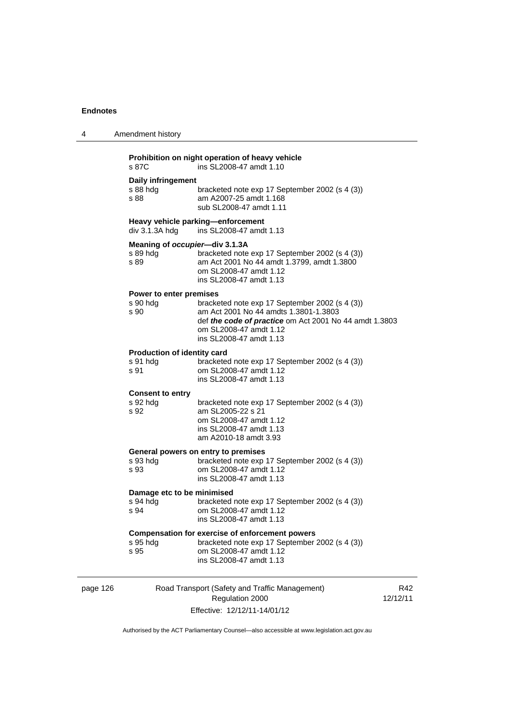| 4        | Amendment history<br>Prohibition on night operation of heavy vehicle<br>s 87C<br>ins SL2008-47 amdt 1.10 |                                                                                                                                                                                                        |  |
|----------|----------------------------------------------------------------------------------------------------------|--------------------------------------------------------------------------------------------------------------------------------------------------------------------------------------------------------|--|
|          |                                                                                                          |                                                                                                                                                                                                        |  |
|          | Daily infringement<br>s 88 hdg<br>s 88                                                                   | bracketed note exp 17 September 2002 (s 4 (3))<br>am A2007-25 amdt 1.168<br>sub SL2008-47 amdt 1.11                                                                                                    |  |
|          | Heavy vehicle parking-enforcement<br>$div$ 3.1.3A hdg<br>ins SL2008-47 amdt 1.13                         |                                                                                                                                                                                                        |  |
|          | s 89 hdg<br>s 89                                                                                         | Meaning of occupier-div 3.1.3A<br>bracketed note exp 17 September 2002 (s 4 (3))<br>am Act 2001 No 44 amdt 1.3799, amdt 1.3800<br>om SL2008-47 amdt 1.12<br>ins SL2008-47 amdt 1.13                    |  |
|          | Power to enter premises<br>s 90 hdg<br>s 90                                                              | bracketed note exp 17 September 2002 (s 4 (3))<br>am Act 2001 No 44 amdts 1.3801-1.3803<br>def the code of practice om Act 2001 No 44 amdt 1.3803<br>om SL2008-47 amdt 1.12<br>ins SL2008-47 amdt 1.13 |  |
|          | Production of identity card<br>s 91 hdg<br>s 91                                                          | bracketed note exp 17 September 2002 (s 4 (3))<br>om SL2008-47 amdt 1.12<br>ins SL2008-47 amdt 1.13                                                                                                    |  |
|          | <b>Consent to entry</b><br>s 92 hdg<br>s 92                                                              | bracketed note exp 17 September 2002 (s 4 (3))<br>am SL2005-22 s 21<br>om SL2008-47 amdt 1.12<br>ins SL2008-47 amdt 1.13<br>am A2010-18 amdt 3.93                                                      |  |
|          | s 93 hdg<br>s 93                                                                                         | General powers on entry to premises<br>bracketed note exp 17 September 2002 (s 4 (3))<br>om SL2008-47 amdt 1.12<br>ins SL2008-47 amdt 1.13                                                             |  |
|          | Damage etc to be minimised<br>s 94 hdg<br>s 94                                                           | bracketed note exp 17 September 2002 (s 4 (3))<br>om SL2008-47 amdt 1.12<br>ins SL2008-47 amdt 1.13                                                                                                    |  |
|          | s 95 hdg<br>s 95                                                                                         | Compensation for exercise of enforcement powers<br>bracketed note exp 17 September 2002 (s 4 (3))<br>om SL2008-47 amdt 1.12<br>ins SL2008-47 amdt 1.13                                                 |  |
| page 126 |                                                                                                          | Road Transport (Safety and Traffic Management)                                                                                                                                                         |  |

Regulation 2000 Effective: 12/12/11-14/01/12

R42 12/12/11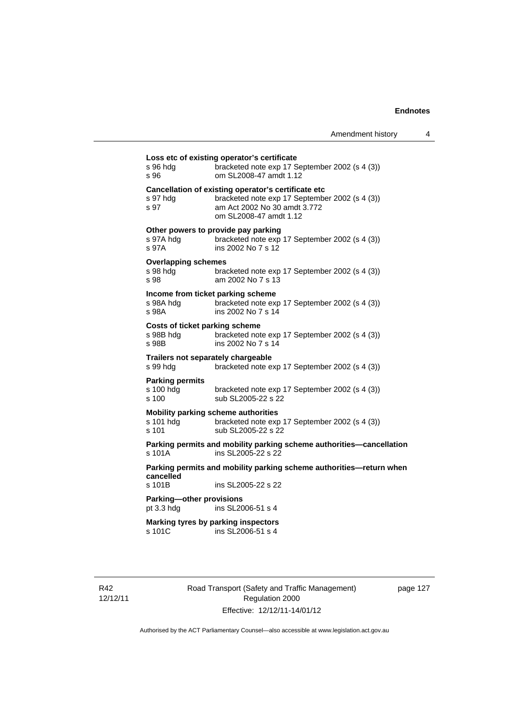| s 96 hda<br>s 96                               | bracketed note exp 17 September 2002 (s 4 (3))<br>om SL2008-47 amdt 1.12                                                                                        |
|------------------------------------------------|-----------------------------------------------------------------------------------------------------------------------------------------------------------------|
| s 97 hdg<br>s 97                               | Cancellation of existing operator's certificate etc<br>bracketed note exp 17 September 2002 (s 4 (3))<br>am Act 2002 No 30 amdt 3.772<br>om SL2008-47 amdt 1.12 |
| s 97A hdg<br>s 97A                             | Other powers to provide pay parking<br>bracketed note exp 17 September 2002 (s 4 (3))<br>ins 2002 No 7 s 12                                                     |
| <b>Overlapping schemes</b><br>s 98 hdg<br>s 98 | bracketed note exp 17 September 2002 (s 4 (3))<br>am 2002 No 7 s 13                                                                                             |
| s 98A hdq<br>s 98A                             | Income from ticket parking scheme<br>bracketed note exp 17 September 2002 (s 4 (3))<br>ins 2002 No 7 s 14                                                       |
| s 98B hdg<br>s 98B                             | Costs of ticket parking scheme<br>bracketed note exp 17 September 2002 (s 4 (3))<br>ins 2002 No 7 s 14                                                          |
| s 99 hdg                                       | Trailers not separately chargeable<br>bracketed note exp 17 September 2002 (s 4 (3))                                                                            |
| <b>Parking permits</b><br>s 100 hdg<br>s 100   | bracketed note exp 17 September 2002 (s 4 (3))<br>sub SL2005-22 s 22                                                                                            |
| s 101 hdg<br>s 101                             | Mobility parking scheme authorities<br>bracketed note exp 17 September 2002 (s 4 (3))<br>sub SL2005-22 s 22                                                     |
| s 101A                                         | Parking permits and mobility parking scheme authorities-cancellation<br>ins SL2005-22 s 22                                                                      |
| cancelled                                      | Parking permits and mobility parking scheme authorities—return when                                                                                             |
| s 101B                                         | ins SL2005-22 s 22                                                                                                                                              |
| Parking-other provisions<br>pt $3.3$ hdg       | ins SL2006-51 s 4                                                                                                                                               |
| s 101C                                         | Marking tyres by parking inspectors<br>ins SL2006-51 s 4                                                                                                        |

R42 12/12/11 Road Transport (Safety and Traffic Management) Regulation 2000 Effective: 12/12/11-14/01/12

page 127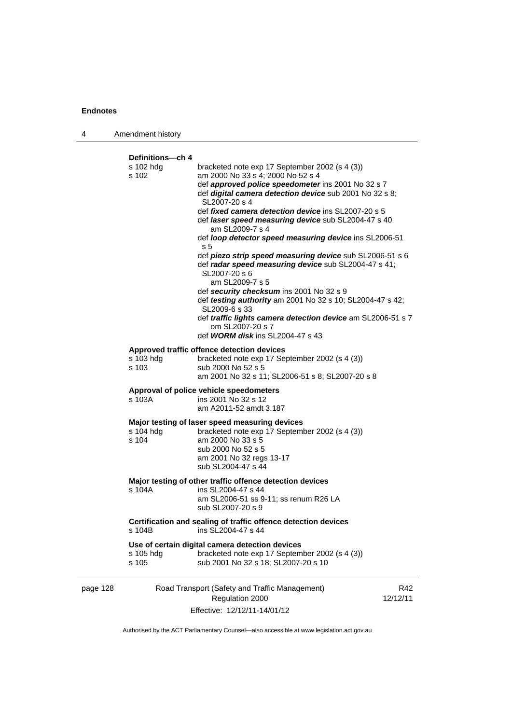| 4        | Amendment history                                                                                                                                                                                                                                                                                                                                                                                                                                                                                                                                                                                                                                                                                                                                                                                                                    |
|----------|--------------------------------------------------------------------------------------------------------------------------------------------------------------------------------------------------------------------------------------------------------------------------------------------------------------------------------------------------------------------------------------------------------------------------------------------------------------------------------------------------------------------------------------------------------------------------------------------------------------------------------------------------------------------------------------------------------------------------------------------------------------------------------------------------------------------------------------|
|          | Definitions-ch 4<br>s 102 hdg<br>bracketed note exp 17 September 2002 (s 4 (3))<br>s 102<br>am 2000 No 33 s 4; 2000 No 52 s 4<br>def approved police speedometer ins 2001 No 32 s 7<br>def digital camera detection device sub 2001 No 32 s 8;<br>SL2007-20 s 4<br>def <i>fixed camera detection device</i> ins SL2007-20 s 5<br>def laser speed measuring device sub SL2004-47 s 40<br>am SL2009-7 s 4<br>def loop detector speed measuring device ins SL2006-51<br>s <sub>5</sub><br>def piezo strip speed measuring device sub SL2006-51 s 6<br>def radar speed measuring device sub SL2004-47 s 41;<br>SL2007-20 s 6<br>am SL2009-7 s 5<br>def security checksum ins 2001 No 32 s 9<br>def testing authority am 2001 No 32 s 10; SL2004-47 s 42;<br>SL2009-6 s 33<br>def traffic lights camera detection device am SL2006-51 s 7 |
|          | om SL2007-20 s 7<br>def <b>WORM disk</b> ins SL2004-47 s 43<br>Approved traffic offence detection devices<br>s 103 hdg<br>bracketed note exp 17 September 2002 (s 4 (3))<br>s 103<br>sub 2000 No 52 s 5                                                                                                                                                                                                                                                                                                                                                                                                                                                                                                                                                                                                                              |
|          | am 2001 No 32 s 11; SL2006-51 s 8; SL2007-20 s 8<br>Approval of police vehicle speedometers<br>s 103A<br>ins 2001 No 32 s 12<br>am A2011-52 amdt 3.187                                                                                                                                                                                                                                                                                                                                                                                                                                                                                                                                                                                                                                                                               |
|          | Major testing of laser speed measuring devices<br>s 104 hdg<br>bracketed note exp 17 September 2002 (s 4 (3))<br>s 104<br>am 2000 No 33 s 5<br>sub 2000 No 52 s 5<br>am 2001 No 32 regs 13-17<br>sub SL2004-47 s 44                                                                                                                                                                                                                                                                                                                                                                                                                                                                                                                                                                                                                  |
|          | Major testing of other traffic offence detection devices<br>s 104A<br>ins SL2004-47 s 44<br>am SL2006-51 ss 9-11; ss renum R26 LA<br>sub SL2007-20 s 9                                                                                                                                                                                                                                                                                                                                                                                                                                                                                                                                                                                                                                                                               |
|          | Certification and sealing of traffic offence detection devices<br>ins SL2004-47 s 44<br>s 104B                                                                                                                                                                                                                                                                                                                                                                                                                                                                                                                                                                                                                                                                                                                                       |
|          | Use of certain digital camera detection devices<br>bracketed note exp 17 September 2002 (s 4 (3))<br>s 105 hdg<br>s 105<br>sub 2001 No 32 s 18; SL2007-20 s 10                                                                                                                                                                                                                                                                                                                                                                                                                                                                                                                                                                                                                                                                       |
| page 128 | Road Transport (Safety and Traffic Management)<br>R42<br>Regulation 2000<br>12/12/11<br>Effective: 12/12/11-14/01/12                                                                                                                                                                                                                                                                                                                                                                                                                                                                                                                                                                                                                                                                                                                 |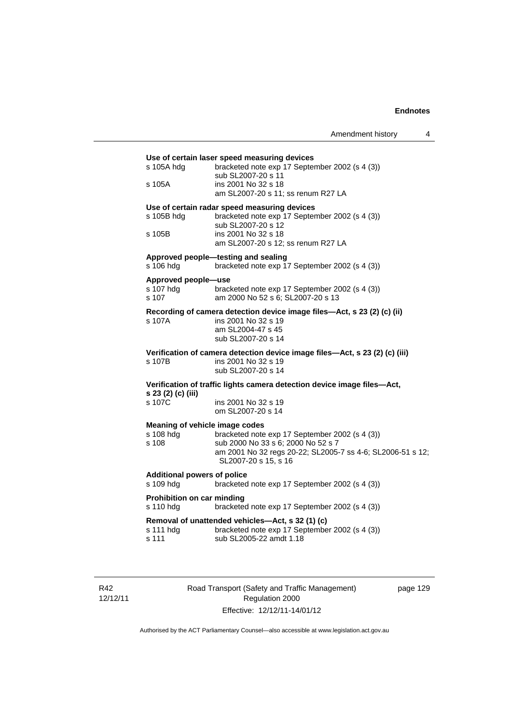| s 105A hdg                                | bracketed note exp 17 September 2002 (s 4 (3))<br>sub SL2007-20 s 11                  |
|-------------------------------------------|---------------------------------------------------------------------------------------|
| s 105A                                    | ins 2001 No 32 s 18<br>am SL2007-20 s 11; ss renum R27 LA                             |
|                                           | Use of certain radar speed measuring devices                                          |
| s 105B hdg                                | bracketed note exp 17 September 2002 (s 4 (3))<br>sub SL2007-20 s 12                  |
| s 105B                                    | ins 2001 No 32 s 18<br>am SL2007-20 s 12; ss renum R27 LA                             |
| s 106 hdg                                 | Approved people-testing and sealing<br>bracketed note exp 17 September 2002 (s 4 (3)) |
|                                           |                                                                                       |
| Approved people-use<br>s 107 hdg<br>s 107 | bracketed note exp 17 September 2002 (s 4 (3))<br>am 2000 No 52 s 6; SL2007-20 s 13   |
|                                           | Recording of camera detection device image files-Act, s 23 (2) (c) (ii)               |
| s 107A                                    | ins 2001 No 32 s 19                                                                   |
|                                           | am SL2004-47 s 45<br>sub SL2007-20 s 14                                               |
|                                           | Verification of camera detection device image files-Act, s 23 (2) (c) (iii)           |
| s 107B                                    | ins 2001 No 32 s 19<br>sub SL2007-20 s 14                                             |
| s 23 (2) (c) (iii)                        | Verification of traffic lights camera detection device image files-Act,               |
| s 107C                                    | ins 2001 No 32 s 19<br>om SL2007-20 s 14                                              |
|                                           | Meaning of vehicle image codes                                                        |
| s 108 hdg<br>s 108                        | bracketed note exp 17 September 2002 (s 4 (3))<br>sub 2000 No 33 s 6; 2000 No 52 s 7  |
|                                           | am 2001 No 32 regs 20-22; SL2005-7 ss 4-6; SL2006-51 s 12;<br>SL2007-20 s 15, s 16    |
| <b>Additional powers of police</b>        |                                                                                       |
| s 109 hdg                                 | bracketed note exp 17 September 2002 (s 4 (3))                                        |
| Prohibition on car minding<br>s 110 hdg   | bracketed note exp 17 September 2002 (s 4 (3))                                        |
|                                           | Removal of unattended vehicles-Act, s 32 (1) (c)                                      |
| s 111 hdg                                 | bracketed note exp 17 September 2002 (s 4 (3))                                        |

R42 12/12/11 Road Transport (Safety and Traffic Management) Regulation 2000 Effective: 12/12/11-14/01/12

page 129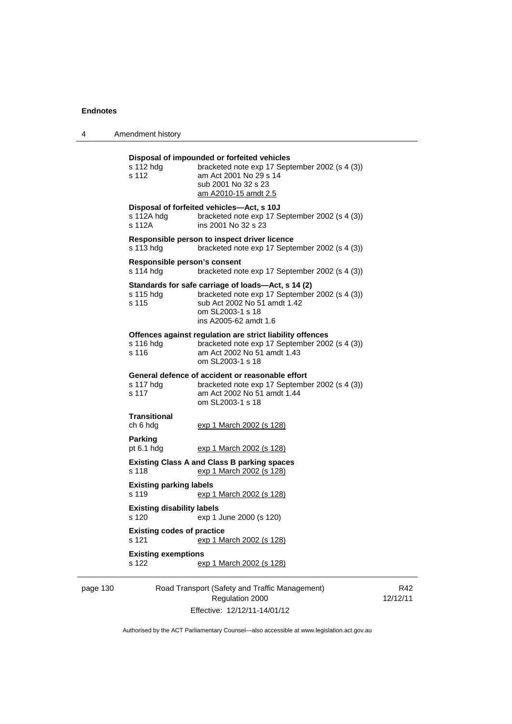| 4                                                                                                                                                                                                                                  | Amendment history                                                 |                                                                                                                                                                        |
|------------------------------------------------------------------------------------------------------------------------------------------------------------------------------------------------------------------------------------|-------------------------------------------------------------------|------------------------------------------------------------------------------------------------------------------------------------------------------------------------|
|                                                                                                                                                                                                                                    | s 112 hdg<br>s 112                                                | Disposal of impounded or forfeited vehicles<br>bracketed note exp 17 September 2002 (s 4 (3))<br>am Act 2001 No 29 s 14<br>sub 2001 No 32 s 23<br>am A2010-15 amdt 2.5 |
|                                                                                                                                                                                                                                    | Disposal of forfeited vehicles-Act, s 10J<br>s 112A hdg<br>s 112A | bracketed note exp 17 September 2002 (s 4 (3))<br>ins 2001 No 32 s 23                                                                                                  |
|                                                                                                                                                                                                                                    | s 113 hdg                                                         | Responsible person to inspect driver licence<br>bracketed note exp 17 September 2002 (s 4 (3))                                                                         |
|                                                                                                                                                                                                                                    | Responsible person's consent<br>s 114 hdg                         | bracketed note exp 17 September 2002 (s 4 (3))                                                                                                                         |
| Standards for safe carriage of loads—Act, s 14 (2)<br>s 115 hdg<br>s 115<br>sub Act 2002 No 51 amdt 1.42<br>om SL2003-1 s 18<br>ins A2005-62 amdt 1.6                                                                              |                                                                   | bracketed note exp 17 September 2002 (s 4 (3))                                                                                                                         |
|                                                                                                                                                                                                                                    | s 116 hdg<br>s 116                                                | Offences against regulation are strict liability offences<br>bracketed note exp 17 September 2002 (s 4 (3))<br>am Act 2002 No 51 amdt 1.43<br>om SL2003-1 s 18         |
|                                                                                                                                                                                                                                    | s 117 hdg<br>s 117                                                | General defence of accident or reasonable effort<br>bracketed note exp 17 September 2002 (s 4 (3))<br>am Act 2002 No 51 amdt 1.44<br>om SL2003-1 s 18                  |
| <b>Transitional</b><br>ch 6 hdg<br><u>exp 1 March 2002 (s 128)</u><br><b>Parking</b><br>pt $6.1$ hdg<br><u>exp 1 March 2002 (s 128)</u><br><b>Existing Class A and Class B parking spaces</b><br>s 118<br>exp 1 March 2002 (s 128) |                                                                   |                                                                                                                                                                        |
|                                                                                                                                                                                                                                    |                                                                   |                                                                                                                                                                        |
|                                                                                                                                                                                                                                    |                                                                   |                                                                                                                                                                        |
|                                                                                                                                                                                                                                    | <b>Existing parking labels</b><br>s 119                           | exp 1 March 2002 (s 128)                                                                                                                                               |
|                                                                                                                                                                                                                                    | <b>Existing disability labels</b><br>s 120                        | exp 1 June 2000 (s 120)                                                                                                                                                |
|                                                                                                                                                                                                                                    | <b>Existing codes of practice</b><br>s 121                        | exp 1 March 2002 (s 128)                                                                                                                                               |
|                                                                                                                                                                                                                                    | <b>Existing exemptions</b><br>s 122                               | exp 1 March 2002 (s 128)                                                                                                                                               |
| page 130                                                                                                                                                                                                                           |                                                                   | Road Transport (Safety and Traffic Management)                                                                                                                         |

Regulation 2000 Effective: 12/12/11-14/01/12

R42 12/12/11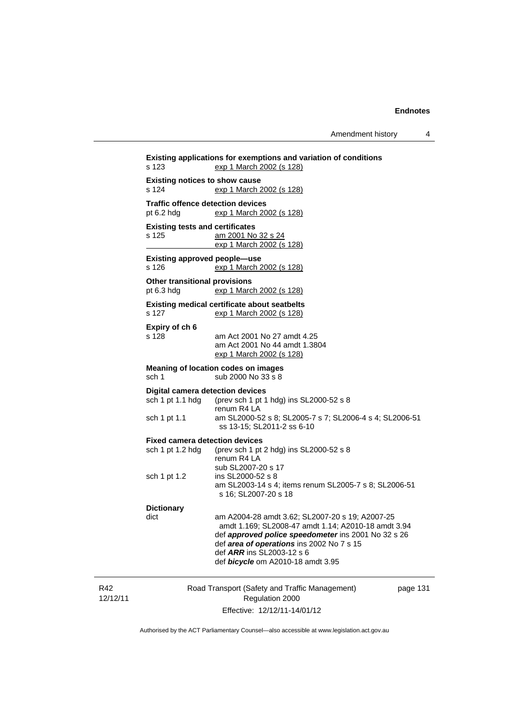Amendment history 4

Road Transport (Safety and Traffic Management) Regulation 2000 page 131 **Existing applications for exemptions and variation of conditions**  s 123 exp 1 March 2002 (s 128) **Existing notices to show cause**  s 124 exp 1 March 2002 (s 128) **Traffic offence detection devices**  pt 6.2 hdg exp 1 March 2002 (s 128) **Existing tests and certificates**  s 125 am 2001 No 32 s 24 exp 1 March 2002 (s 128) **Existing approved people—use**  s 126 exp 1 March 2002 (s 128) **Other transitional provisions**  pt 6.3 hdg exp 1 March 2002 (s 128) **Existing medical certificate about seatbelts**  s 127 exp 1 March 2002 (s 128) **Expiry of ch 6**  s 128 am Act 2001 No 27 amdt 4.25 am Act 2001 No 44 amdt 1.3804 exp 1 March 2002 (s 128) **Meaning of location codes on images**  sch 1 sub 2000 No 33 s 8 **Digital camera detection devices**  sch 1 pt 1.1 hdg (prev sch 1 pt 1 hdg) ins SL2000-52 s 8  $r = 2$ <br>sch 1 pt 1.1 am SL2000-5 am SL2000-52 s 8; SL2005-7 s 7; SL2006-4 s 4; SL2006-51 ss 13-15; SL2011-2 ss 6-10 **Fixed camera detection devices**  sch 1 pt 1.2 hdg (prev sch 1 pt 2 hdg) ins SL2000-52 s 8 renum R4 LA sub SL2007-20 s 17<br>sch 1 pt 1.2 ins SL2000-52 s 8 ins SL2000-52 s 8 am SL2003-14 s 4; items renum SL2005-7 s 8; SL2006-51 s 16; SL2007-20 s 18 **Dictionary**  dict am A2004-28 amdt 3.62; SL2007-20 s 19; A2007-25 amdt 1.169; SL2008-47 amdt 1.14; A2010-18 amdt 3.94 def *approved police speedometer* ins 2001 No 32 s 26 def *area of operations* ins 2002 No 7 s 15 def *ARR* ins SL2003-12 s 6 def *bicycle* om A2010-18 amdt 3.95

Effective: 12/12/11-14/01/12

R42 12/12/11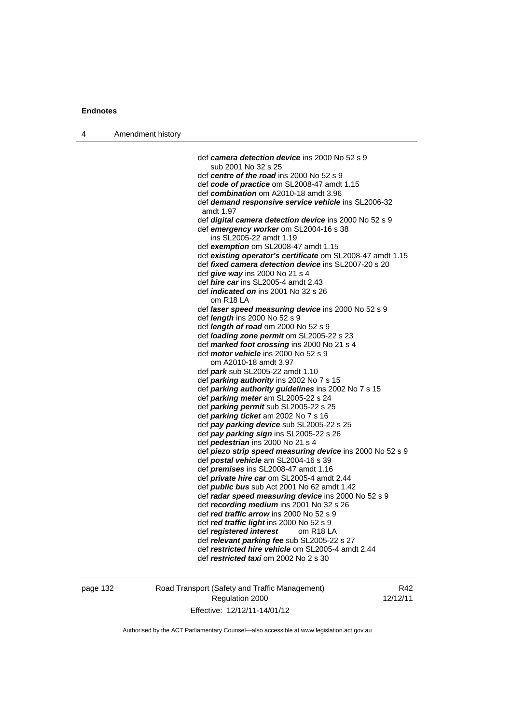| 4 | Amendment history |                                                                              |
|---|-------------------|------------------------------------------------------------------------------|
|   |                   |                                                                              |
|   |                   | def camera detection device ins 2000 No 52 s 9                               |
|   |                   | sub 2001 No 32 s 25                                                          |
|   |                   | def centre of the road ins 2000 No 52 s 9                                    |
|   |                   | def code of practice om SL2008-47 amdt 1.15                                  |
|   |                   | def combination om A2010-18 amdt 3.96                                        |
|   |                   | def demand responsive service vehicle ins SL2006-32<br>amdt 1.97             |
|   |                   | def <i>digital camera detection device</i> ins 2000 No 52 s 9                |
|   |                   | def emergency worker om SL2004-16 s 38<br>ins SL2005-22 amdt 1.19            |
|   |                   | def exemption om SL2008-47 amdt 1.15                                         |
|   |                   | def existing operator's certificate om SL2008-47 amdt 1.15                   |
|   |                   | def <i>fixed camera detection device</i> ins SL2007-20 s 20                  |
|   |                   | def give way ins 2000 No 21 s 4                                              |
|   |                   | def <i>hire car</i> ins SL2005-4 amdt 2.43                                   |
|   |                   | def <i>indicated on</i> ins 2001 No 32 s 26                                  |
|   |                   | om R18 LA                                                                    |
|   |                   | def <i>laser speed measuring device</i> ins 2000 No 52 s 9                   |
|   |                   | def <i>length</i> ins 2000 No 52 s 9                                         |
|   |                   | def <i>length of road</i> om $2000$ No $52 s 9$                              |
|   |                   | def loading zone permit om SL2005-22 s 23                                    |
|   |                   | def marked foot crossing ins 2000 No 21 s 4                                  |
|   |                   | def <i>motor vehicle</i> ins 2000 No 52 s 9                                  |
|   |                   | om A2010-18 amdt 3.97                                                        |
|   |                   | def park sub SL2005-22 amdt 1.10                                             |
|   |                   | def parking authority ins 2002 No 7 s 15                                     |
|   |                   | def parking authority guidelines ins 2002 No 7 s 15                          |
|   |                   | def parking meter am SL2005-22 s 24                                          |
|   |                   | def <i>parking permit</i> sub SL2005-22 s 25                                 |
|   |                   | def parking ticket am 2002 No 7 s 16                                         |
|   |                   | def pay parking device sub SL2005-22 s 25                                    |
|   |                   | def pay parking sign ins SL2005-22 s 26<br>def pedestrian ins 2000 No 21 s 4 |
|   |                   | def piezo strip speed measuring device ins 2000 No 52 s 9                    |
|   |                   | def postal vehicle am SL2004-16 s 39                                         |
|   |                   | def <i>premises</i> ins SL2008-47 amdt 1.16                                  |
|   |                   | def private hire car om SL2005-4 amdt 2.44                                   |
|   |                   | def <i>public bus</i> sub Act 2001 No 62 amdt 1.42                           |
|   |                   | def radar speed measuring device ins 2000 No 52 s 9                          |
|   |                   | def recording medium ins 2001 No 32 s 26                                     |
|   |                   | def red traffic arrow ins 2000 No 52 s 9                                     |
|   |                   | def red traffic light ins 2000 No 52 s 9                                     |
|   |                   | def registered interest<br>om R <sub>18</sub> LA                             |
|   |                   | def relevant parking fee sub SL2005-22 s 27                                  |
|   |                   | def restricted hire vehicle om SL2005-4 amdt 2.44                            |
|   |                   | def restricted taxi om 2002 No 2 s 30                                        |
|   |                   |                                                                              |

## page 132 Road Transport (Safety and Traffic Management) Regulation 2000 Effective: 12/12/11-14/01/12

R42 12/12/11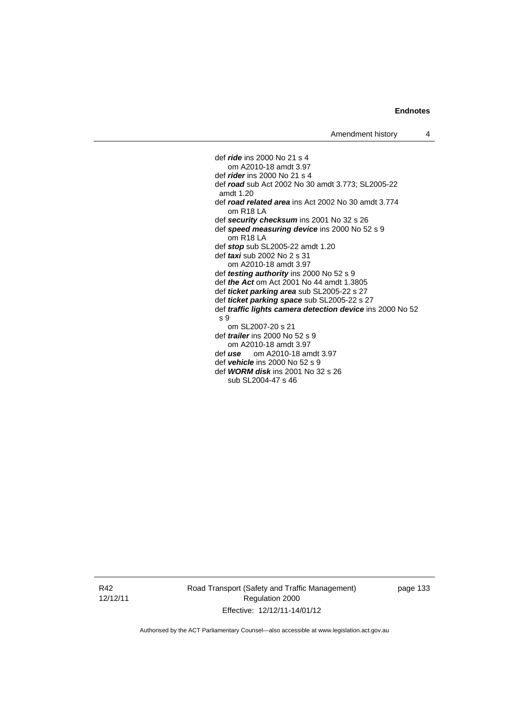def *ride* ins 2000 No 21 s 4 om A2010-18 amdt 3.97 def *rider* ins 2000 No 21 s 4 def *road* sub Act 2002 No 30 amdt 3.773; SL2005-22 amdt 1.20 def *road related area* ins Act 2002 No 30 amdt 3.774 om R18 LA def *security checksum* ins 2001 No 32 s 26 def *speed measuring device* ins 2000 No 52 s 9 om R18 LA def *stop* sub SL2005-22 amdt 1.20 def *taxi* sub 2002 No 2 s 31 om A2010-18 amdt 3.97 def *testing authority* ins 2000 No 52 s 9 def *the Act* om Act 2001 No 44 amdt 1.3805 def *ticket parking area* sub SL2005-22 s 27 def *ticket parking space* sub SL2005-22 s 27 def *traffic lights camera detection device* ins 2000 No 52 s 9 om SL2007-20 s 21 def *trailer* ins 2000 No 52 s 9 om A2010-18 amdt 3.97 def *use* om A2010-18 amdt 3.97 def *vehicle* ins 2000 No 52 s 9 def *WORM disk* ins 2001 No 32 s 26 sub SL2004-47 s 46

R42 12/12/11 Road Transport (Safety and Traffic Management) Regulation 2000 Effective: 12/12/11-14/01/12

page 133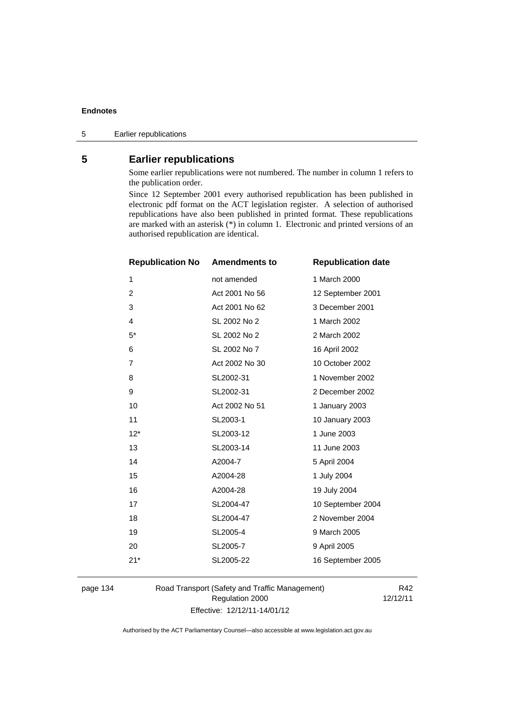## **5 Earlier republications**

Some earlier republications were not numbered. The number in column 1 refers to the publication order.

Since 12 September 2001 every authorised republication has been published in electronic pdf format on the ACT legislation register. A selection of authorised republications have also been published in printed format. These republications are marked with an asterisk (\*) in column 1. Electronic and printed versions of an authorised republication are identical.

| <b>Republication No</b> | <b>Amendments to</b> | <b>Republication date</b> |
|-------------------------|----------------------|---------------------------|
| 1                       | not amended          | 1 March 2000              |
| $\overline{2}$          | Act 2001 No 56       | 12 September 2001         |
| 3                       | Act 2001 No 62       | 3 December 2001           |
| 4                       | SL 2002 No 2         | 1 March 2002              |
| $5*$                    | SL 2002 No 2         | 2 March 2002              |
| 6                       | SL 2002 No 7         | 16 April 2002             |
| $\overline{7}$          | Act 2002 No 30       | 10 October 2002           |
| 8                       | SL2002-31            | 1 November 2002           |
| 9                       | SL2002-31            | 2 December 2002           |
| 10                      | Act 2002 No 51       | 1 January 2003            |
| 11                      | SL2003-1             | 10 January 2003           |
| $12*$                   | SL2003-12            | 1 June 2003               |
| 13                      | SL2003-14            | 11 June 2003              |
| 14                      | A2004-7              | 5 April 2004              |
| 15                      | A2004-28             | 1 July 2004               |
| 16                      | A2004-28             | 19 July 2004              |
| 17                      | SL2004-47            | 10 September 2004         |
| 18                      | SL2004-47            | 2 November 2004           |
| 19                      | SL2005-4             | 9 March 2005              |
| 20                      | SL2005-7             | 9 April 2005              |
| $21*$                   | SL2005-22            | 16 September 2005         |
|                         |                      |                           |

page 134 Road Transport (Safety and Traffic Management) Regulation 2000 Effective: 12/12/11-14/01/12

R42 12/12/11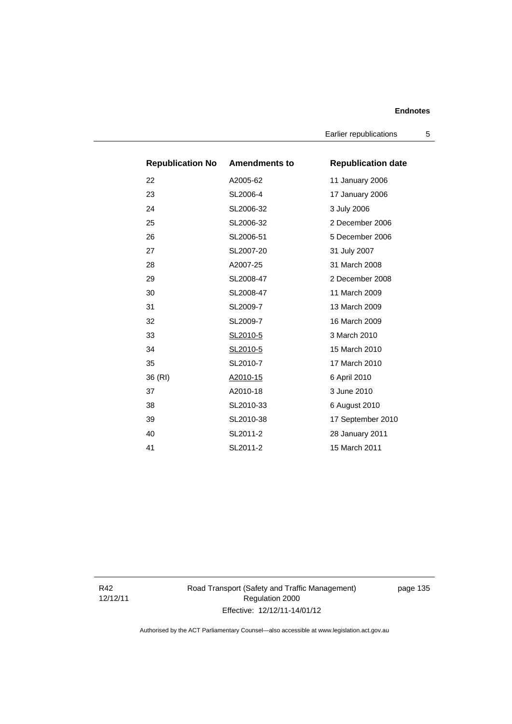Earlier republications 5

| <b>Republication No Amendments to</b> |           | <b>Republication date</b> |
|---------------------------------------|-----------|---------------------------|
| 22                                    | A2005-62  | 11 January 2006           |
| 23                                    | SL2006-4  | 17 January 2006           |
| 24                                    | SL2006-32 | 3 July 2006               |
| 25                                    | SL2006-32 | 2 December 2006           |
| 26                                    | SL2006-51 | 5 December 2006           |
| 27                                    | SL2007-20 | 31 July 2007              |
| 28                                    | A2007-25  | 31 March 2008             |
| 29                                    | SL2008-47 | 2 December 2008           |
| 30                                    | SL2008-47 | 11 March 2009             |
| 31                                    | SL2009-7  | 13 March 2009             |
| 32                                    | SL2009-7  | 16 March 2009             |
| 33                                    | SL2010-5  | 3 March 2010              |
| 34                                    | SL2010-5  | 15 March 2010             |
| 35                                    | SL2010-7  | 17 March 2010             |
| 36 (RI)                               | A2010-15  | 6 April 2010              |
| 37                                    | A2010-18  | 3 June 2010               |
| 38                                    | SL2010-33 | 6 August 2010             |
| 39                                    | SL2010-38 | 17 September 2010         |
| 40                                    | SL2011-2  | 28 January 2011           |
| 41                                    | SL2011-2  | 15 March 2011             |

R42 12/12/11 Road Transport (Safety and Traffic Management) Regulation 2000 Effective: 12/12/11-14/01/12

page 135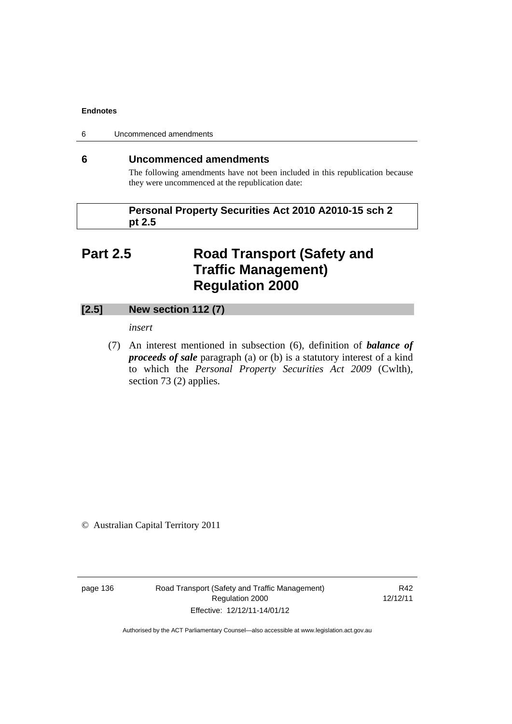6 Uncommenced amendments

### **6 Uncommenced amendments**

The following amendments have not been included in this republication because they were uncommenced at the republication date:

 **Personal Property Securities Act 2010 A2010-15 sch 2 pt 2.5** 

# **Part 2.5 Road Transport (Safety and Traffic Management) Regulation 2000**

## **[2.5] New section 112 (7)**

*insert* 

 (7) An interest mentioned in subsection (6), definition of *balance of proceeds of sale* paragraph (a) or (b) is a statutory interest of a kind to which the *Personal Property Securities Act 2009* (Cwlth), section 73 (2) applies.

© Australian Capital Territory 2011

page 136 Road Transport (Safety and Traffic Management) Regulation 2000 Effective: 12/12/11-14/01/12

R42 12/12/11